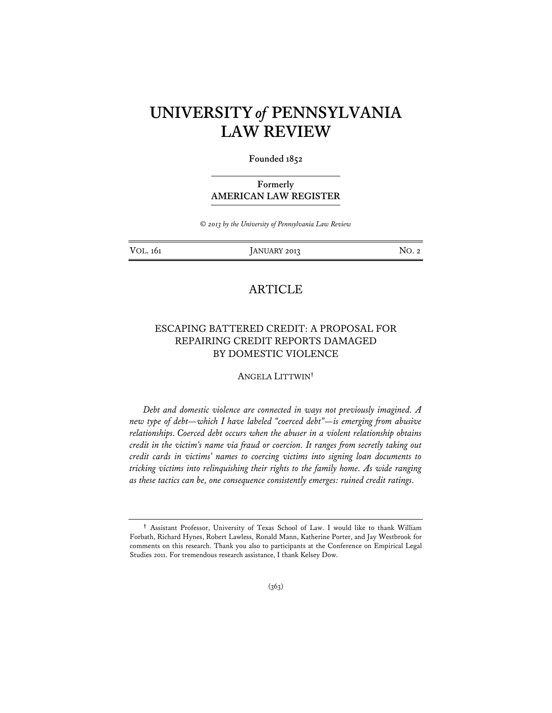# **UNIVERSITY** *of* **PENNSYLVANIA LAW REVIEW**

**Founded 1852** 

# **Formerly AMERICAN LAW REGISTER**

*© 2013 by the University of Pennsylvania Law Review* 

VOL. 161 **JANUARY 2013** NO. 2

# **ARTICLE**

# ESCAPING BATTERED CREDIT: A PROPOSAL FOR REPAIRING CREDIT REPORTS DAMAGED BY DOMESTIC VIOLENCE

ANGELA LITTWIN**†**

*Debt and domestic violence are connected in ways not previously imagined. A new type of debt—which I have labeled "coerced debt"—is emerging from abusive relationships. Coerced debt occurs when the abuser in a violent relationship obtains credit in the victim's name via fraud or coercion. It ranges from secretly taking out credit cards in victims' names to coercing victims into signing loan documents to tricking victims into relinquishing their rights to the family home. As wide ranging as these tactics can be, one consequence consistently emerges: ruined credit ratings.* 

**<sup>†</sup>** Assistant Professor, University of Texas School of Law. I would like to thank William Forbath, Richard Hynes, Robert Lawless, Ronald Mann, Katherine Porter, and Jay Westbrook for comments on this research. Thank you also to participants at the Conference on Empirical Legal Studies 2011. For tremendous research assistance, I thank Kelsey Dow.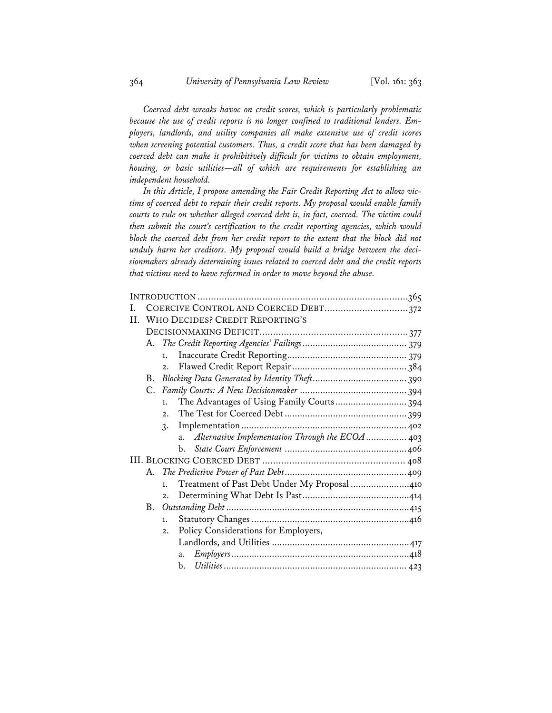*Coerced debt wreaks havoc on credit scores, which is particularly problematic because the use of credit reports is no longer confined to traditional lenders. Employers, landlords, and utility companies all make extensive use of credit scores when screening potential customers. Thus, a credit score that has been damaged by coerced debt can make it prohibitively difficult for victims to obtain employment, housing, or basic utilities—all of which are requirements for establishing an independent household.* 

*In this Article, I propose amending the Fair Credit Reporting Act to allow victims of coerced debt to repair their credit reports. My proposal would enable family courts to rule on whether alleged coerced debt is, in fact, coerced. The victim could then submit the court's certification to the credit reporting agencies, which would*  block the coerced debt from her credit report to the extent that the block did not *unduly harm her creditors. My proposal would build a bridge between the decisionmakers already determining issues related to coerced debt and the credit reports that victims need to have reformed in order to move beyond the abuse.* 

|     | COERCIVE CONTROL AND COERCED DEBT372 |                                                        |  |  |
|-----|--------------------------------------|--------------------------------------------------------|--|--|
| II. |                                      | WHO DECIDES? CREDIT REPORTING'S                        |  |  |
|     |                                      |                                                        |  |  |
|     |                                      |                                                        |  |  |
|     |                                      | 1.                                                     |  |  |
|     |                                      | 2.                                                     |  |  |
|     | B.                                   |                                                        |  |  |
|     |                                      |                                                        |  |  |
|     |                                      | The Advantages of Using Family Courts 394<br>1.        |  |  |
|     |                                      | 2.1                                                    |  |  |
|     |                                      | $\mathcal{R}$ .                                        |  |  |
|     |                                      | Alternative Implementation Through the ECOA  403<br>a. |  |  |
|     |                                      | b.                                                     |  |  |
|     |                                      |                                                        |  |  |
|     |                                      |                                                        |  |  |
|     |                                      | Treatment of Past Debt Under My Proposal 410<br>1.     |  |  |
|     |                                      | 2.                                                     |  |  |
|     |                                      |                                                        |  |  |
|     |                                      | 1.                                                     |  |  |
|     |                                      | Policy Considerations for Employers,<br>2.             |  |  |
|     |                                      |                                                        |  |  |
|     |                                      | a.                                                     |  |  |
|     |                                      | b.                                                     |  |  |
|     |                                      |                                                        |  |  |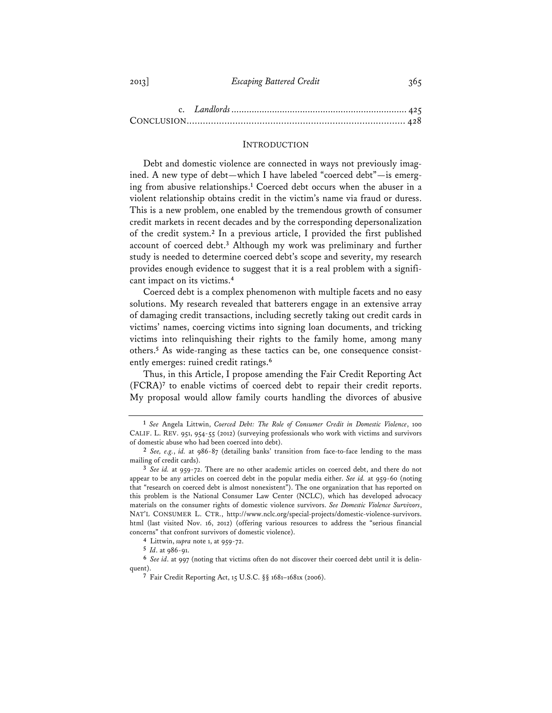#### INTRODUCTION

Debt and domestic violence are connected in ways not previously imagined. A new type of debt—which I have labeled "coerced debt"—is emerging from abusive relationships.**<sup>1</sup>** Coerced debt occurs when the abuser in a violent relationship obtains credit in the victim's name via fraud or duress. This is a new problem, one enabled by the tremendous growth of consumer credit markets in recent decades and by the corresponding depersonalization of the credit system.**<sup>2</sup>** In a previous article, I provided the first published account of coerced debt.**<sup>3</sup>** Although my work was preliminary and further study is needed to determine coerced debt's scope and severity, my research provides enough evidence to suggest that it is a real problem with a significant impact on its victims.**<sup>4</sup>**

Coerced debt is a complex phenomenon with multiple facets and no easy solutions. My research revealed that batterers engage in an extensive array of damaging credit transactions, including secretly taking out credit cards in victims' names, coercing victims into signing loan documents, and tricking victims into relinquishing their rights to the family home, among many others.**<sup>5</sup>** As wide-ranging as these tactics can be, one consequence consistently emerges: ruined credit ratings.**<sup>6</sup>**

Thus, in this Article, I propose amending the Fair Credit Reporting Act (FCRA)**<sup>7</sup>** to enable victims of coerced debt to repair their credit reports. My proposal would allow family courts handling the divorces of abusive

**4** Littwin, *supra* note 1, at 959-72.

**5** *Id*. at 986-91.

**<sup>1</sup>** *See* Angela Littwin, *Coerced Debt: The Role of Consumer Credit in Domestic Violence*, 100 CALIF. L. REV. 951, 954-55 (2012) (surveying professionals who work with victims and survivors of domestic abuse who had been coerced into debt).

**<sup>2</sup>** *See, e.g.*, *id.* at 986-87 (detailing banks' transition from face-to-face lending to the mass mailing of credit cards).

**<sup>3</sup>** *See id.* at 959-72. There are no other academic articles on coerced debt, and there do not appear to be any articles on coerced debt in the popular media either. *See id.* at 959-60 (noting that "research on coerced debt is almost nonexistent"). The one organization that has reported on this problem is the National Consumer Law Center (NCLC), which has developed advocacy materials on the consumer rights of domestic violence survivors. *See Domestic Violence Survivors*, NAT'L CONSUMER L. CTR., http://www.nclc.org/special-projects/domestic-violence-survivors. html (last visited Nov. 16, 2012) (offering various resources to address the "serious financial concerns" that confront survivors of domestic violence).

**<sup>6</sup>** *See id*. at 997 (noting that victims often do not discover their coerced debt until it is delinquent).

**<sup>7</sup>** Fair Credit Reporting Act, 15 U.S.C. §§ 1681–1681x (2006).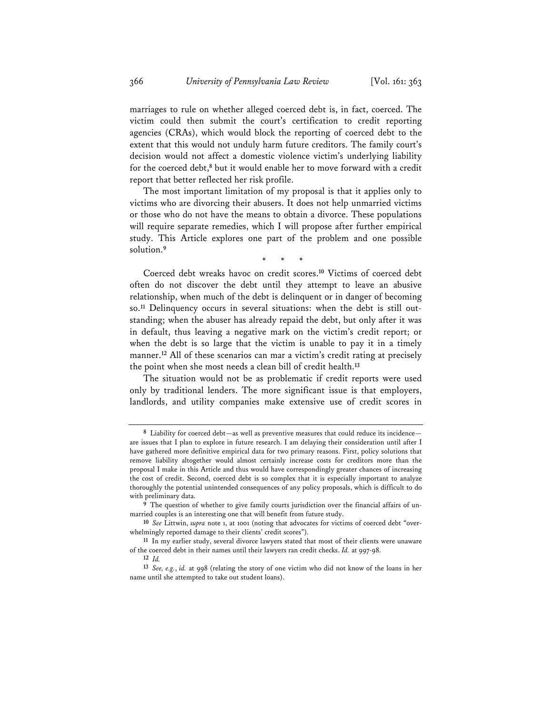marriages to rule on whether alleged coerced debt is, in fact, coerced. The victim could then submit the court's certification to credit reporting agencies (CRAs), which would block the reporting of coerced debt to the extent that this would not unduly harm future creditors. The family court's decision would not affect a domestic violence victim's underlying liability for the coerced debt,**<sup>8</sup>** but it would enable her to move forward with a credit report that better reflected her risk profile.

The most important limitation of my proposal is that it applies only to victims who are divorcing their abusers. It does not help unmarried victims or those who do not have the means to obtain a divorce. These populations will require separate remedies, which I will propose after further empirical study. This Article explores one part of the problem and one possible solution.**<sup>9</sup>**

\* \* \*

Coerced debt wreaks havoc on credit scores.**<sup>10</sup>** Victims of coerced debt often do not discover the debt until they attempt to leave an abusive relationship, when much of the debt is delinquent or in danger of becoming so.**11** Delinquency occurs in several situations: when the debt is still outstanding; when the abuser has already repaid the debt, but only after it was in default, thus leaving a negative mark on the victim's credit report; or when the debt is so large that the victim is unable to pay it in a timely manner.**<sup>12</sup>** All of these scenarios can mar a victim's credit rating at precisely the point when she most needs a clean bill of credit health.**<sup>13</sup>**

The situation would not be as problematic if credit reports were used only by traditional lenders. The more significant issue is that employers, landlords, and utility companies make extensive use of credit scores in

**<sup>8</sup>** Liability for coerced debt—as well as preventive measures that could reduce its incidence are issues that I plan to explore in future research. I am delaying their consideration until after I have gathered more definitive empirical data for two primary reasons. First, policy solutions that remove liability altogether would almost certainly increase costs for creditors more than the proposal I make in this Article and thus would have correspondingly greater chances of increasing the cost of credit. Second, coerced debt is so complex that it is especially important to analyze thoroughly the potential unintended consequences of any policy proposals, which is difficult to do with preliminary data.

**<sup>9</sup>** The question of whether to give family courts jurisdiction over the financial affairs of unmarried couples is an interesting one that will benefit from future study.

**<sup>10</sup>** *See* Littwin, *supra* note 1, at 1001 (noting that advocates for victims of coerced debt "overwhelmingly reported damage to their clients' credit scores").

**<sup>11</sup>** In my earlier study, several divorce lawyers stated that most of their clients were unaware of the coerced debt in their names until their lawyers ran credit checks. *Id.* at 997-98.

**<sup>12</sup>** *Id.*

**<sup>13</sup>** *See, e.g.*, *id.* at 998 (relating the story of one victim who did not know of the loans in her name until she attempted to take out student loans).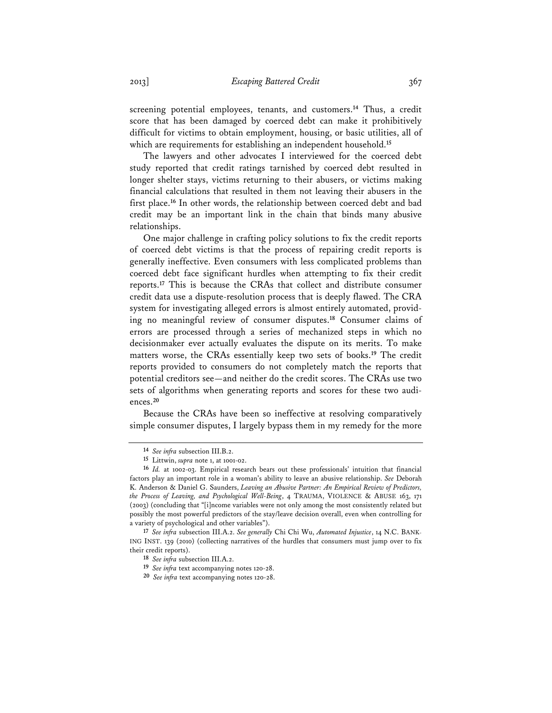screening potential employees, tenants, and customers.**<sup>14</sup>** Thus, a credit score that has been damaged by coerced debt can make it prohibitively difficult for victims to obtain employment, housing, or basic utilities, all of which are requirements for establishing an independent household.**<sup>15</sup>**

The lawyers and other advocates I interviewed for the coerced debt study reported that credit ratings tarnished by coerced debt resulted in longer shelter stays, victims returning to their abusers, or victims making financial calculations that resulted in them not leaving their abusers in the first place.**<sup>16</sup>** In other words, the relationship between coerced debt and bad credit may be an important link in the chain that binds many abusive relationships.

One major challenge in crafting policy solutions to fix the credit reports of coerced debt victims is that the process of repairing credit reports is generally ineffective. Even consumers with less complicated problems than coerced debt face significant hurdles when attempting to fix their credit reports.**<sup>17</sup>** This is because the CRAs that collect and distribute consumer credit data use a dispute-resolution process that is deeply flawed. The CRA system for investigating alleged errors is almost entirely automated, providing no meaningful review of consumer disputes.**<sup>18</sup>** Consumer claims of errors are processed through a series of mechanized steps in which no decisionmaker ever actually evaluates the dispute on its merits. To make matters worse, the CRAs essentially keep two sets of books.**<sup>19</sup>** The credit reports provided to consumers do not completely match the reports that potential creditors see—and neither do the credit scores. The CRAs use two sets of algorithms when generating reports and scores for these two audiences.**<sup>20</sup>**

Because the CRAs have been so ineffective at resolving comparatively simple consumer disputes, I largely bypass them in my remedy for the more

**17** *See infra* subsection III.A.2. *See generally* Chi Chi Wu, *Automated Injustice*, 14 N.C. BANK-ING INST. 139 (2010) (collecting narratives of the hurdles that consumers must jump over to fix their credit reports).

**<sup>14</sup>** *See infra* subsection III.B.2.

**<sup>15</sup>** Littwin, *supra* note 1, at 1001-02.

**<sup>16</sup>** *Id.* at 1002-03. Empirical research bears out these professionals' intuition that financial factors play an important role in a woman's ability to leave an abusive relationship. *See* Deborah K. Anderson & Daniel G. Saunders, *Leaving an Abusive Partner: An Empirical Review of Predictors, the Process of Leaving, and Psychological Well-Being*, 4 TRAUMA, VIOLENCE & ABUSE 163, 171 (2003) (concluding that "[i]ncome variables were not only among the most consistently related but possibly the most powerful predictors of the stay/leave decision overall, even when controlling for a variety of psychological and other variables").

**<sup>18</sup>** *See infra* subsection III.A.2.

**<sup>19</sup>** *See infra* text accompanying notes 120-28.

**<sup>20</sup>** *See infra* text accompanying notes 120-28.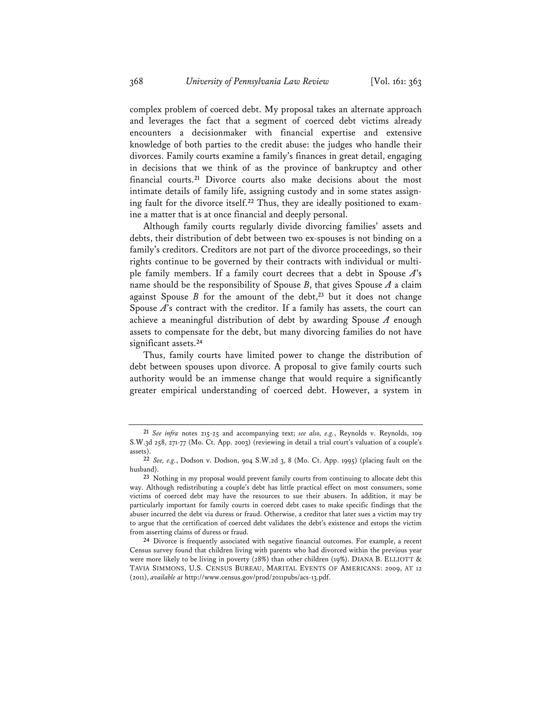complex problem of coerced debt. My proposal takes an alternate approach and leverages the fact that a segment of coerced debt victims already encounters a decisionmaker with financial expertise and extensive knowledge of both parties to the credit abuse: the judges who handle their divorces. Family courts examine a family's finances in great detail, engaging in decisions that we think of as the province of bankruptcy and other financial courts.**<sup>21</sup>** Divorce courts also make decisions about the most intimate details of family life, assigning custody and in some states assigning fault for the divorce itself.**22** Thus, they are ideally positioned to examine a matter that is at once financial and deeply personal.

Although family courts regularly divide divorcing families' assets and debts, their distribution of debt between two ex-spouses is not binding on a family's creditors. Creditors are not part of the divorce proceedings, so their rights continue to be governed by their contracts with individual or multiple family members. If a family court decrees that a debt in Spouse *A*'s name should be the responsibility of Spouse  $B$ , that gives Spouse  $A$  a claim against Spouse *B* for the amount of the debt,**<sup>23</sup>** but it does not change Spouse A's contract with the creditor. If a family has assets, the court can achieve a meaningful distribution of debt by awarding Spouse *A* enough assets to compensate for the debt, but many divorcing families do not have significant assets.**<sup>24</sup>**

Thus, family courts have limited power to change the distribution of debt between spouses upon divorce. A proposal to give family courts such authority would be an immense change that would require a significantly greater empirical understanding of coerced debt. However, a system in

**<sup>21</sup>** *See infra* notes 215-25 and accompanying text; *see also, e.g.*, Reynolds v. Reynolds, 109 S.W.3d 258, 271-77 (Mo. Ct. App. 2003) (reviewing in detail a trial court's valuation of a couple's assets).

**<sup>22</sup>** *See, e.g.*, Dodson v. Dodson, 904 S.W.2d 3, 8 (Mo. Ct. App. 1995) (placing fault on the husband).

**<sup>23</sup>** Nothing in my proposal would prevent family courts from continuing to allocate debt this way. Although redistributing a couple's debt has little practical effect on most consumers, some victims of coerced debt may have the resources to sue their abusers. In addition, it may be particularly important for family courts in coerced debt cases to make specific findings that the abuser incurred the debt via duress or fraud. Otherwise, a creditor that later sues a victim may try to argue that the certification of coerced debt validates the debt's existence and estops the victim from asserting claims of duress or fraud.

**<sup>24</sup>** Divorce is frequently associated with negative financial outcomes. For example, a recent Census survey found that children living with parents who had divorced within the previous year were more likely to be living in poverty (28%) than other children (19%). DIANA B. ELLIOTT & TAVIA SIMMONS, U.S. CENSUS BUREAU, MARITAL EVENTS OF AMERICANS: 2009, AT 12 (2011), *available at* http://www.census.gov/prod/2011pubs/acs-13.pdf.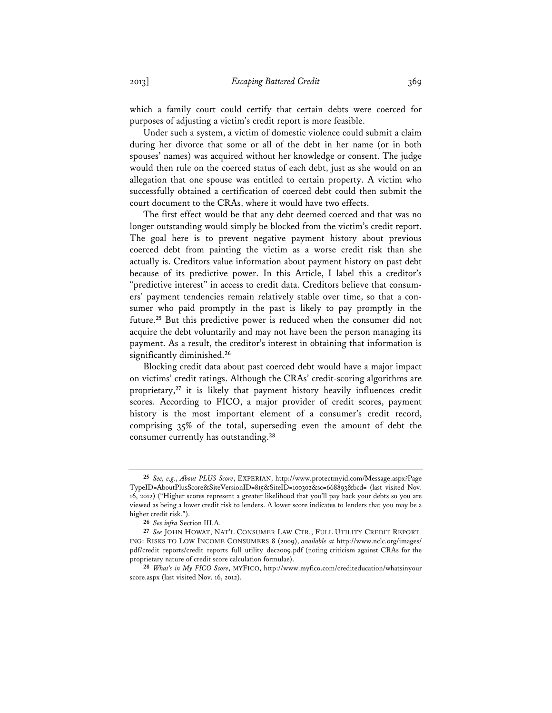which a family court could certify that certain debts were coerced for purposes of adjusting a victim's credit report is more feasible.

Under such a system, a victim of domestic violence could submit a claim during her divorce that some or all of the debt in her name (or in both spouses' names) was acquired without her knowledge or consent. The judge would then rule on the coerced status of each debt, just as she would on an allegation that one spouse was entitled to certain property. A victim who successfully obtained a certification of coerced debt could then submit the court document to the CRAs, where it would have two effects.

The first effect would be that any debt deemed coerced and that was no longer outstanding would simply be blocked from the victim's credit report. The goal here is to prevent negative payment history about previous coerced debt from painting the victim as a worse credit risk than she actually is. Creditors value information about payment history on past debt because of its predictive power. In this Article, I label this a creditor's "predictive interest" in access to credit data. Creditors believe that consumers' payment tendencies remain relatively stable over time, so that a consumer who paid promptly in the past is likely to pay promptly in the future.**<sup>25</sup>** But this predictive power is reduced when the consumer did not acquire the debt voluntarily and may not have been the person managing its payment. As a result, the creditor's interest in obtaining that information is significantly diminished.**<sup>26</sup>**

Blocking credit data about past coerced debt would have a major impact on victims' credit ratings. Although the CRAs' credit-scoring algorithms are proprietary,**<sup>27</sup>** it is likely that payment history heavily influences credit scores. According to FICO, a major provider of credit scores, payment history is the most important element of a consumer's credit record, comprising 35% of the total, superseding even the amount of debt the consumer currently has outstanding.**<sup>28</sup>**

**<sup>25</sup>** *See, e.g.*, *About PLUS Score*, EXPERIAN, http://www.protectmyid.com/Message.aspx?Page TypeID=AboutPlusScore&SiteVersionID=815&SiteID=100302&sc=668893&bcd= (last visited Nov. 16, 2012) ("Higher scores represent a greater likelihood that you'll pay back your debts so you are viewed as being a lower credit risk to lenders. A lower score indicates to lenders that you may be a higher credit risk.").

**<sup>26</sup>** *See infra* Section III.A.

**<sup>27</sup>** *See* JOHN HOWAT, NAT'L CONSUMER LAW CTR., FULL UTILITY CREDIT REPORT-ING: RISKS TO LOW INCOME CONSUMERS 8 (2009), *available at* http://www.nclc.org/images/ pdf/credit\_reports/credit\_reports\_full\_utility\_dec2009.pdf (noting criticism against CRAs for the proprietary nature of credit score calculation formulae).

**<sup>28</sup>** *What's in My FICO Score*, MYFICO, http://www.myfico.com/crediteducation/whatsinyour score.aspx (last visited Nov. 16, 2012).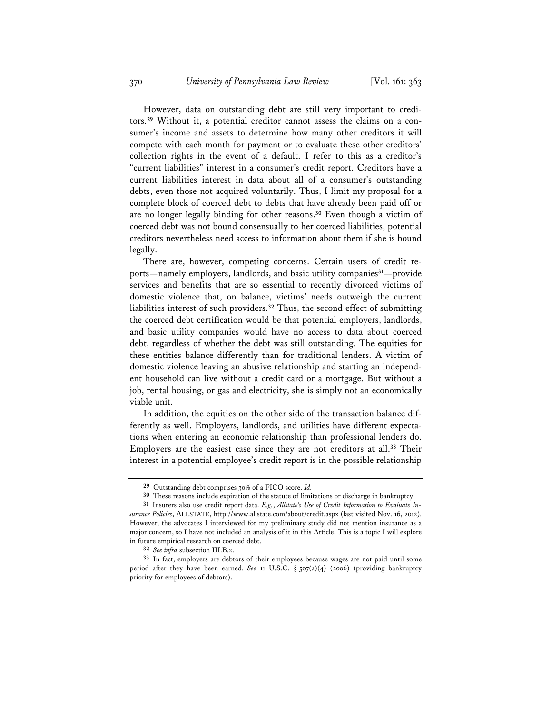However, data on outstanding debt are still very important to creditors.**29** Without it, a potential creditor cannot assess the claims on a consumer's income and assets to determine how many other creditors it will compete with each month for payment or to evaluate these other creditors' collection rights in the event of a default. I refer to this as a creditor's "current liabilities" interest in a consumer's credit report. Creditors have a current liabilities interest in data about all of a consumer's outstanding debts, even those not acquired voluntarily. Thus, I limit my proposal for a complete block of coerced debt to debts that have already been paid off or are no longer legally binding for other reasons.**<sup>30</sup>** Even though a victim of coerced debt was not bound consensually to her coerced liabilities, potential creditors nevertheless need access to information about them if she is bound legally.

There are, however, competing concerns. Certain users of credit reports—namely employers, landlords, and basic utility companies**<sup>31</sup>**—provide services and benefits that are so essential to recently divorced victims of domestic violence that, on balance, victims' needs outweigh the current liabilities interest of such providers.**<sup>32</sup>** Thus, the second effect of submitting the coerced debt certification would be that potential employers, landlords, and basic utility companies would have no access to data about coerced debt, regardless of whether the debt was still outstanding. The equities for these entities balance differently than for traditional lenders. A victim of domestic violence leaving an abusive relationship and starting an independent household can live without a credit card or a mortgage. But without a job, rental housing, or gas and electricity, she is simply not an economically viable unit.

In addition, the equities on the other side of the transaction balance differently as well. Employers, landlords, and utilities have different expectations when entering an economic relationship than professional lenders do. Employers are the easiest case since they are not creditors at all.**<sup>33</sup>** Their interest in a potential employee's credit report is in the possible relationship

**<sup>29</sup>** Outstanding debt comprises 30% of a FICO score. *Id.*

**<sup>30</sup>** These reasons include expiration of the statute of limitations or discharge in bankruptcy.

**<sup>31</sup>** Insurers also use credit report data. *E.g.*, *Allstate's Use of Credit Information to Evaluate Insurance Policies*, ALLSTATE, http://www.allstate.com/about/credit.aspx (last visited Nov. 16, 2012). However, the advocates I interviewed for my preliminary study did not mention insurance as a major concern, so I have not included an analysis of it in this Article. This is a topic I will explore in future empirical research on coerced debt.

**<sup>32</sup>** *See infra* subsection III.B.2.

**<sup>33</sup>** In fact, employers are debtors of their employees because wages are not paid until some period after they have been earned. *See* 11 U.S.C. § 507(a)(4) (2006) (providing bankruptcy priority for employees of debtors).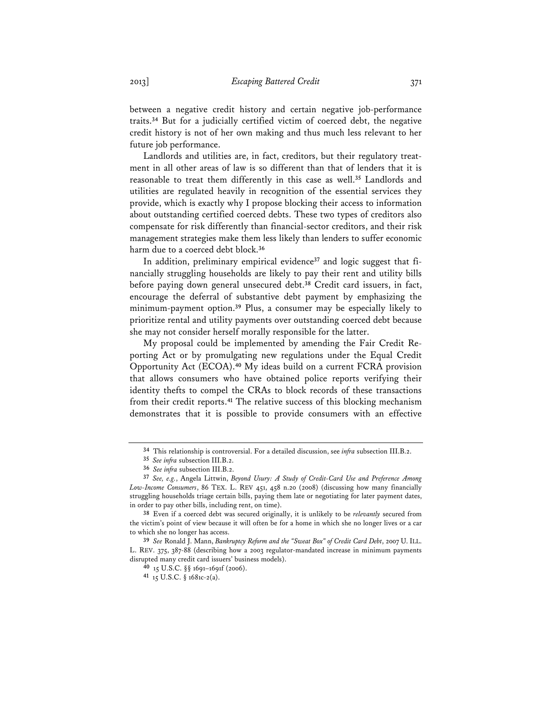between a negative credit history and certain negative job-performance traits.**<sup>34</sup>** But for a judicially certified victim of coerced debt, the negative credit history is not of her own making and thus much less relevant to her future job performance.

Landlords and utilities are, in fact, creditors, but their regulatory treatment in all other areas of law is so different than that of lenders that it is reasonable to treat them differently in this case as well.**<sup>35</sup>** Landlords and utilities are regulated heavily in recognition of the essential services they provide, which is exactly why I propose blocking their access to information about outstanding certified coerced debts. These two types of creditors also compensate for risk differently than financial-sector creditors, and their risk management strategies make them less likely than lenders to suffer economic harm due to a coerced debt block.**<sup>36</sup>**

In addition, preliminary empirical evidence**37** and logic suggest that financially struggling households are likely to pay their rent and utility bills before paying down general unsecured debt.**<sup>38</sup>** Credit card issuers, in fact, encourage the deferral of substantive debt payment by emphasizing the minimum-payment option.**<sup>39</sup>** Plus, a consumer may be especially likely to prioritize rental and utility payments over outstanding coerced debt because she may not consider herself morally responsible for the latter.

My proposal could be implemented by amending the Fair Credit Reporting Act or by promulgating new regulations under the Equal Credit Opportunity Act (ECOA).**<sup>40</sup>** My ideas build on a current FCRA provision that allows consumers who have obtained police reports verifying their identity thefts to compel the CRAs to block records of these transactions from their credit reports.**<sup>41</sup>** The relative success of this blocking mechanism demonstrates that it is possible to provide consumers with an effective

**<sup>34</sup>** This relationship is controversial. For a detailed discussion, see *infra* subsection III.B.2.

**<sup>35</sup>** *See infra* subsection III.B.2.

**<sup>36</sup>** *See infra* subsection III.B.2.

**<sup>37</sup>** *See, e.g.*, Angela Littwin, *Beyond Usury: A Study of Credit-Card Use and Preference Among Low-Income Consumers*, 86 TEX. L. REV 451, 458 n.20 (2008) (discussing how many financially struggling households triage certain bills, paying them late or negotiating for later payment dates, in order to pay other bills, including rent, on time).

**<sup>38</sup>** Even if a coerced debt was secured originally, it is unlikely to be *relevantly* secured from the victim's point of view because it will often be for a home in which she no longer lives or a car to which she no longer has access.

**<sup>39</sup>** *See* Ronald J. Mann, *Bankruptcy Reform and the "Sweat Box" of Credit Card Debt*, 2007 U. ILL. L. REV. 375, 387-88 (describing how a 2003 regulator-mandated increase in minimum payments disrupted many credit card issuers' business models).

**<sup>40</sup>** 15 U.S.C. §§ 1691–1691f (2006).

**<sup>41</sup>** 15 U.S.C. § 1681c-2(a).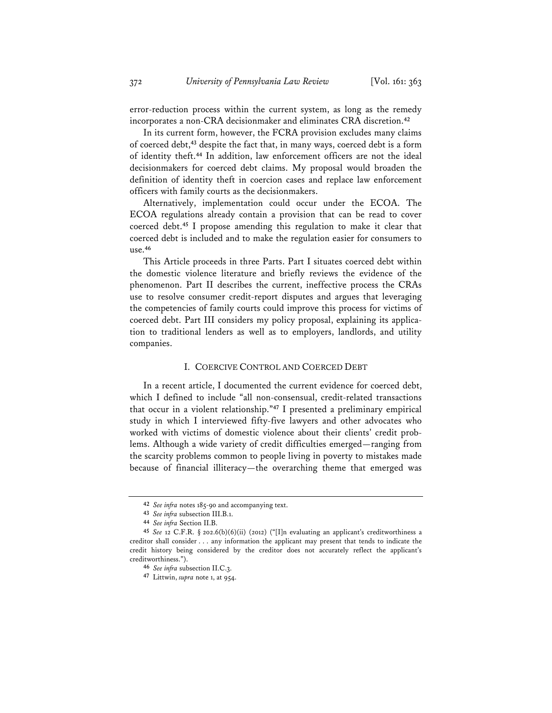error-reduction process within the current system, as long as the remedy incorporates a non-CRA decisionmaker and eliminates CRA discretion.**<sup>42</sup>**

In its current form, however, the FCRA provision excludes many claims of coerced debt,**<sup>43</sup>** despite the fact that, in many ways, coerced debt is a form of identity theft.**<sup>44</sup>** In addition, law enforcement officers are not the ideal decisionmakers for coerced debt claims. My proposal would broaden the definition of identity theft in coercion cases and replace law enforcement officers with family courts as the decisionmakers.

Alternatively, implementation could occur under the ECOA. The ECOA regulations already contain a provision that can be read to cover coerced debt.**<sup>45</sup>** I propose amending this regulation to make it clear that coerced debt is included and to make the regulation easier for consumers to use.**<sup>46</sup>**

This Article proceeds in three Parts. Part I situates coerced debt within the domestic violence literature and briefly reviews the evidence of the phenomenon. Part II describes the current, ineffective process the CRAs use to resolve consumer credit-report disputes and argues that leveraging the competencies of family courts could improve this process for victims of coerced debt. Part III considers my policy proposal, explaining its application to traditional lenders as well as to employers, landlords, and utility companies.

#### I. COERCIVE CONTROL AND COERCED DEBT

In a recent article, I documented the current evidence for coerced debt, which I defined to include "all non-consensual, credit-related transactions that occur in a violent relationship."**<sup>47</sup>** I presented a preliminary empirical study in which I interviewed fifty-five lawyers and other advocates who worked with victims of domestic violence about their clients' credit problems. Although a wide variety of credit difficulties emerged—ranging from the scarcity problems common to people living in poverty to mistakes made because of financial illiteracy—the overarching theme that emerged was

**<sup>42</sup>** *See infra* notes 185-90 and accompanying text.

**<sup>43</sup>** *See infra* subsection III.B.1.

**<sup>44</sup>** *See infra* Section II.B.

**<sup>45</sup>** *See* 12 C.F.R. § 202.6(b)(6)(ii) (2012) ("[I]n evaluating an applicant's creditworthiness a creditor shall consider . . . any information the applicant may present that tends to indicate the credit history being considered by the creditor does not accurately reflect the applicant's creditworthiness.").

**<sup>46</sup>** *See infra* subsection II.C.3.

**<sup>47</sup>** Littwin, *supra* note 1, at 954.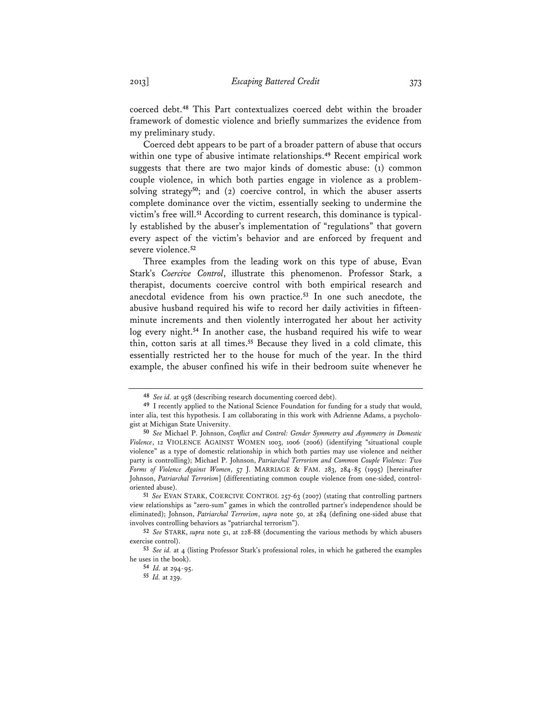coerced debt.**<sup>48</sup>** This Part contextualizes coerced debt within the broader framework of domestic violence and briefly summarizes the evidence from my preliminary study.

Coerced debt appears to be part of a broader pattern of abuse that occurs within one type of abusive intimate relationships.**<sup>49</sup>** Recent empirical work suggests that there are two major kinds of domestic abuse: (1) common couple violence, in which both parties engage in violence as a problemsolving strategy**<sup>50</sup>**; and (2) coercive control, in which the abuser asserts complete dominance over the victim, essentially seeking to undermine the victim's free will.**51** According to current research, this dominance is typically established by the abuser's implementation of "regulations" that govern every aspect of the victim's behavior and are enforced by frequent and severe violence.**<sup>52</sup>**

Three examples from the leading work on this type of abuse, Evan Stark's *Coercive Control*, illustrate this phenomenon. Professor Stark, a therapist, documents coercive control with both empirical research and anecdotal evidence from his own practice.**<sup>53</sup>** In one such anecdote, the abusive husband required his wife to record her daily activities in fifteenminute increments and then violently interrogated her about her activity log every night.**<sup>54</sup>** In another case, the husband required his wife to wear thin, cotton saris at all times.**<sup>55</sup>** Because they lived in a cold climate, this essentially restricted her to the house for much of the year. In the third example, the abuser confined his wife in their bedroom suite whenever he

**<sup>48</sup>** *See id.* at 958 (describing research documenting coerced debt).

**<sup>49</sup>** I recently applied to the National Science Foundation for funding for a study that would, inter alia, test this hypothesis. I am collaborating in this work with Adrienne Adams, a psychologist at Michigan State University.

**<sup>50</sup>** *See* Michael P. Johnson, *Conflict and Control: Gender Symmetry and Asymmetry in Domestic Violence*, 12 VIOLENCE AGAINST WOMEN 1003, 1006 (2006) (identifying "situational couple violence" as a type of domestic relationship in which both parties may use violence and neither party is controlling); Michael P. Johnson, *Patriarchal Terrorism and Common Couple Violence: Two Forms of Violence Against Women*, 57 J. MARRIAGE & FAM. 283, 284-85 (1995) [hereinafter Johnson, *Patriarchal Terrorism*] (differentiating common couple violence from one-sided, controloriented abuse).

**<sup>51</sup>** *See* EVAN STARK, COERCIVE CONTROL 257-63 (2007) (stating that controlling partners view relationships as "zero-sum" games in which the controlled partner's independence should be eliminated); Johnson, *Patriarchal Terrorism*, *supra* note 50, at 284 (defining one-sided abuse that involves controlling behaviors as "patriarchal terrorism").

**<sup>52</sup>** *See* STARK, *supra* note 51, at 228-88 (documenting the various methods by which abusers exercise control).

**<sup>53</sup>** *See id.* at 4 (listing Professor Stark's professional roles, in which he gathered the examples he uses in the book).

**<sup>54</sup>** *Id.* at 294-95.

**<sup>55</sup>** *Id.* at 239.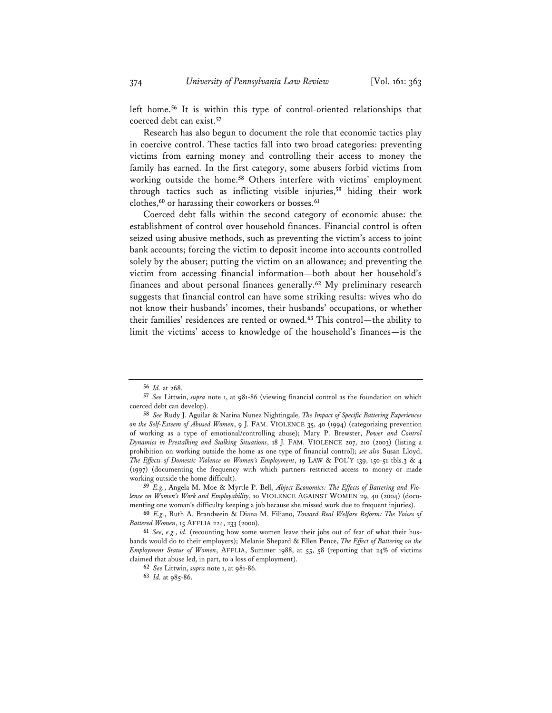left home.**<sup>56</sup>** It is within this type of control-oriented relationships that coerced debt can exist.**<sup>57</sup>**

Research has also begun to document the role that economic tactics play in coercive control. These tactics fall into two broad categories: preventing victims from earning money and controlling their access to money the family has earned. In the first category, some abusers forbid victims from working outside the home.**<sup>58</sup>** Others interfere with victims' employment through tactics such as inflicting visible injuries,**<sup>59</sup>** hiding their work clothes,**<sup>60</sup>** or harassing their coworkers or bosses.**<sup>61</sup>**

Coerced debt falls within the second category of economic abuse: the establishment of control over household finances. Financial control is often seized using abusive methods, such as preventing the victim's access to joint bank accounts; forcing the victim to deposit income into accounts controlled solely by the abuser; putting the victim on an allowance; and preventing the victim from accessing financial information—both about her household's finances and about personal finances generally.**<sup>62</sup>** My preliminary research suggests that financial control can have some striking results: wives who do not know their husbands' incomes, their husbands' occupations, or whether their families' residences are rented or owned.**<sup>63</sup>** This control—the ability to limit the victims' access to knowledge of the household's finances—is the

**59** *E.g.*, Angela M. Moe & Myrtle P. Bell, *Abject Economics: The Effects of Battering and Violence on Women's Work and Employability*, 10 VIOLENCE AGAINST WOMEN 29, 40 (2004) (documenting one woman's difficulty keeping a job because she missed work due to frequent injuries).

**60** *E.g.*, Ruth A. Brandwein & Diana M. Filiano, *Toward Real Welfare Reform: The Voices of Battered Women*, 15 AFFLIA 224, 233 (2000).

**61** *See, e.g.*, *id.* (recounting how some women leave their jobs out of fear of what their husbands would do to their employers); Melanie Shepard & Ellen Pence, *The Effect of Battering on the Employment Status of Women*, AFFLIA, Summer 1988, at 55, 58 (reporting that 24% of victims claimed that abuse led, in part, to a loss of employment).

**62** *See* Littwin, *supra* note 1, at 981-86.

**63** *Id.* at 985-86.

**<sup>56</sup>** *Id.* at 268.

**<sup>57</sup>** *See* Littwin, *supra* note 1, at 981-86 (viewing financial control as the foundation on which coerced debt can develop).

**<sup>58</sup>** *See* Rudy J. Aguilar & Narina Nunez Nightingale, *The Impact of Specific Battering Experiences on the Self-Esteem of Abused Women*, 9 J. FAM. VIOLENCE 35, 40 (1994) (categorizing prevention of working as a type of emotional/controlling abuse); Mary P. Brewster, *Power and Control Dynamics in Prestalking and Stalking Situations*, 18 J. FAM. VIOLENCE 207, 210 (2003) (listing a prohibition on working outside the home as one type of financial control); *see also* Susan Lloyd, *The Effects of Domestic Violence on Women's Employment*, 19 LAW & POL'Y 139, 150-51 tbls.3 & 4 (1997) (documenting the frequency with which partners restricted access to money or made working outside the home difficult).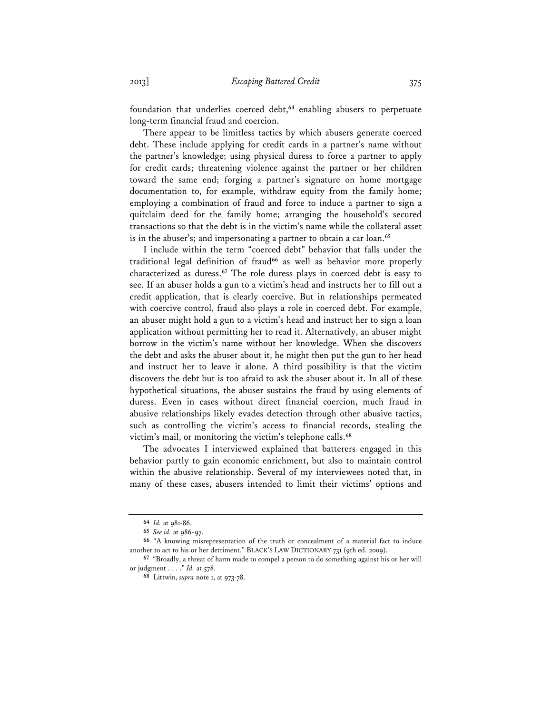foundation that underlies coerced debt,**<sup>64</sup>** enabling abusers to perpetuate long-term financial fraud and coercion.

There appear to be limitless tactics by which abusers generate coerced debt. These include applying for credit cards in a partner's name without the partner's knowledge; using physical duress to force a partner to apply for credit cards; threatening violence against the partner or her children toward the same end; forging a partner's signature on home mortgage documentation to, for example, withdraw equity from the family home; employing a combination of fraud and force to induce a partner to sign a quitclaim deed for the family home; arranging the household's secured transactions so that the debt is in the victim's name while the collateral asset is in the abuser's; and impersonating a partner to obtain a car loan.**<sup>65</sup>**

I include within the term "coerced debt" behavior that falls under the traditional legal definition of fraud**<sup>66</sup>** as well as behavior more properly characterized as duress.**<sup>67</sup>** The role duress plays in coerced debt is easy to see. If an abuser holds a gun to a victim's head and instructs her to fill out a credit application, that is clearly coercive. But in relationships permeated with coercive control, fraud also plays a role in coerced debt. For example, an abuser might hold a gun to a victim's head and instruct her to sign a loan application without permitting her to read it. Alternatively, an abuser might borrow in the victim's name without her knowledge. When she discovers the debt and asks the abuser about it, he might then put the gun to her head and instruct her to leave it alone. A third possibility is that the victim discovers the debt but is too afraid to ask the abuser about it. In all of these hypothetical situations, the abuser sustains the fraud by using elements of duress. Even in cases without direct financial coercion, much fraud in abusive relationships likely evades detection through other abusive tactics, such as controlling the victim's access to financial records, stealing the victim's mail, or monitoring the victim's telephone calls.**<sup>68</sup>**

The advocates I interviewed explained that batterers engaged in this behavior partly to gain economic enrichment, but also to maintain control within the abusive relationship. Several of my interviewees noted that, in many of these cases, abusers intended to limit their victims' options and

**<sup>64</sup>** *Id.* at 981-86.

**<sup>65</sup>** *See id.* at 986-97.

**<sup>66</sup>** "A knowing misrepresentation of the truth or concealment of a material fact to induce another to act to his or her detriment." BLACK'S LAW DICTIONARY 731 (9th ed. 2009).

**<sup>67</sup>** "Broadly, a threat of harm made to compel a person to do something against his or her will or judgment . . . ." *Id.* at 578.

**<sup>68</sup>** Littwin, *supra* note 1, at 973-78.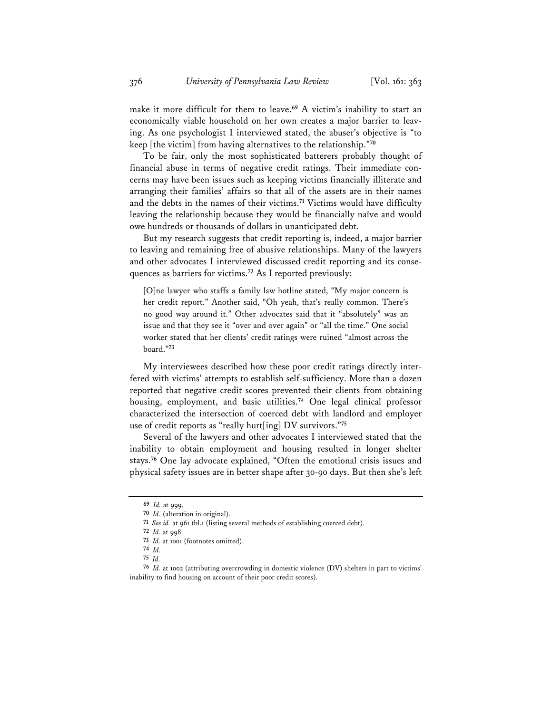make it more difficult for them to leave.**<sup>69</sup>** A victim's inability to start an economically viable household on her own creates a major barrier to leaving. As one psychologist I interviewed stated, the abuser's objective is "to keep [the victim] from having alternatives to the relationship."**<sup>70</sup>**

To be fair, only the most sophisticated batterers probably thought of financial abuse in terms of negative credit ratings. Their immediate concerns may have been issues such as keeping victims financially illiterate and arranging their families' affairs so that all of the assets are in their names and the debts in the names of their victims.**<sup>71</sup>** Victims would have difficulty leaving the relationship because they would be financially naïve and would owe hundreds or thousands of dollars in unanticipated debt.

But my research suggests that credit reporting is, indeed, a major barrier to leaving and remaining free of abusive relationships. Many of the lawyers and other advocates I interviewed discussed credit reporting and its consequences as barriers for victims.**<sup>72</sup>** As I reported previously:

[O]ne lawyer who staffs a family law hotline stated, "My major concern is her credit report." Another said, "Oh yeah, that's really common. There's no good way around it." Other advocates said that it "absolutely" was an issue and that they see it "over and over again" or "all the time." One social worker stated that her clients' credit ratings were ruined "almost across the board."**<sup>73</sup>**

My interviewees described how these poor credit ratings directly interfered with victims' attempts to establish self-sufficiency. More than a dozen reported that negative credit scores prevented their clients from obtaining housing, employment, and basic utilities.**<sup>74</sup>** One legal clinical professor characterized the intersection of coerced debt with landlord and employer use of credit reports as "really hurt[ing] DV survivors."**<sup>75</sup>**

Several of the lawyers and other advocates I interviewed stated that the inability to obtain employment and housing resulted in longer shelter stays.**<sup>76</sup>** One lay advocate explained, "Often the emotional crisis issues and physical safety issues are in better shape after 30-90 days. But then she's left

**<sup>69</sup>** *Id.* at 999.

**<sup>70</sup>** *Id.* (alteration in original).

**<sup>71</sup>** *See id.* at 961 tbl.1 (listing several methods of establishing coerced debt).

**<sup>72</sup>** *Id.* at 998.

**<sup>73</sup>** *Id.* at 1001 (footnotes omitted).

**<sup>74</sup>** *Id.*

**<sup>75</sup>** *Id.*

**<sup>76</sup>** *Id.* at 1002 (attributing overcrowding in domestic violence (DV) shelters in part to victims' inability to find housing on account of their poor credit scores).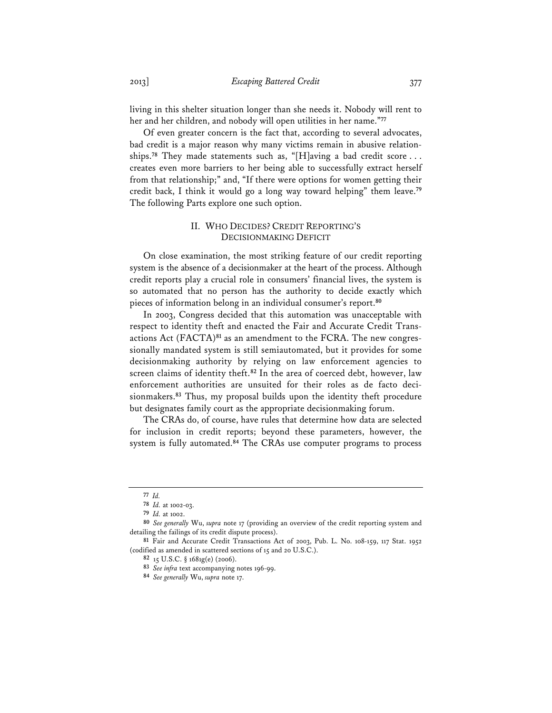living in this shelter situation longer than she needs it. Nobody will rent to her and her children, and nobody will open utilities in her name."**<sup>77</sup>**

Of even greater concern is the fact that, according to several advocates, bad credit is a major reason why many victims remain in abusive relationships.**<sup>78</sup>** They made statements such as, "[H]aving a bad credit score . . . creates even more barriers to her being able to successfully extract herself from that relationship;" and, "If there were options for women getting their credit back, I think it would go a long way toward helping" them leave.**<sup>79</sup>** The following Parts explore one such option.

# II. WHO DECIDES? CREDIT REPORTING'S DECISIONMAKING DEFICIT

On close examination, the most striking feature of our credit reporting system is the absence of a decisionmaker at the heart of the process. Although credit reports play a crucial role in consumers' financial lives, the system is so automated that no person has the authority to decide exactly which pieces of information belong in an individual consumer's report.**<sup>80</sup>**

In 2003, Congress decided that this automation was unacceptable with respect to identity theft and enacted the Fair and Accurate Credit Transactions Act (FACTA)**81** as an amendment to the FCRA. The new congressionally mandated system is still semiautomated, but it provides for some decisionmaking authority by relying on law enforcement agencies to screen claims of identity theft.**<sup>82</sup>** In the area of coerced debt, however, law enforcement authorities are unsuited for their roles as de facto decisionmakers.**<sup>83</sup>** Thus, my proposal builds upon the identity theft procedure but designates family court as the appropriate decisionmaking forum.

The CRAs do, of course, have rules that determine how data are selected for inclusion in credit reports; beyond these parameters, however, the system is fully automated.**<sup>84</sup>** The CRAs use computer programs to process

**<sup>77</sup>** *Id.*

**<sup>78</sup>** *Id.* at 1002-03.

**<sup>79</sup>** *Id.* at 1002.

**<sup>80</sup>** *See generally* Wu, *supra* note 17 (providing an overview of the credit reporting system and detailing the failings of its credit dispute process).

**<sup>81</sup>** Fair and Accurate Credit Transactions Act of 2003, Pub. L. No. 108-159, 117 Stat. 1952 (codified as amended in scattered sections of 15 and 20 U.S.C.).

**<sup>82</sup>** 15 U.S.C. § 1681g(e) (2006).

**<sup>83</sup>** *See infra* text accompanying notes 196-99.

**<sup>84</sup>** *See generally* Wu, *supra* note 17.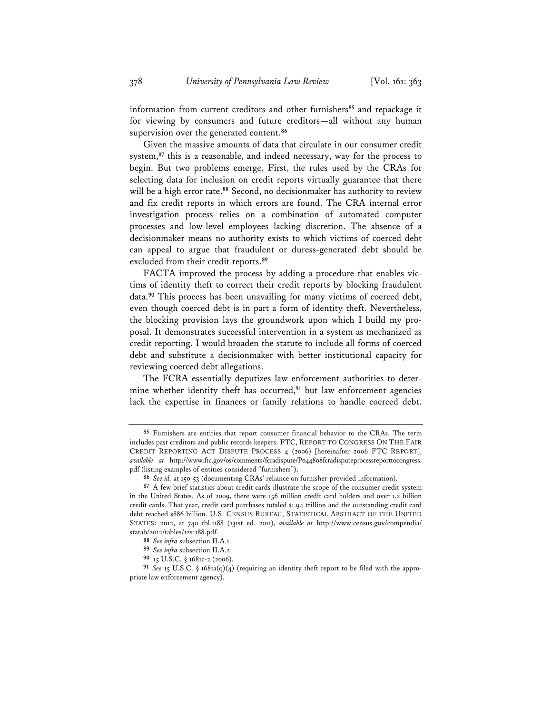information from current creditors and other furnishers**<sup>85</sup>** and repackage it for viewing by consumers and future creditors—all without any human supervision over the generated content.**<sup>86</sup>**

Given the massive amounts of data that circulate in our consumer credit system,**<sup>87</sup>** this is a reasonable, and indeed necessary, way for the process to begin. But two problems emerge. First, the rules used by the CRAs for selecting data for inclusion on credit reports virtually guarantee that there will be a high error rate.**<sup>88</sup>** Second, no decisionmaker has authority to review and fix credit reports in which errors are found. The CRA internal error investigation process relies on a combination of automated computer processes and low-level employees lacking discretion. The absence of a decisionmaker means no authority exists to which victims of coerced debt can appeal to argue that fraudulent or duress-generated debt should be excluded from their credit reports.**<sup>89</sup>**

FACTA improved the process by adding a procedure that enables victims of identity theft to correct their credit reports by blocking fraudulent data.**<sup>90</sup>** This process has been unavailing for many victims of coerced debt, even though coerced debt is in part a form of identity theft. Nevertheless, the blocking provision lays the groundwork upon which I build my proposal. It demonstrates successful intervention in a system as mechanized as credit reporting. I would broaden the statute to include all forms of coerced debt and substitute a decisionmaker with better institutional capacity for reviewing coerced debt allegations.

The FCRA essentially deputizes law enforcement authorities to determine whether identity theft has occurred,**<sup>91</sup>** but law enforcement agencies lack the expertise in finances or family relations to handle coerced debt.

**90** 15 U.S.C. § 1681c-2 (2006).

**<sup>85</sup>** Furnishers are entities that report consumer financial behavior to the CRAs. The term includes past creditors and public records keepers. FTC, REPORT TO CONGRESS ON THE FAIR CREDIT REPORTING ACT DISPUTE PROCESS 4 (2006) [hereinafter 2006 FTC REPORT], *available at* http://www.ftc.gov/os/comments/fcradispute/P044808fcradisputeprocessreporttocongress. pdf (listing examples of entities considered "furnishers").

**<sup>86</sup>** *See id.* at 150-53 (documenting CRAs' reliance on furnisher-provided information).

**<sup>87</sup>** A few brief statistics about credit cards illustrate the scope of the consumer credit system in the United States. As of 2009, there were 156 million credit card holders and over 1.2 billion credit cards. That year, credit card purchases totaled \$1.94 trillion and the outstanding credit card debt reached \$886 billion. U.S. CENSUS BUREAU, STATISTICAL ABSTRACT OF THE UNITED STATES: 2012, at 740 tbl.1188 (131st ed. 2011), *available at* http://www.census.gov/compendia/ statab/2012/tables/12s1188.pdf.

**<sup>88</sup>** *See infra* subsection II.A.1.

**<sup>89</sup>** *See infra* subsection II.A.2.

**<sup>91</sup>** *See* 15 U.S.C. § 1681a(q)(4) (requiring an identity theft report to be filed with the appropriate law enforcement agency).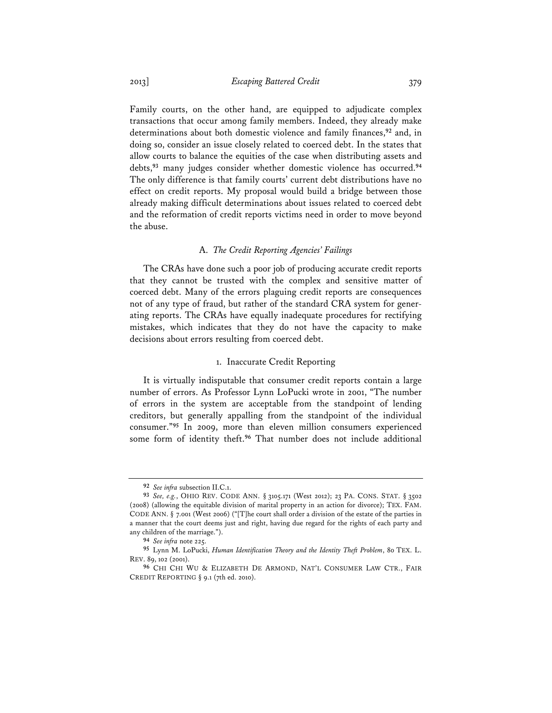2013] *Escaping Battered Credit* 379

Family courts, on the other hand, are equipped to adjudicate complex transactions that occur among family members. Indeed, they already make determinations about both domestic violence and family finances,**<sup>92</sup>** and, in doing so, consider an issue closely related to coerced debt. In the states that allow courts to balance the equities of the case when distributing assets and debts,**<sup>93</sup>** many judges consider whether domestic violence has occurred.**<sup>94</sup>** The only difference is that family courts' current debt distributions have no effect on credit reports. My proposal would build a bridge between those already making difficult determinations about issues related to coerced debt and the reformation of credit reports victims need in order to move beyond the abuse.

# A. *The Credit Reporting Agencies' Failings*

The CRAs have done such a poor job of producing accurate credit reports that they cannot be trusted with the complex and sensitive matter of coerced debt. Many of the errors plaguing credit reports are consequences not of any type of fraud, but rather of the standard CRA system for generating reports. The CRAs have equally inadequate procedures for rectifying mistakes, which indicates that they do not have the capacity to make decisions about errors resulting from coerced debt.

# 1. Inaccurate Credit Reporting

It is virtually indisputable that consumer credit reports contain a large number of errors. As Professor Lynn LoPucki wrote in 2001, "The number of errors in the system are acceptable from the standpoint of lending creditors, but generally appalling from the standpoint of the individual consumer."**<sup>95</sup>** In 2009, more than eleven million consumers experienced some form of identity theft.**<sup>96</sup>** That number does not include additional

**<sup>92</sup>** *See infra* subsection II.C.1.

**<sup>93</sup>** *See, e.g.*, OHIO REV. CODE ANN. § 3105.171 (West 2012); 23 PA. CONS. STAT. § 3502 (2008) (allowing the equitable division of marital property in an action for divorce); TEX. FAM. CODE ANN. § 7.001 (West 2006) ("[T]he court shall order a division of the estate of the parties in a manner that the court deems just and right, having due regard for the rights of each party and any children of the marriage.").

**<sup>94</sup>** *See infra* note 225.

**<sup>95</sup>** Lynn M. LoPucki, *Human Identification Theory and the Identity Theft Problem*, 80 TEX. L. REV. 89, 102 (2001).

**<sup>96</sup>** CHI CHI WU & ELIZABETH DE ARMOND, NAT'L CONSUMER LAW CTR., FAIR CREDIT REPORTING § 9.1 (7th ed. 2010).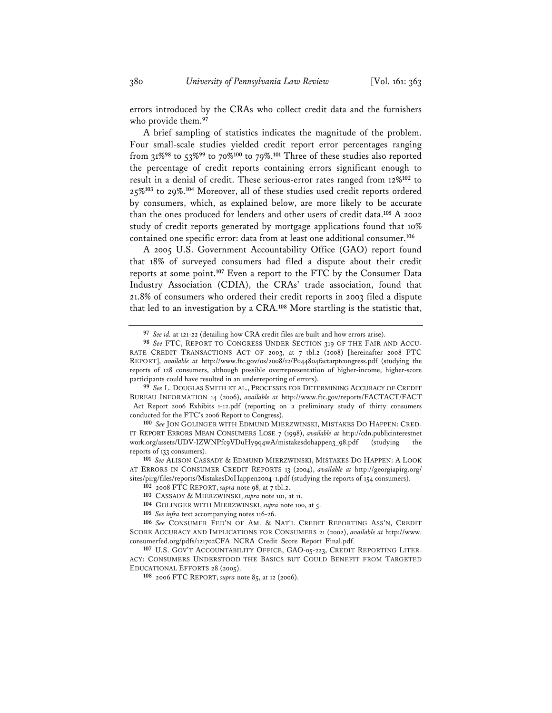errors introduced by the CRAs who collect credit data and the furnishers who provide them.**<sup>97</sup>**

A brief sampling of statistics indicates the magnitude of the problem. Four small-scale studies yielded credit report error percentages ranging from 31%**<sup>98</sup>** to 53%**<sup>99</sup>** to 70%**<sup>100</sup>** to 79%.**<sup>101</sup>** Three of these studies also reported the percentage of credit reports containing errors significant enough to result in a denial of credit. These serious-error rates ranged from 12%**<sup>102</sup>** to 25%**<sup>103</sup>** to 29%.**<sup>104</sup>** Moreover, all of these studies used credit reports ordered by consumers, which, as explained below, are more likely to be accurate than the ones produced for lenders and other users of credit data.**<sup>105</sup>** A 2002 study of credit reports generated by mortgage applications found that 10% contained one specific error: data from at least one additional consumer.**<sup>106</sup>**

A 2005 U.S. Government Accountability Office (GAO) report found that 18% of surveyed consumers had filed a dispute about their credit reports at some point.**<sup>107</sup>** Even a report to the FTC by the Consumer Data Industry Association (CDIA), the CRAs' trade association, found that 21.8% of consumers who ordered their credit reports in 2003 filed a dispute that led to an investigation by a CRA.**<sup>108</sup>** More startling is the statistic that,

**99** *See* L. DOUGLAS SMITH ET AL., PROCESSES FOR DETERMINING ACCURACY OF CREDIT BUREAU INFORMATION 14 (2006), *available at* http://www.ftc.gov/reports/FACTACT/FACT \_Act\_Report\_2006\_Exhibits\_1-12.pdf (reporting on a preliminary study of thirty consumers conducted for the FTC's 2006 Report to Congress).

**100** *See* JON GOLINGER WITH EDMUND MIERZWINSKI, MISTAKES DO HAPPEN: CRED-IT REPORT ERRORS MEAN CONSUMERS LOSE 7 (1998), *available at* http://cdn.publicinterestnet work.org/assets/UDV-IZWNPfc9VDuHy9q4wA/mistakesdohappen3\_98.pdf (studying the reports of 133 consumers).

**101** *See* ALISON CASSADY & EDMUND MIERZWINSKI, MISTAKES DO HAPPEN: A LOOK AT ERRORS IN CONSUMER CREDIT REPORTS 13 (2004), *available at* http://georgiapirg.org/ sites/pirg/files/reports/MistakesDoHappen2004-1.pdf (studying the reports of 154 consumers).

- **102** 2008 FTC REPORT, *supra* note 98, at 7 tbl.2.
- **103** CASSADY & MIERZWINSKI, *supra* note 101, at 11.
- **104** GOLINGER WITH MIERZWINSKI, *supra* note 100, at 5.
- **105** *See infra* text accompanying notes 116-26.

**106** *See* CONSUMER FED'N OF AM. & NAT'L CREDIT REPORTING ASS'N, CREDIT SCORE ACCURACY AND IMPLICATIONS FOR CONSUMERS 21 (2002), *available at* http://www. consumerfed.org/pdfs/121702CFA\_NCRA\_Credit\_Score\_Report\_Final.pdf.

**107** U.S. GOV'T ACCOUNTABILITY OFFICE, GAO-05-223, CREDIT REPORTING LITER-ACY: CONSUMERS UNDERSTOOD THE BASICS BUT COULD BENEFIT FROM TARGETED EDUCATIONAL EFFORTS 28 (2005).

**108** 2006 FTC REPORT, *supra* note 85, at 12 (2006).

**<sup>97</sup>** *See id.* at 121-22 (detailing how CRA credit files are built and how errors arise).

**<sup>98</sup>** *See* FTC, REPORT TO CONGRESS UNDER SECTION 319 OF THE FAIR AND ACCU-RATE CREDIT TRANSACTIONS ACT OF 2003, at 7 tbl.2 (2008) [hereinafter 2008 FTC REPORT], *available at* http://www.ftc.gov/os/2008/12/P044804factarptcongress.pdf (studying the reports of 128 consumers, although possible overrepresentation of higher-income, higher-score participants could have resulted in an underreporting of errors).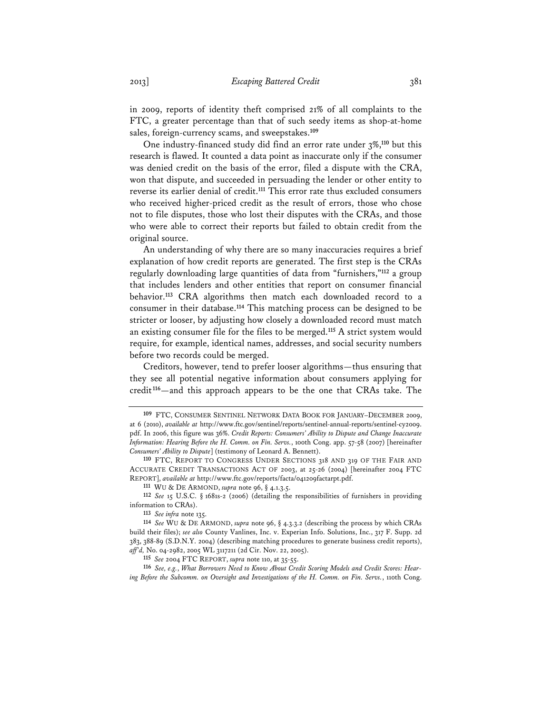in 2009, reports of identity theft comprised 21% of all complaints to the FTC, a greater percentage than that of such seedy items as shop-at-home sales, foreign-currency scams, and sweepstakes.**<sup>109</sup>**

One industry-financed study did find an error rate under 3%,**<sup>110</sup>** but this research is flawed. It counted a data point as inaccurate only if the consumer was denied credit on the basis of the error, filed a dispute with the CRA, won that dispute, and succeeded in persuading the lender or other entity to reverse its earlier denial of credit.**<sup>111</sup>** This error rate thus excluded consumers who received higher-priced credit as the result of errors, those who chose not to file disputes, those who lost their disputes with the CRAs, and those who were able to correct their reports but failed to obtain credit from the original source.

An understanding of why there are so many inaccuracies requires a brief explanation of how credit reports are generated. The first step is the CRAs regularly downloading large quantities of data from "furnishers,"**<sup>112</sup>** a group that includes lenders and other entities that report on consumer financial behavior.**<sup>113</sup>** CRA algorithms then match each downloaded record to a consumer in their database.**<sup>114</sup>** This matching process can be designed to be stricter or looser, by adjusting how closely a downloaded record must match an existing consumer file for the files to be merged.**<sup>115</sup>** A strict system would require, for example, identical names, addresses, and social security numbers before two records could be merged.

Creditors, however, tend to prefer looser algorithms—thus ensuring that they see all potential negative information about consumers applying for credit**<sup>116</sup>**—and this approach appears to be the one that CRAs take. The

**<sup>109</sup>** FTC, CONSUMER SENTINEL NETWORK DATA BOOK FOR JANUARY–DECEMBER 2009,

at 6 (2010), *available at* http://www.ftc.gov/sentinel/reports/sentinel-annual-reports/sentinel-cy2009. pdf. In 2006, this figure was 36%. *Credit Reports: Consumers' Ability to Dispute and Change Inaccurate Information: Hearing Before the H. Comm. on Fin. Servs.*, 100th Cong. app. 57-58 (2007) [hereinafter *Consumers' Ability to Dispute*] (testimony of Leonard A. Bennett).

**<sup>110</sup>** FTC, REPORT TO CONGRESS UNDER SECTIONS 318 AND 319 OF THE FAIR AND ACCURATE CREDIT TRANSACTIONS ACT OF 2003, at 25-26 (2004) [hereinafter 2004 FTC REPORT], *available at* http://www.ftc.gov/reports/facta/041209factarpt.pdf.

**<sup>111</sup>** WU & DE ARMOND, *supra* note 96, § 4.1.3.5.

**<sup>112</sup>** *See* 15 U.S.C. § 1681s-2 (2006) (detailing the responsibilities of furnishers in providing information to CRAs).

**<sup>113</sup>** *See infra* note 135.

**<sup>114</sup>** *See* WU & DE ARMOND, *supra* note 96, § 4.3.3.2 (describing the process by which CRAs build their files); *see also* County Vanlines, Inc. v. Experian Info. Solutions, Inc., 317 F. Supp. 2d 383, 388-89 (S.D.N.Y. 2004) (describing matching procedures to generate business credit reports), *aff'd,* No. 04-2982, 2005 WL 3117211 (2d Cir. Nov. 22, 2005).

**<sup>115</sup>** *See* 2004 FTC REPORT, *supra* note 110, at 35-55.

**<sup>116</sup>** *See, e.g.*, *What Borrowers Need to Know About Credit Scoring Models and Credit Scores: Hearing Before the Subcomm. on Oversight and Investigations of the H. Comm. on Fin. Servs.*, 110th Cong.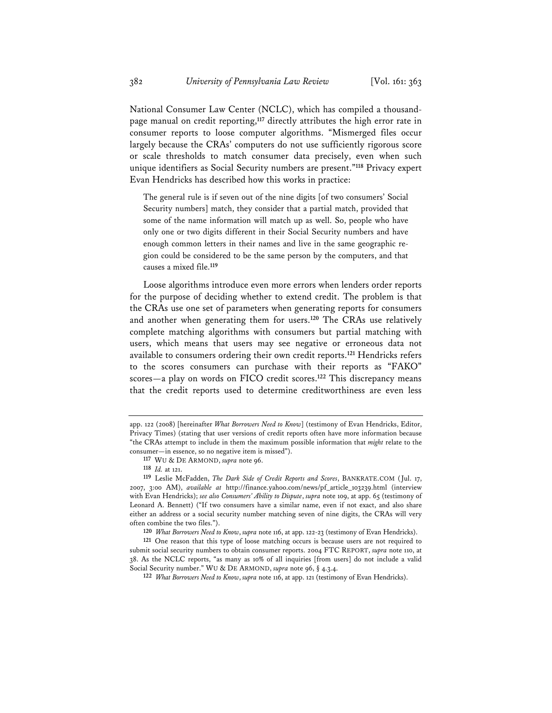National Consumer Law Center (NCLC), which has compiled a thousandpage manual on credit reporting,**<sup>117</sup>** directly attributes the high error rate in consumer reports to loose computer algorithms. "Mismerged files occur largely because the CRAs' computers do not use sufficiently rigorous score or scale thresholds to match consumer data precisely, even when such unique identifiers as Social Security numbers are present."**<sup>118</sup>** Privacy expert Evan Hendricks has described how this works in practice:

The general rule is if seven out of the nine digits [of two consumers' Social Security numbers] match, they consider that a partial match, provided that some of the name information will match up as well. So, people who have only one or two digits different in their Social Security numbers and have enough common letters in their names and live in the same geographic region could be considered to be the same person by the computers, and that causes a mixed file.**<sup>119</sup>**

Loose algorithms introduce even more errors when lenders order reports for the purpose of deciding whether to extend credit. The problem is that the CRAs use one set of parameters when generating reports for consumers and another when generating them for users.**<sup>120</sup>** The CRAs use relatively complete matching algorithms with consumers but partial matching with users, which means that users may see negative or erroneous data not available to consumers ordering their own credit reports.**<sup>121</sup>** Hendricks refers to the scores consumers can purchase with their reports as "FAKO" scores—a play on words on FICO credit scores.**<sup>122</sup>** This discrepancy means that the credit reports used to determine creditworthiness are even less

app. 122 (2008) [hereinafter *What Borrowers Need to Know*] (testimony of Evan Hendricks, Editor, Privacy Times) (stating that user versions of credit reports often have more information because "the CRAs attempt to include in them the maximum possible information that *might* relate to the consumer—in essence, so no negative item is missed").

**<sup>117</sup>** WU & DE ARMOND, *supra* note 96.

**<sup>118</sup>** *Id.* at 121.

**<sup>119</sup>** Leslie McFadden, *The Dark Side of Credit Reports and Scores*, BANKRATE.COM (Jul. 17, 2007, 3:00 AM), *available at* http://finance.yahoo.com/news/pf\_article\_103239.html (interview with Evan Hendricks); *see also Consumers' Ability to Dispute*, *supra* note 109, at app. 65 (testimony of Leonard A. Bennett) ("If two consumers have a similar name, even if not exact, and also share either an address or a social security number matching seven of nine digits, the CRAs will very often combine the two files.").

**<sup>120</sup>** *What Borrowers Need to Know*, *supra* note 116, at app. 122-23 (testimony of Evan Hendricks).

**<sup>121</sup>** One reason that this type of loose matching occurs is because users are not required to submit social security numbers to obtain consumer reports. 2004 FTC REPORT, *supra* note 110, at 38. As the NCLC reports, "as many as 10% of all inquiries [from users] do not include a valid Social Security number." WU & DE ARMOND, *supra* note 96, § 4.3.4.

**<sup>122</sup>** *What Borrowers Need to Know*, *supra* note 116, at app. 121 (testimony of Evan Hendricks).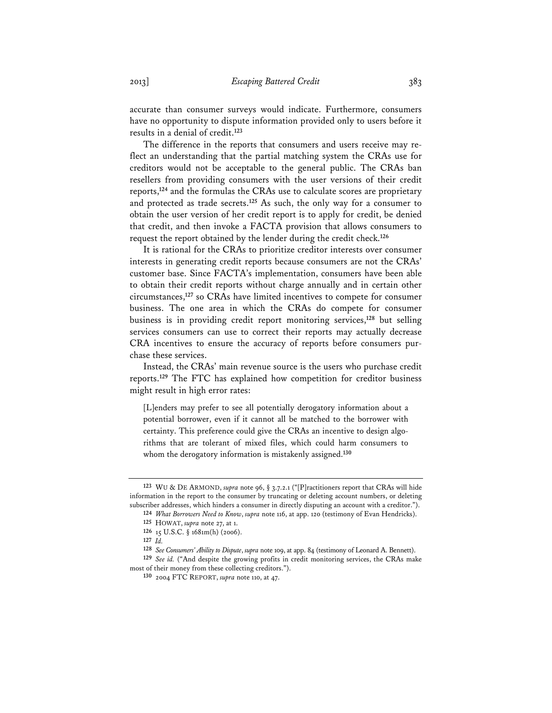accurate than consumer surveys would indicate. Furthermore, consumers have no opportunity to dispute information provided only to users before it results in a denial of credit.**<sup>123</sup>**

The difference in the reports that consumers and users receive may reflect an understanding that the partial matching system the CRAs use for creditors would not be acceptable to the general public. The CRAs ban resellers from providing consumers with the user versions of their credit reports,**<sup>124</sup>** and the formulas the CRAs use to calculate scores are proprietary and protected as trade secrets.**<sup>125</sup>** As such, the only way for a consumer to obtain the user version of her credit report is to apply for credit, be denied that credit, and then invoke a FACTA provision that allows consumers to request the report obtained by the lender during the credit check.**<sup>126</sup>**

It is rational for the CRAs to prioritize creditor interests over consumer interests in generating credit reports because consumers are not the CRAs' customer base. Since FACTA's implementation, consumers have been able to obtain their credit reports without charge annually and in certain other circumstances,**<sup>127</sup>** so CRAs have limited incentives to compete for consumer business. The one area in which the CRAs do compete for consumer business is in providing credit report monitoring services,**<sup>128</sup>** but selling services consumers can use to correct their reports may actually decrease CRA incentives to ensure the accuracy of reports before consumers purchase these services.

Instead, the CRAs' main revenue source is the users who purchase credit reports.**<sup>129</sup>** The FTC has explained how competition for creditor business might result in high error rates:

[L]enders may prefer to see all potentially derogatory information about a potential borrower, even if it cannot all be matched to the borrower with certainty. This preference could give the CRAs an incentive to design algorithms that are tolerant of mixed files, which could harm consumers to whom the derogatory information is mistakenly assigned.**<sup>130</sup>**

**129** *See id.* ("And despite the growing profits in credit monitoring services, the CRAs make most of their money from these collecting creditors.").

**<sup>123</sup>** WU & DE ARMOND, *supra* note 96, § 3.7.2.1 ("[P]ractitioners report that CRAs will hide information in the report to the consumer by truncating or deleting account numbers, or deleting subscriber addresses, which hinders a consumer in directly disputing an account with a creditor.").

**<sup>124</sup>** *What Borrowers Need to Know*, *supra* note 116, at app. 120 (testimony of Evan Hendricks).

**<sup>125</sup>** HOWAT, *supra* note 27, at 1.

**<sup>126</sup>** 15 U.S.C. § 1681m(h) (2006).

**<sup>127</sup>** *Id.*

**<sup>128</sup>** *See Consumers' Ability to Dispute*, *supra* note 109, at app. 84 (testimony of Leonard A. Bennett).

**<sup>130</sup>** 2004 FTC REPORT, *supra* note 110, at 47.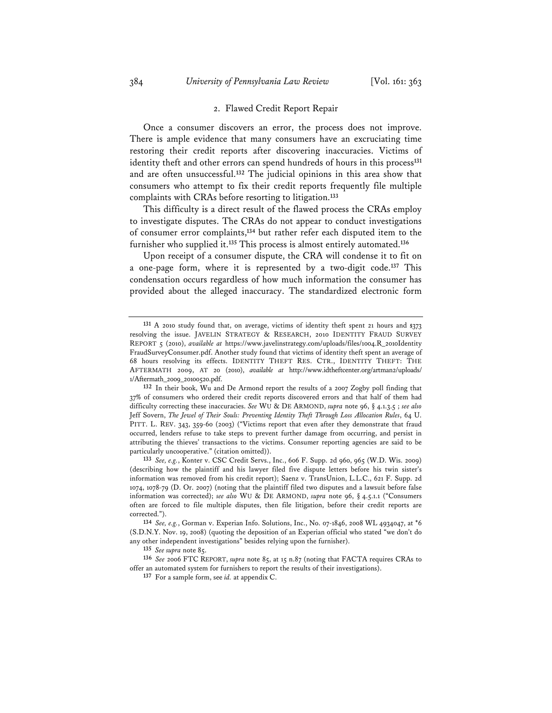# 384 *University of Pennsylvania Law Review* [Vol. 161: 363

#### 2. Flawed Credit Report Repair

Once a consumer discovers an error, the process does not improve. There is ample evidence that many consumers have an excruciating time restoring their credit reports after discovering inaccuracies. Victims of identity theft and other errors can spend hundreds of hours in this process**<sup>131</sup>** and are often unsuccessful.**<sup>132</sup>** The judicial opinions in this area show that consumers who attempt to fix their credit reports frequently file multiple complaints with CRAs before resorting to litigation.**<sup>133</sup>**

This difficulty is a direct result of the flawed process the CRAs employ to investigate disputes. The CRAs do not appear to conduct investigations of consumer error complaints,**<sup>134</sup>** but rather refer each disputed item to the furnisher who supplied it.**<sup>135</sup>** This process is almost entirely automated.**<sup>136</sup>**

Upon receipt of a consumer dispute, the CRA will condense it to fit on a one-page form, where it is represented by a two-digit code.**<sup>137</sup>** This condensation occurs regardless of how much information the consumer has provided about the alleged inaccuracy. The standardized electronic form

**133** *See, e.g.*, Konter v. CSC Credit Servs., Inc., 606 F. Supp. 2d 960, 965 (W.D. Wis. 2009) (describing how the plaintiff and his lawyer filed five dispute letters before his twin sister's information was removed from his credit report); Saenz v. TransUnion, L.L.C., 621 F. Supp. 2d 1074, 1078-79 (D. Or. 2007) (noting that the plaintiff filed two disputes and a lawsuit before false information was corrected); *see also* WU & DE ARMOND, *supra* note 96, § 4.5.1.1 ("Consumers often are forced to file multiple disputes, then file litigation, before their credit reports are corrected.").

**135** *See supra* note 85.

**<sup>131</sup>** A 2010 study found that, on average, victims of identity theft spent 21 hours and \$373 resolving the issue. JAVELIN STRATEGY & RESEARCH, 2010 IDENTITY FRAUD SURVEY REPORT 5 (2010), *available at* https://www.javelinstrategy.com/uploads/files/1004.R\_2010Identity FraudSurveyConsumer.pdf. Another study found that victims of identity theft spent an average of 68 hours resolving its effects. IDENTITY THEFT RES. CTR., IDENTITY THEFT: THE AFTERMATH 2009, AT 20 (2010), *available at* http://www.idtheftcenter.org/artman2/uploads/ 1/Aftermath\_2009\_20100520.pdf.

**<sup>132</sup>** In their book, Wu and De Armond report the results of a 2007 Zogby poll finding that 37% of consumers who ordered their credit reports discovered errors and that half of them had difficulty correcting these inaccuracies. *See* WU & DE ARMOND, *supra* note 96, § 4.1.3.5 ; *see also* Jeff Sovern, *The Jewel of Their Souls: Preventing Identity Theft Through Loss Allocation Rules*, 64 U. PITT. L. REV. 343, 359-60 (2003) ("Victims report that even after they demonstrate that fraud occurred, lenders refuse to take steps to prevent further damage from occurring, and persist in attributing the thieves' transactions to the victims. Consumer reporting agencies are said to be particularly uncooperative." (citation omitted)).

**<sup>134</sup>** *See, e.g.*, Gorman v. Experian Info. Solutions, Inc., No. 07-1846, 2008 WL 4934047, at \*6 (S.D.N.Y. Nov. 19, 2008) (quoting the deposition of an Experian official who stated "we don't do any other independent investigations" besides relying upon the furnisher).

**<sup>136</sup>** *See* 2006 FTC REPORT, *supra* note 85, at 15 n.87 (noting that FACTA requires CRAs to offer an automated system for furnishers to report the results of their investigations).

**<sup>137</sup>** For a sample form, see *id.* at appendix C.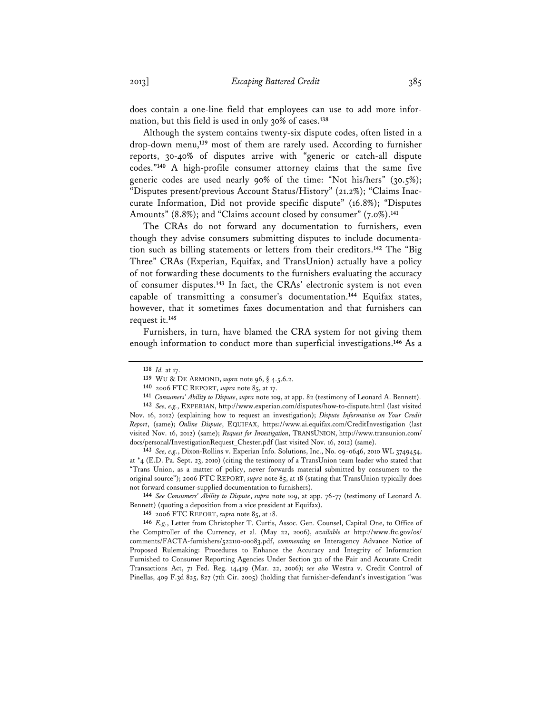does contain a one-line field that employees can use to add more information, but this field is used in only 30% of cases.**<sup>138</sup>**

Although the system contains twenty-six dispute codes, often listed in a drop-down menu,**<sup>139</sup>** most of them are rarely used. According to furnisher reports, 30-40% of disputes arrive with "generic or catch-all dispute codes."**<sup>140</sup>** A high-profile consumer attorney claims that the same five generic codes are used nearly 90% of the time: "Not his/hers" (30.5%); "Disputes present/previous Account Status/History" (21.2%); "Claims Inaccurate Information, Did not provide specific dispute" (16.8%); "Disputes Amounts" (8.8%); and "Claims account closed by consumer" (7.0%).**<sup>141</sup>**

The CRAs do not forward any documentation to furnishers, even though they advise consumers submitting disputes to include documentation such as billing statements or letters from their creditors.**<sup>142</sup>** The "Big Three" CRAs (Experian, Equifax, and TransUnion) actually have a policy of not forwarding these documents to the furnishers evaluating the accuracy of consumer disputes.**<sup>143</sup>** In fact, the CRAs' electronic system is not even capable of transmitting a consumer's documentation.**<sup>144</sup>** Equifax states, however, that it sometimes faxes documentation and that furnishers can request it.**<sup>145</sup>**

Furnishers, in turn, have blamed the CRA system for not giving them enough information to conduct more than superficial investigations.**<sup>146</sup>** As a

**142** *See, e.g.*, EXPERIAN, http://www.experian.com/disputes/how-to-dispute.html (last visited Nov. 16, 2012) (explaining how to request an investigation); *Dispute Information on Your Credit Report*, (same); *Online Dispute*, EQUIFAX, https://www.ai.equifax.com/CreditInvestigation (last visited Nov. 16, 2012) (same); *Request for Investigation*, TRANSUNION, http://www.transunion.com/ docs/personal/InvestigationRequest\_Chester.pdf (last visited Nov. 16, 2012) (same).

**143** *See, e.g.*, Dixon-Rollins v. Experian Info. Solutions, Inc., No. 09-0646, 2010 WL 3749454, at \*4 (E.D. Pa. Sept. 23, 2010) (citing the testimony of a TransUnion team leader who stated that "Trans Union, as a matter of policy, never forwards material submitted by consumers to the original source"); 2006 FTC REPORT, *supra* note 85, at 18 (stating that TransUnion typically does not forward consumer-supplied documentation to furnishers).

**144** *See Consumers' Ability to Dispute*, *supra* note 109, at app. 76-77 (testimony of Leonard A. Bennett) (quoting a deposition from a vice president at Equifax).

**145** 2006 FTC REPORT, *supra* note 85, at 18.

**146** *E.g.*, Letter from Christopher T. Curtis, Assoc. Gen. Counsel, Capital One, to Office of the Comptroller of the Currency, et al. (May 22, 2006), *available at* http://www.ftc.gov/os/ comments/FACTA-furnishers/522110-00083.pdf, *commenting on* Interagency Advance Notice of Proposed Rulemaking: Procedures to Enhance the Accuracy and Integrity of Information Furnished to Consumer Reporting Agencies Under Section 312 of the Fair and Accurate Credit Transactions Act, 71 Fed. Reg. 14,419 (Mar. 22, 2006); *see also* Westra v. Credit Control of Pinellas, 409 F.3d 825, 827 (7th Cir. 2005) (holding that furnisher-defendant's investigation "was

**<sup>138</sup>** *Id.* at 17.

**<sup>139</sup>** WU & DE ARMOND, *supra* note 96, § 4.5.6.2.

**<sup>140</sup>** 2006 FTC REPORT, *supra* note 85, at 17.

**<sup>141</sup>** *Consumers' Ability to Dispute*, *supra* note 109, at app. 82 (testimony of Leonard A. Bennett).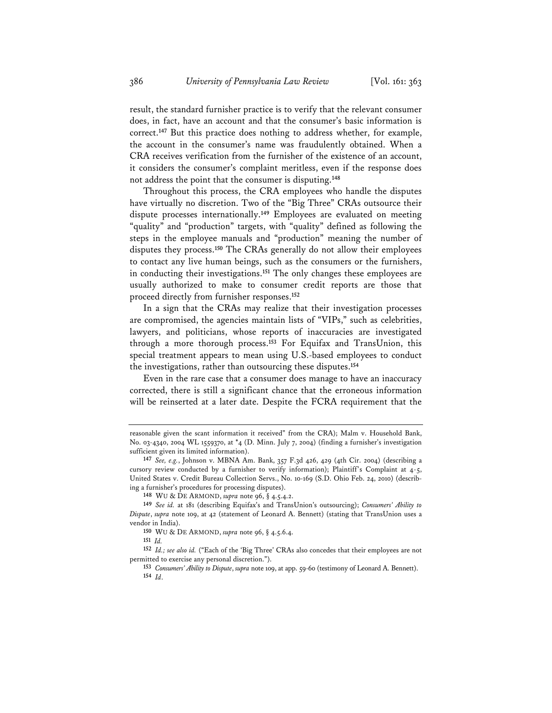result, the standard furnisher practice is to verify that the relevant consumer does, in fact, have an account and that the consumer's basic information is correct.**<sup>147</sup>** But this practice does nothing to address whether, for example, the account in the consumer's name was fraudulently obtained. When a CRA receives verification from the furnisher of the existence of an account, it considers the consumer's complaint meritless, even if the response does not address the point that the consumer is disputing.**<sup>148</sup>**

Throughout this process, the CRA employees who handle the disputes have virtually no discretion. Two of the "Big Three" CRAs outsource their dispute processes internationally.**<sup>149</sup>** Employees are evaluated on meeting "quality" and "production" targets, with "quality" defined as following the steps in the employee manuals and "production" meaning the number of disputes they process.**<sup>150</sup>** The CRAs generally do not allow their employees to contact any live human beings, such as the consumers or the furnishers, in conducting their investigations.**<sup>151</sup>** The only changes these employees are usually authorized to make to consumer credit reports are those that proceed directly from furnisher responses.**<sup>152</sup>**

In a sign that the CRAs may realize that their investigation processes are compromised, the agencies maintain lists of "VIPs," such as celebrities, lawyers, and politicians, whose reports of inaccuracies are investigated through a more thorough process.**<sup>153</sup>** For Equifax and TransUnion, this special treatment appears to mean using U.S.-based employees to conduct the investigations, rather than outsourcing these disputes.**<sup>154</sup>**

Even in the rare case that a consumer does manage to have an inaccuracy corrected, there is still a significant chance that the erroneous information will be reinserted at a later date. Despite the FCRA requirement that the

**148** WU & DE ARMOND, *supra* note 96, § 4.5.4.2.

reasonable given the scant information it received" from the CRA); Malm v. Household Bank, No. 03-4340, 2004 WL 1559370, at \*4 (D. Minn. July 7, 2004) (finding a furnisher's investigation sufficient given its limited information).

**<sup>147</sup>** *See, e.g.*, Johnson v. MBNA Am. Bank, 357 F.3d 426, 429 (4th Cir. 2004) (describing a cursory review conducted by a furnisher to verify information); Plaintiff's Complaint at 4-5, United States v. Credit Bureau Collection Servs., No. 10-169 (S.D. Ohio Feb. 24, 2010) (describing a furnisher's procedures for processing disputes).

**<sup>149</sup>** *See id.* at 181 (describing Equifax's and TransUnion's outsourcing); *Consumers' Ability to Dispute*, *supra* note 109, at 42 (statement of Leonard A. Bennett) (stating that TransUnion uses a vendor in India).

**<sup>150</sup>** WU & DE ARMOND, *supra* note 96, § 4.5.6.4.

**<sup>151</sup>** *Id.*

**<sup>152</sup>** *Id.; see also id.* ("Each of the 'Big Three' CRAs also concedes that their employees are not permitted to exercise any personal discretion.").

**<sup>153</sup>** *Consumers' Ability to Dispute*, *supra* note 109, at app. 59-60 (testimony of Leonard A. Bennett). **154** *Id*.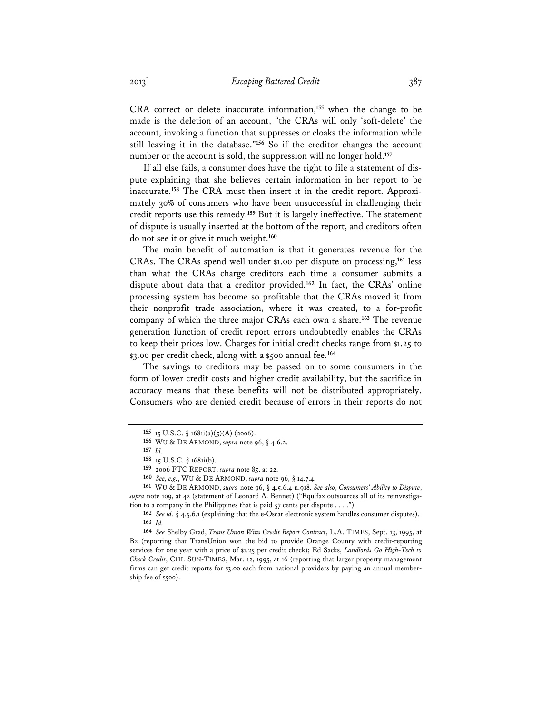CRA correct or delete inaccurate information,**<sup>155</sup>** when the change to be made is the deletion of an account, "the CRAs will only 'soft-delete' the account, invoking a function that suppresses or cloaks the information while still leaving it in the database."**<sup>156</sup>** So if the creditor changes the account number or the account is sold, the suppression will no longer hold.**<sup>157</sup>**

If all else fails, a consumer does have the right to file a statement of dispute explaining that she believes certain information in her report to be inaccurate.**158** The CRA must then insert it in the credit report. Approximately 30% of consumers who have been unsuccessful in challenging their credit reports use this remedy.**<sup>159</sup>** But it is largely ineffective. The statement of dispute is usually inserted at the bottom of the report, and creditors often do not see it or give it much weight.**<sup>160</sup>**

The main benefit of automation is that it generates revenue for the CRAs. The CRAs spend well under \$1.00 per dispute on processing,**<sup>161</sup>** less than what the CRAs charge creditors each time a consumer submits a dispute about data that a creditor provided.**<sup>162</sup>** In fact, the CRAs' online processing system has become so profitable that the CRAs moved it from their nonprofit trade association, where it was created, to a for-profit company of which the three major CRAs each own a share.**<sup>163</sup>** The revenue generation function of credit report errors undoubtedly enables the CRAs to keep their prices low. Charges for initial credit checks range from \$1.25 to \$3.00 per credit check, along with a \$500 annual fee.**<sup>164</sup>**

The savings to creditors may be passed on to some consumers in the form of lower credit costs and higher credit availability, but the sacrifice in accuracy means that these benefits will not be distributed appropriately. Consumers who are denied credit because of errors in their reports do not

**161** WU & DE ARMOND, *supra* note 96, § 4.5.6.4 n.918. *See also*, *Consumers' Ability to Dispute*, *supra* note 109, at 42 (statement of Leonard A. Bennet) ("Equifax outsources all of its reinvestigation to a company in the Philippines that is paid  $57$  cents per dispute . . . .").

**<sup>155</sup>** 15 U.S.C. § 1681i(a)(5)(A) (2006).

**<sup>156</sup>** WU & DE ARMOND, *supra* note 96, § 4.6.2.

**<sup>157</sup>** *Id.*

**<sup>158</sup>** 15 U.S.C. § 1681i(b).

**<sup>159</sup>** 2006 FTC REPORT, *supra* note 85, at 22.

**<sup>160</sup>** *See, e.g.*, WU & DE ARMOND, *supra* note 96, § 14.7.4.

**<sup>162</sup>** *See id.* § 4.5.6.1 (explaining that the e-Oscar electronic system handles consumer disputes). **163** *Id.*

**<sup>164</sup>** *See* Shelby Grad, *Trans Union Wins Credit Report Contract*, L.A. TIMES, Sept. 13, 1995, at B2 (reporting that TransUnion won the bid to provide Orange County with credit-reporting services for one year with a price of \$1.25 per credit check); Ed Sacks, *Landlords Go High-Tech to Check Credit*, CHI. SUN-TIMES, Mar. 12, 1995, at 16 (reporting that larger property management firms can get credit reports for \$3.00 each from national providers by paying an annual membership fee of \$500).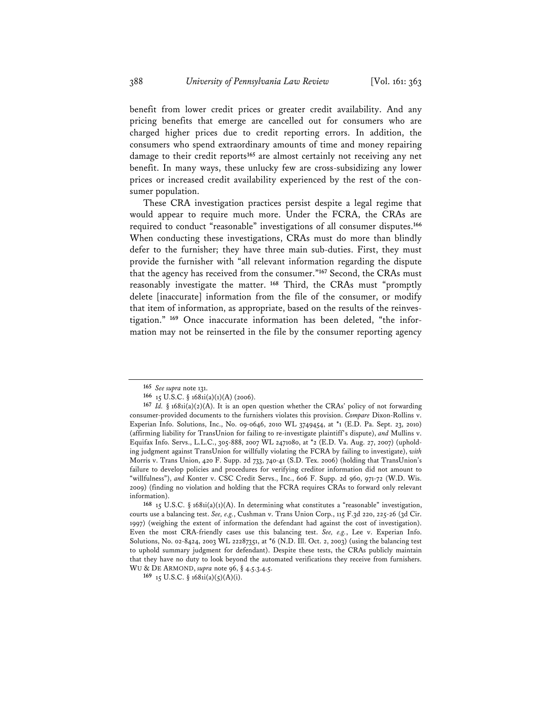benefit from lower credit prices or greater credit availability. And any pricing benefits that emerge are cancelled out for consumers who are charged higher prices due to credit reporting errors. In addition, the consumers who spend extraordinary amounts of time and money repairing damage to their credit reports**<sup>165</sup>** are almost certainly not receiving any net benefit. In many ways, these unlucky few are cross-subsidizing any lower prices or increased credit availability experienced by the rest of the consumer population.

These CRA investigation practices persist despite a legal regime that would appear to require much more. Under the FCRA, the CRAs are required to conduct "reasonable" investigations of all consumer disputes.**<sup>166</sup>** When conducting these investigations, CRAs must do more than blindly defer to the furnisher; they have three main sub-duties. First, they must provide the furnisher with "all relevant information regarding the dispute that the agency has received from the consumer."**<sup>167</sup>** Second, the CRAs must reasonably investigate the matter.**<sup>168</sup>** Third, the CRAs must "promptly delete [inaccurate] information from the file of the consumer, or modify that item of information, as appropriate, based on the results of the reinvestigation." **169** Once inaccurate information has been deleted, "the information may not be reinserted in the file by the consumer reporting agency

**<sup>165</sup>** *See supra* note 131.

**<sup>166</sup>** 15 U.S.C. § 1681i(a)(1)(A) (2006).

**<sup>167</sup>** *Id.* § 1681i(a)(2)(A). It is an open question whether the CRAs' policy of not forwarding consumer-provided documents to the furnishers violates this provision. *Compare* Dixon-Rollins v. Experian Info. Solutions, Inc., No. 09-0646, 2010 WL 3749454, at \*1 (E.D. Pa. Sept. 23, 2010) (affirming liability for TransUnion for failing to re-investigate plaintiff's dispute), *and* Mullins v. Equifax Info. Servs., L.L.C., 305-888, 2007 WL 2471080, at \*2 (E.D. Va. Aug. 27, 2007) (upholding judgment against TransUnion for willfully violating the FCRA by failing to investigate), *with* Morris v. Trans Union, 420 F. Supp. 2d 733, 740-41 (S.D. Tex. 2006) (holding that TransUnion's failure to develop policies and procedures for verifying creditor information did not amount to "willfulness"), *and* Konter v. CSC Credit Servs., Inc., 606 F. Supp. 2d 960, 971-72 (W.D. Wis. 2009) (finding no violation and holding that the FCRA requires CRAs to forward only relevant information).

**<sup>168</sup>** 15 U.S.C. § 1681i(a)(1)(A). In determining what constitutes a "reasonable" investigation, courts use a balancing test. *See, e.g.*, Cushman v. Trans Union Corp., 115 F.3d 220, 225-26 (3d Cir. 1997) (weighing the extent of information the defendant had against the cost of investigation). Even the most CRA-friendly cases use this balancing test. *See, e.g.*, Lee v. Experian Info. Solutions, No. 02-8424, 2003 WL 22287351, at \*6 (N.D. Ill. Oct. 2, 2003) (using the balancing test to uphold summary judgment for defendant). Despite these tests, the CRAs publicly maintain that they have no duty to look beyond the automated verifications they receive from furnishers. WU & DE ARMOND, *supra* note 96, § 4.5.3.4.5.

**<sup>169</sup>** 15 U.S.C. § 1681i(a)(5)(A)(i).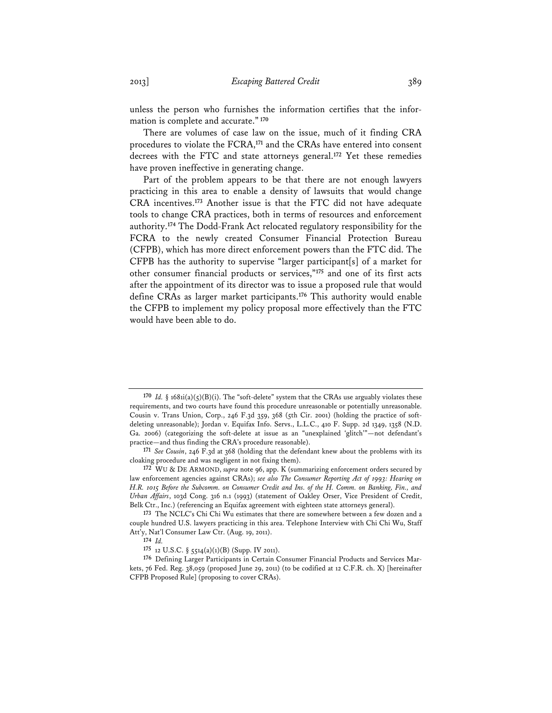unless the person who furnishes the information certifies that the information is complete and accurate."**<sup>170</sup>**

There are volumes of case law on the issue, much of it finding CRA procedures to violate the FCRA,**<sup>171</sup>** and the CRAs have entered into consent decrees with the FTC and state attorneys general.**<sup>172</sup>** Yet these remedies have proven ineffective in generating change.

Part of the problem appears to be that there are not enough lawyers practicing in this area to enable a density of lawsuits that would change CRA incentives.**<sup>173</sup>** Another issue is that the FTC did not have adequate tools to change CRA practices, both in terms of resources and enforcement authority.**<sup>174</sup>** The Dodd-Frank Act relocated regulatory responsibility for the FCRA to the newly created Consumer Financial Protection Bureau (CFPB), which has more direct enforcement powers than the FTC did. The CFPB has the authority to supervise "larger participant[s] of a market for other consumer financial products or services,"**<sup>175</sup>** and one of its first acts after the appointment of its director was to issue a proposed rule that would define CRAs as larger market participants.**<sup>176</sup>** This authority would enable the CFPB to implement my policy proposal more effectively than the FTC would have been able to do.

**<sup>170</sup>** *Id.* § 1681i(a)(5)(B)(i). The "soft-delete" system that the CRAs use arguably violates these requirements, and two courts have found this procedure unreasonable or potentially unreasonable. Cousin v. Trans Union, Corp., 246 F.3d 359, 368 (5th Cir. 2001) (holding the practice of softdeleting unreasonable); Jordan v. Equifax Info. Servs., L.L.C., 410 F. Supp. 2d 1349, 1358 (N.D. Ga. 2006) (categorizing the soft-delete at issue as an "unexplained 'glitch'"—not defendant's practice—and thus finding the CRA's procedure reasonable).

**<sup>171</sup>** *See Cousin*, 246 F.3d at 368 (holding that the defendant knew about the problems with its cloaking procedure and was negligent in not fixing them).

**<sup>172</sup>** WU & DE ARMOND, *supra* note 96, app. K (summarizing enforcement orders secured by law enforcement agencies against CRAs); *see also The Consumer Reporting Act of 1993: Hearing on H.R. 1015 Before the Subcomm. on Consumer Credit and Ins. of the H. Comm. on Banking, Fin., and Urban Affairs*, 103d Cong. 316 n.1 (1993) (statement of Oakley Orser, Vice President of Credit, Belk Ctr., Inc.) (referencing an Equifax agreement with eighteen state attorneys general).

**<sup>173</sup>** The NCLC's Chi Chi Wu estimates that there are somewhere between a few dozen and a couple hundred U.S. lawyers practicing in this area. Telephone Interview with Chi Chi Wu, Staff Att'y, Nat'l Consumer Law Ctr. (Aug. 19, 2011).

**<sup>174</sup>** *Id.* 

**<sup>175</sup>** 12 U.S.C. § 5514(a)(1)(B) (Supp. IV 2011).

**<sup>176</sup>** Defining Larger Participants in Certain Consumer Financial Products and Services Markets, 76 Fed. Reg. 38,059 (proposed June 29, 2011) (to be codified at 12 C.F.R. ch. X) [hereinafter CFPB Proposed Rule] (proposing to cover CRAs).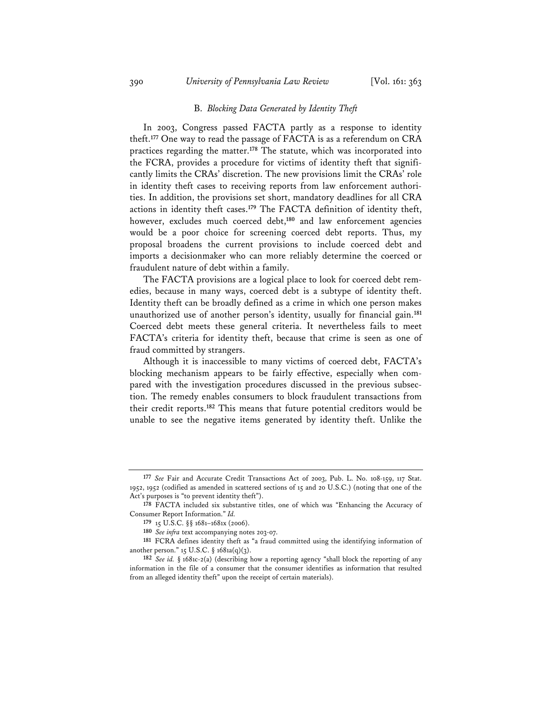#### B. *Blocking Data Generated by Identity Theft*

In 2003, Congress passed FACTA partly as a response to identity theft.**<sup>177</sup>** One way to read the passage of FACTA is as a referendum on CRA practices regarding the matter.**<sup>178</sup>** The statute, which was incorporated into the FCRA, provides a procedure for victims of identity theft that significantly limits the CRAs' discretion. The new provisions limit the CRAs' role in identity theft cases to receiving reports from law enforcement authorities. In addition, the provisions set short, mandatory deadlines for all CRA actions in identity theft cases.**<sup>179</sup>** The FACTA definition of identity theft, however, excludes much coerced debt,**<sup>180</sup>** and law enforcement agencies would be a poor choice for screening coerced debt reports. Thus, my proposal broadens the current provisions to include coerced debt and imports a decisionmaker who can more reliably determine the coerced or fraudulent nature of debt within a family.

The FACTA provisions are a logical place to look for coerced debt remedies, because in many ways, coerced debt is a subtype of identity theft. Identity theft can be broadly defined as a crime in which one person makes unauthorized use of another person's identity, usually for financial gain.**<sup>181</sup>** Coerced debt meets these general criteria. It nevertheless fails to meet FACTA's criteria for identity theft, because that crime is seen as one of fraud committed by strangers.

Although it is inaccessible to many victims of coerced debt, FACTA's blocking mechanism appears to be fairly effective, especially when compared with the investigation procedures discussed in the previous subsection. The remedy enables consumers to block fraudulent transactions from their credit reports.**<sup>182</sup>** This means that future potential creditors would be unable to see the negative items generated by identity theft. Unlike the

**<sup>177</sup>** *See* Fair and Accurate Credit Transactions Act of 2003, Pub. L. No. 108-159, 117 Stat. 1952, 1952 (codified as amended in scattered sections of 15 and 20 U.S.C.) (noting that one of the Act's purposes is "to prevent identity theft").

**<sup>178</sup>** FACTA included six substantive titles, one of which was "Enhancing the Accuracy of Consumer Report Information." *Id.*

**<sup>179</sup>** 15 U.S.C. §§ 1681–1681x (2006).

**<sup>180</sup>** *See infra* text accompanying notes 203-07.

**<sup>181</sup>** FCRA defines identity theft as "a fraud committed using the identifying information of another person."  $15$  U.S.C. §  $1681a(q)(3)$ .

**<sup>182</sup>** *See id.* § 1681c-2(a) (describing how a reporting agency "shall block the reporting of any information in the file of a consumer that the consumer identifies as information that resulted from an alleged identity theft" upon the receipt of certain materials).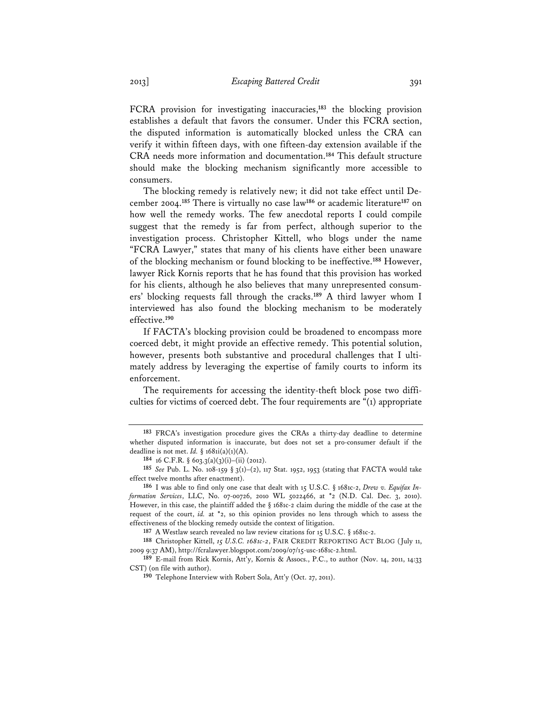FCRA provision for investigating inaccuracies,**<sup>183</sup>** the blocking provision establishes a default that favors the consumer. Under this FCRA section, the disputed information is automatically blocked unless the CRA can verify it within fifteen days, with one fifteen-day extension available if the CRA needs more information and documentation.**<sup>184</sup>** This default structure should make the blocking mechanism significantly more accessible to consumers.

The blocking remedy is relatively new; it did not take effect until December 2004.**<sup>185</sup>** There is virtually no case law**<sup>186</sup>** or academic literature**<sup>187</sup>** on how well the remedy works. The few anecdotal reports I could compile suggest that the remedy is far from perfect, although superior to the investigation process. Christopher Kittell, who blogs under the name "FCRA Lawyer," states that many of his clients have either been unaware of the blocking mechanism or found blocking to be ineffective.**<sup>188</sup>** However, lawyer Rick Kornis reports that he has found that this provision has worked for his clients, although he also believes that many unrepresented consumers' blocking requests fall through the cracks.**<sup>189</sup>** A third lawyer whom I interviewed has also found the blocking mechanism to be moderately effective.**<sup>190</sup>**

If FACTA's blocking provision could be broadened to encompass more coerced debt, it might provide an effective remedy. This potential solution, however, presents both substantive and procedural challenges that I ultimately address by leveraging the expertise of family courts to inform its enforcement.

The requirements for accessing the identity-theft block pose two difficulties for victims of coerced debt. The four requirements are "(1) appropriate

**187** A Westlaw search revealed no law review citations for 15 U.S.C. § 1681c-2.

**<sup>183</sup>** FRCA's investigation procedure gives the CRAs a thirty-day deadline to determine whether disputed information is inaccurate, but does not set a pro-consumer default if the deadline is not met. *Id.* § 1681i(a)(1)(A).

**<sup>184</sup>** 16 C.F.R. § 603.3(a)(3)(i)–(ii) (2012).

**<sup>185</sup>** *See* Pub. L. No. 108-159 § 3(1)–(2), 117 Stat. 1952, 1953 (stating that FACTA would take effect twelve months after enactment).

**<sup>186</sup>** I was able to find only one case that dealt with 15 U.S.C. § 1681c-2, *Drew v. Equifax Information Services*, LLC, No. 07-00726, 2010 WL 5022466, at \*2 (N.D. Cal. Dec. 3, 2010). However, in this case, the plaintiff added the § 1681c-2 claim during the middle of the case at the request of the court, *id.* at \*2, so this opinion provides no lens through which to assess the effectiveness of the blocking remedy outside the context of litigation.

**<sup>188</sup>** Christopher Kittell, *15 U.S.C. 1681c-2*, FAIR CREDIT REPORTING ACT BLOG (July 11, 2009 9:37 AM), http://fcralawyer.blogspot.com/2009/07/15-usc-1681c-2.html.

**<sup>189</sup>** E-mail from Rick Kornis, Att'y, Kornis & Assocs., P.C., to author (Nov. 14, 2011, 14:33 CST) (on file with author).

**<sup>190</sup>** Telephone Interview with Robert Sola, Att'y (Oct. 27, 2011).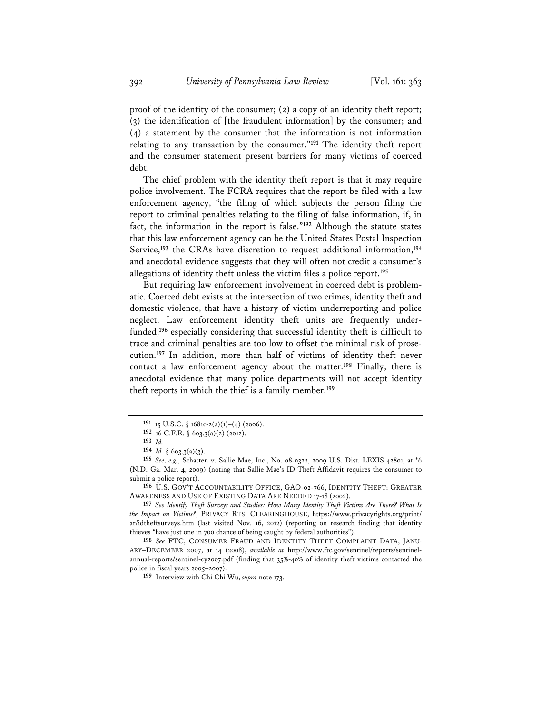proof of the identity of the consumer; (2) a copy of an identity theft report; (3) the identification of [the fraudulent information] by the consumer; and (4) a statement by the consumer that the information is not information relating to any transaction by the consumer."**<sup>191</sup>** The identity theft report and the consumer statement present barriers for many victims of coerced debt.

The chief problem with the identity theft report is that it may require police involvement. The FCRA requires that the report be filed with a law enforcement agency, "the filing of which subjects the person filing the report to criminal penalties relating to the filing of false information, if, in fact, the information in the report is false."**<sup>192</sup>** Although the statute states that this law enforcement agency can be the United States Postal Inspection Service,**<sup>193</sup>** the CRAs have discretion to request additional information,**<sup>194</sup>** and anecdotal evidence suggests that they will often not credit a consumer's allegations of identity theft unless the victim files a police report.**<sup>195</sup>**

But requiring law enforcement involvement in coerced debt is problematic. Coerced debt exists at the intersection of two crimes, identity theft and domestic violence, that have a history of victim underreporting and police neglect. Law enforcement identity theft units are frequently underfunded,**<sup>196</sup>** especially considering that successful identity theft is difficult to trace and criminal penalties are too low to offset the minimal risk of prosecution.**<sup>197</sup>** In addition, more than half of victims of identity theft never contact a law enforcement agency about the matter.**<sup>198</sup>** Finally, there is anecdotal evidence that many police departments will not accept identity theft reports in which the thief is a family member.**<sup>199</sup>**

**196** U.S. GOV'T ACCOUNTABILITY OFFICE, GAO-02-766, IDENTITY THEFT: GREATER AWARENESS AND USE OF EXISTING DATA ARE NEEDED 17-18 (2002).

**197** *See Identify Theft Surveys and Studies: How Many Identity Theft Victims Are There? What Is the Impact on Victims?*, PRIVACY RTS. CLEARINGHOUSE, https://www.privacyrights.org/print/ ar/idtheftsurveys.htm (last visited Nov. 16, 2012) (reporting on research finding that identity thieves "have just one in 700 chance of being caught by federal authorities").

**198** *See* FTC, CONSUMER FRAUD AND IDENTITY THEFT COMPLAINT DATA, JANU-ARY–DECEMBER 2007, at 14 (2008), *available at* http://www.ftc.gov/sentinel/reports/sentinelannual-reports/sentinel-cy2007.pdf (finding that 35%-40% of identity theft victims contacted the police in fiscal years 2005–2007).

**199** Interview with Chi Chi Wu, *supra* note 173.

**<sup>191</sup>** 15 U.S.C. § 1681c-2(a)(1)–(4) (2006).

**<sup>192</sup>** 16 C.F.R. § 603.3(a)(2) (2012).

**<sup>193</sup>** *Id.*

**<sup>194</sup>** *Id.* § 603.3(a)(3).

**<sup>195</sup>** *See, e.g.*, Schatten v. Sallie Mae, Inc., No. 08-0322, 2009 U.S. Dist. LEXIS 42801, at \*6 (N.D. Ga. Mar. 4, 2009) (noting that Sallie Mae's ID Theft Affidavit requires the consumer to submit a police report).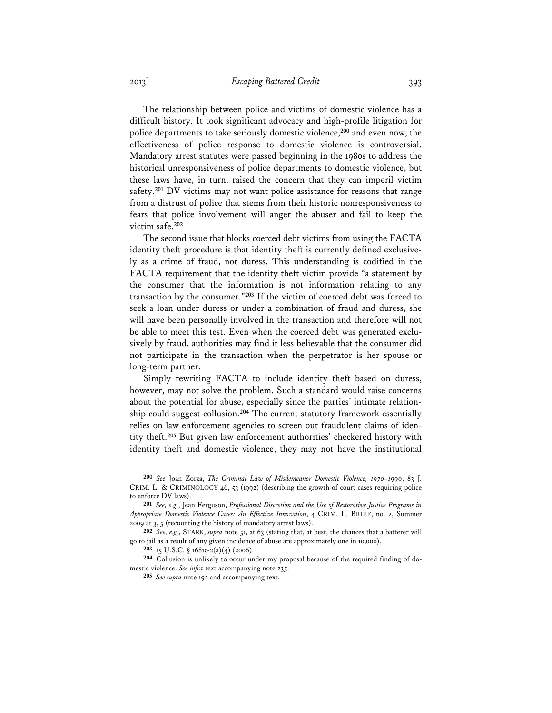The relationship between police and victims of domestic violence has a difficult history. It took significant advocacy and high-profile litigation for police departments to take seriously domestic violence,**<sup>200</sup>** and even now, the effectiveness of police response to domestic violence is controversial. Mandatory arrest statutes were passed beginning in the 1980s to address the historical unresponsiveness of police departments to domestic violence, but these laws have, in turn, raised the concern that they can imperil victim safety.**<sup>201</sup>** DV victims may not want police assistance for reasons that range from a distrust of police that stems from their historic nonresponsiveness to fears that police involvement will anger the abuser and fail to keep the victim safe.**<sup>202</sup>**

The second issue that blocks coerced debt victims from using the FACTA identity theft procedure is that identity theft is currently defined exclusively as a crime of fraud, not duress. This understanding is codified in the FACTA requirement that the identity theft victim provide "a statement by the consumer that the information is not information relating to any transaction by the consumer."**<sup>203</sup>** If the victim of coerced debt was forced to seek a loan under duress or under a combination of fraud and duress, she will have been personally involved in the transaction and therefore will not be able to meet this test. Even when the coerced debt was generated exclusively by fraud, authorities may find it less believable that the consumer did not participate in the transaction when the perpetrator is her spouse or long-term partner.

Simply rewriting FACTA to include identity theft based on duress, however, may not solve the problem. Such a standard would raise concerns about the potential for abuse, especially since the parties' intimate relationship could suggest collusion.**<sup>204</sup>** The current statutory framework essentially relies on law enforcement agencies to screen out fraudulent claims of identity theft.**<sup>205</sup>** But given law enforcement authorities' checkered history with identity theft and domestic violence, they may not have the institutional

**<sup>200</sup>** *See* Joan Zorza, *The Criminal Law of Misdemeanor Domestic Violence, 1970–1990*, 83 J. CRIM. L. & CRIMINOLOGY 46, 53 (1992) (describing the growth of court cases requiring police to enforce DV laws).

**<sup>201</sup>** *See, e.g.*, Jean Ferguson, *Professional Discretion and the Use of Restorative Justice Programs in Appropriate Domestic Violence Cases: An Effective Innovation*, 4 CRIM. L. BRIEF, no. 2, Summer 2009 at 3, 5 (recounting the history of mandatory arrest laws).

**<sup>202</sup>** *See, e.g.*, STARK, *supra* note 51, at 63 (stating that, at best, the chances that a batterer will go to jail as a result of any given incidence of abuse are approximately one in 10,000).

**<sup>203</sup>** 15 U.S.C. § 1681c-2(a)(4) (2006).

**<sup>204</sup>** Collusion is unlikely to occur under my proposal because of the required finding of domestic violence. *See infra* text accompanying note 235.

**<sup>205</sup>** *See supra* note 192 and accompanying text.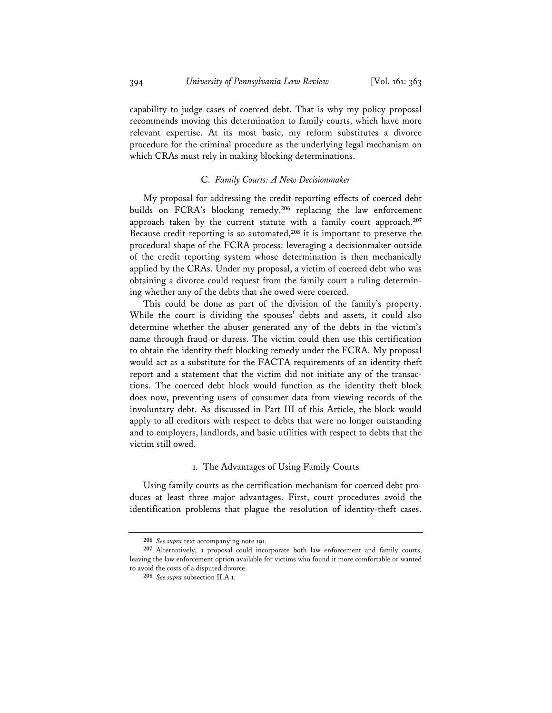capability to judge cases of coerced debt. That is why my policy proposal recommends moving this determination to family courts, which have more relevant expertise. At its most basic, my reform substitutes a divorce procedure for the criminal procedure as the underlying legal mechanism on which CRAs must rely in making blocking determinations.

#### C. *Family Courts: A New Decisionmaker*

My proposal for addressing the credit-reporting effects of coerced debt builds on FCRA's blocking remedy,**<sup>206</sup>** replacing the law enforcement approach taken by the current statute with a family court approach.**<sup>207</sup>** Because credit reporting is so automated,**<sup>208</sup>** it is important to preserve the procedural shape of the FCRA process: leveraging a decisionmaker outside of the credit reporting system whose determination is then mechanically applied by the CRAs. Under my proposal, a victim of coerced debt who was obtaining a divorce could request from the family court a ruling determining whether any of the debts that she owed were coerced.

This could be done as part of the division of the family's property. While the court is dividing the spouses' debts and assets, it could also determine whether the abuser generated any of the debts in the victim's name through fraud or duress. The victim could then use this certification to obtain the identity theft blocking remedy under the FCRA. My proposal would act as a substitute for the FACTA requirements of an identity theft report and a statement that the victim did not initiate any of the transactions. The coerced debt block would function as the identity theft block does now, preventing users of consumer data from viewing records of the involuntary debt. As discussed in Part III of this Article, the block would apply to all creditors with respect to debts that were no longer outstanding and to employers, landlords, and basic utilities with respect to debts that the victim still owed.

#### 1. The Advantages of Using Family Courts

Using family courts as the certification mechanism for coerced debt produces at least three major advantages. First, court procedures avoid the identification problems that plague the resolution of identity-theft cases.

**<sup>206</sup>** *See supra* text accompanying note 191.

**<sup>207</sup>** Alternatively, a proposal could incorporate both law enforcement and family courts, leaving the law enforcement option available for victims who found it more comfortable or wanted to avoid the costs of a disputed divorce.

**<sup>208</sup>** *See supra* subsection II.A.1.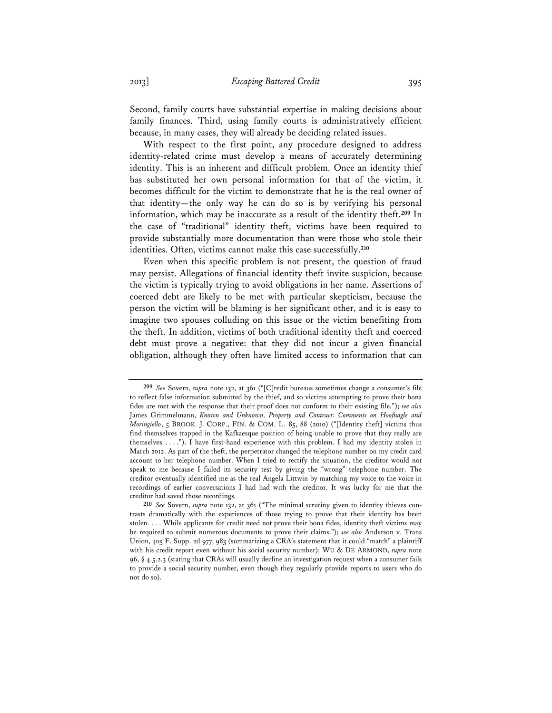Second, family courts have substantial expertise in making decisions about family finances. Third, using family courts is administratively efficient because, in many cases, they will already be deciding related issues.

With respect to the first point, any procedure designed to address identity-related crime must develop a means of accurately determining identity. This is an inherent and difficult problem. Once an identity thief has substituted her own personal information for that of the victim, it becomes difficult for the victim to demonstrate that he is the real owner of that identity—the only way he can do so is by verifying his personal information, which may be inaccurate as a result of the identity theft.**<sup>209</sup>** In the case of "traditional" identity theft, victims have been required to provide substantially more documentation than were those who stole their identities. Often, victims cannot make this case successfully.**<sup>210</sup>**

Even when this specific problem is not present, the question of fraud may persist. Allegations of financial identity theft invite suspicion, because the victim is typically trying to avoid obligations in her name. Assertions of coerced debt are likely to be met with particular skepticism, because the person the victim will be blaming is her significant other, and it is easy to imagine two spouses colluding on this issue or the victim benefiting from the theft. In addition, victims of both traditional identity theft and coerced debt must prove a negative: that they did not incur a given financial obligation, although they often have limited access to information that can

**<sup>209</sup>** *See* Sovern, *supra* note 132, at 361 ("[C]redit bureaus sometimes change a consumer's file to reflect false information submitted by the thief, and so victims attempting to prove their bona fides are met with the response that their proof does not conform to their existing file."); *see also* James Grimmelmann, *Known and Unknown, Property and Contract: Comments on Hoofnagle and Moringiello*, 5 BROOK. J. CORP., FIN. & COM. L. 85, 88 (2010) ("[Identity theft] victims thus find themselves trapped in the Kafkaesque position of being unable to prove that they really are themselves . . . ."). I have first-hand experience with this problem. I had my identity stolen in March 2012. As part of the theft, the perpetrator changed the telephone number on my credit card account to her telephone number. When I tried to rectify the situation, the creditor would not speak to me because I failed its security test by giving the "wrong" telephone number. The creditor eventually identified me as the real Angela Littwin by matching my voice to the voice in recordings of earlier conversations I had had with the creditor. It was lucky for me that the creditor had saved those recordings.

**<sup>210</sup>** *See* Sovern, *supra* note 132, at 361 ("The minimal scrutiny given to identity thieves contrasts dramatically with the experiences of those trying to prove that their identity has been stolen. . . . While applicants for credit need not prove their bona fides, identity theft victims may be required to submit numerous documents to prove their claims."); *see also* Anderson v. Trans Union, 405 F. Supp. 2d 977, 983 (summarizing a CRA's statement that it could "match" a plaintiff with his credit report even without his social security number); WU & DE ARMOND, *supra* note 96, § 4.5.2.3 (stating that CRAs will usually decline an investigation request when a consumer fails to provide a social security number, even though they regularly provide reports to users who do not do so).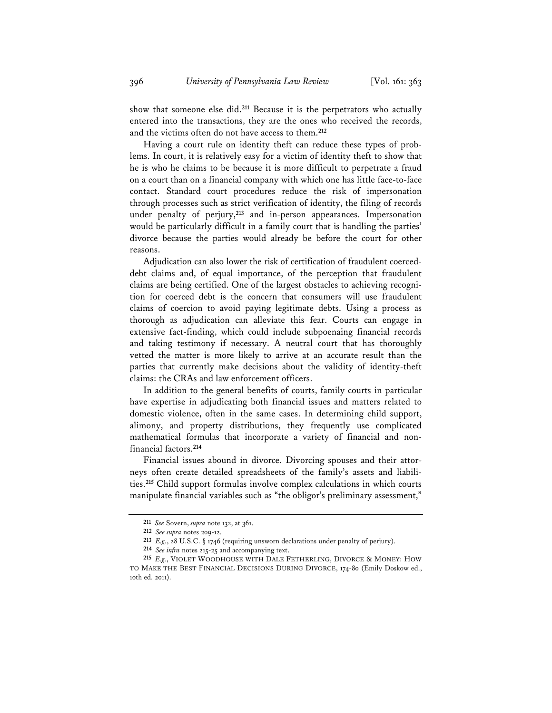show that someone else did.**<sup>211</sup>** Because it is the perpetrators who actually entered into the transactions, they are the ones who received the records, and the victims often do not have access to them.**<sup>212</sup>**

Having a court rule on identity theft can reduce these types of problems. In court, it is relatively easy for a victim of identity theft to show that he is who he claims to be because it is more difficult to perpetrate a fraud on a court than on a financial company with which one has little face-to-face contact. Standard court procedures reduce the risk of impersonation through processes such as strict verification of identity, the filing of records under penalty of perjury,**<sup>213</sup>** and in-person appearances. Impersonation would be particularly difficult in a family court that is handling the parties' divorce because the parties would already be before the court for other reasons.

Adjudication can also lower the risk of certification of fraudulent coerceddebt claims and, of equal importance, of the perception that fraudulent claims are being certified. One of the largest obstacles to achieving recognition for coerced debt is the concern that consumers will use fraudulent claims of coercion to avoid paying legitimate debts. Using a process as thorough as adjudication can alleviate this fear. Courts can engage in extensive fact-finding, which could include subpoenaing financial records and taking testimony if necessary. A neutral court that has thoroughly vetted the matter is more likely to arrive at an accurate result than the parties that currently make decisions about the validity of identity-theft claims: the CRAs and law enforcement officers.

In addition to the general benefits of courts, family courts in particular have expertise in adjudicating both financial issues and matters related to domestic violence, often in the same cases. In determining child support, alimony, and property distributions, they frequently use complicated mathematical formulas that incorporate a variety of financial and nonfinancial factors.**<sup>214</sup>**

Financial issues abound in divorce. Divorcing spouses and their attorneys often create detailed spreadsheets of the family's assets and liabilities.**<sup>215</sup>** Child support formulas involve complex calculations in which courts manipulate financial variables such as "the obligor's preliminary assessment,"

**<sup>211</sup>** *See* Sovern, *supra* note 132, at 361.

**<sup>212</sup>** *See supra* notes 209-12.

**<sup>213</sup>** *E.g.*, 28 U.S.C. § 1746 (requiring unsworn declarations under penalty of perjury).

**<sup>214</sup>** *See infra* notes 215-25 and accompanying text.

**<sup>215</sup>** *E.g.*, VIOLET WOODHOUSE WITH DALE FETHERLING, DIVORCE & MONEY: HOW TO MAKE THE BEST FINANCIAL DECISIONS DURING DIVORCE, 174-80 (Emily Doskow ed., 10th ed. 2011).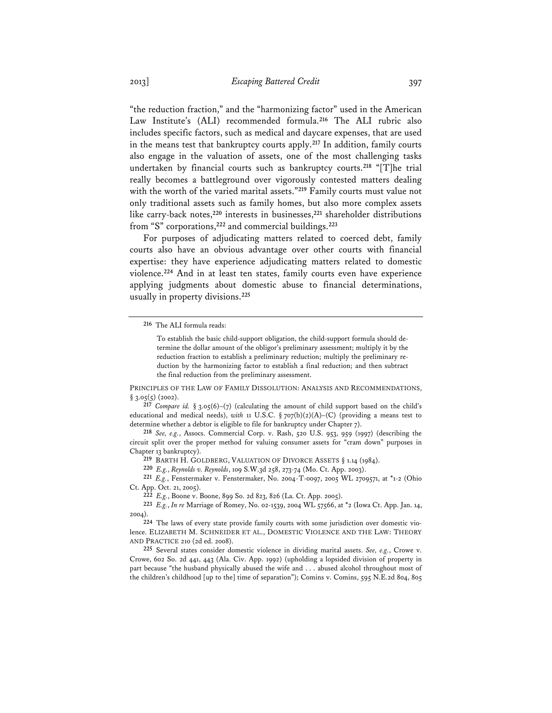"the reduction fraction," and the "harmonizing factor" used in the American Law Institute's (ALI) recommended formula.**<sup>216</sup>** The ALI rubric also includes specific factors, such as medical and daycare expenses, that are used in the means test that bankruptcy courts apply.**<sup>217</sup>** In addition, family courts also engage in the valuation of assets, one of the most challenging tasks undertaken by financial courts such as bankruptcy courts.**<sup>218</sup>** "[T]he trial really becomes a battleground over vigorously contested matters dealing with the worth of the varied marital assets."**<sup>219</sup>** Family courts must value not only traditional assets such as family homes, but also more complex assets like carry-back notes,**<sup>220</sup>** interests in businesses,**<sup>221</sup>** shareholder distributions from "S" corporations,**<sup>222</sup>** and commercial buildings.**<sup>223</sup>**

For purposes of adjudicating matters related to coerced debt, family courts also have an obvious advantage over other courts with financial expertise: they have experience adjudicating matters related to domestic violence.**<sup>224</sup>** And in at least ten states, family courts even have experience applying judgments about domestic abuse to financial determinations, usually in property divisions.**<sup>225</sup>**

PRINCIPLES OF THE LAW OF FAMILY DISSOLUTION: ANALYSIS AND RECOMMENDATIONS,  $§ 3.05(5) (2002).$ 

**217** *Compare id.* § 3.05(6)–(7) (calculating the amount of child support based on the child's educational and medical needs), *with* 11 U.S.C. § 707(b)(2)(A)–(C) (providing a means test to determine whether a debtor is eligible to file for bankruptcy under Chapter 7).

**218** *See, e.g.*, Assocs. Commercial Corp. v. Rash, 520 U.S. 953, 959 (1997) (describing the circuit split over the proper method for valuing consumer assets for "cram down" purposes in Chapter 13 bankruptcy).

**219** BARTH H. GOLDBERG, VALUATION OF DIVORCE ASSETS § 1.14 (1984).

**220** *E.g.*, *Reynolds v. Reynolds*, 109 S.W.3d 258, 273-74 (Mo. Ct. App. 2003).

**221** *E.g.*, Fenstermaker v. Fenstermaker, No. 2004-T-0097, 2005 WL 2709571, at \*1-2 (Ohio Ct. App. Oct. 21, 2005).

**222** *E.g.*, Boone v. Boone, 899 So. 2d 823, 826 (La. Ct. App. 2005).

**223** *E.g.*, *In re* Marriage of Romey, No. 02-1539, 2004 WL 57566, at \*2 (Iowa Ct. App. Jan. 14, 2004).

**224** The laws of every state provide family courts with some jurisdiction over domestic violence. ELIZABETH M. SCHNEIDER ET AL., DOMESTIC VIOLENCE AND THE LAW: THEORY AND PRACTICE 210 (2d ed. 2008).

**225** Several states consider domestic violence in dividing marital assets. *See, e.g.*, Crowe v. Crowe, 602 So. 2d 441, 443 (Ala. Civ. App. 1992) (upholding a lopsided division of property in part because "the husband physically abused the wife and . . . abused alcohol throughout most of the children's childhood [up to the] time of separation"); Comins v. Comins, 595 N.E.2d 804, 805

**<sup>216</sup>** The ALI formula reads:

To establish the basic child-support obligation, the child-support formula should determine the dollar amount of the obligor's preliminary assessment; multiply it by the reduction fraction to establish a preliminary reduction; multiply the preliminary reduction by the harmonizing factor to establish a final reduction; and then subtract the final reduction from the preliminary assessment.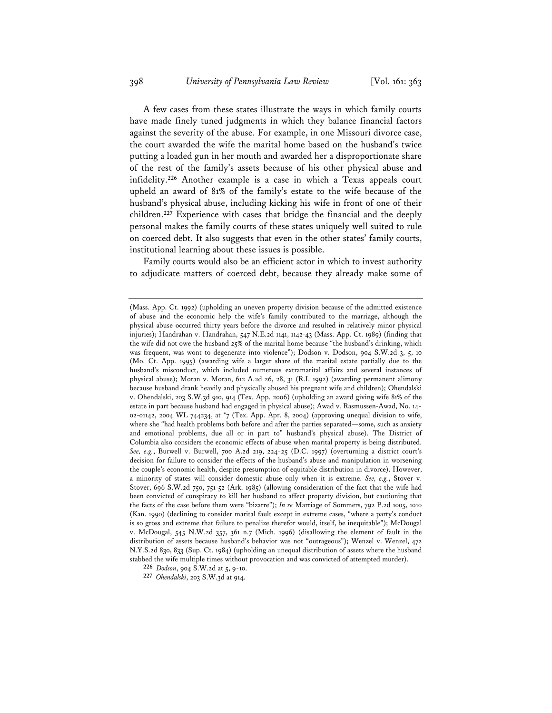A few cases from these states illustrate the ways in which family courts have made finely tuned judgments in which they balance financial factors against the severity of the abuse. For example, in one Missouri divorce case, the court awarded the wife the marital home based on the husband's twice putting a loaded gun in her mouth and awarded her a disproportionate share of the rest of the family's assets because of his other physical abuse and infidelity.**<sup>226</sup>** Another example is a case in which a Texas appeals court upheld an award of 81% of the family's estate to the wife because of the husband's physical abuse, including kicking his wife in front of one of their children.**<sup>227</sup>** Experience with cases that bridge the financial and the deeply personal makes the family courts of these states uniquely well suited to rule on coerced debt. It also suggests that even in the other states' family courts, institutional learning about these issues is possible.

Family courts would also be an efficient actor in which to invest authority to adjudicate matters of coerced debt, because they already make some of

<sup>(</sup>Mass. App. Ct. 1992) (upholding an uneven property division because of the admitted existence of abuse and the economic help the wife's family contributed to the marriage, although the physical abuse occurred thirty years before the divorce and resulted in relatively minor physical injuries); Handrahan v. Handrahan, 547 N.E.2d 1141, 1142-43 (Mass. App. Ct. 1989) (finding that the wife did not owe the husband 25% of the marital home because "the husband's drinking, which was frequent, was wont to degenerate into violence"); Dodson v. Dodson, 904 S.W.2d 3, 5, 10 (Mo. Ct. App. 1995) (awarding wife a larger share of the marital estate partially due to the husband's misconduct, which included numerous extramarital affairs and several instances of physical abuse); Moran v. Moran, 612 A.2d 26, 28, 31 (R.I. 1992) (awarding permanent alimony because husband drank heavily and physically abused his pregnant wife and children); Ohendalski v. Ohendalski, 203 S.W.3d 910, 914 (Tex. App. 2006) (upholding an award giving wife 81% of the estate in part because husband had engaged in physical abuse); Awad v. Rasmussen-Awad, No. 14- 02-01142, 2004 WL 744234, at \*7 (Tex. App. Apr. 8, 2004) (approving unequal division to wife, where she "had health problems both before and after the parties separated—some, such as anxiety and emotional problems, due all or in part to" husband's physical abuse). The District of Columbia also considers the economic effects of abuse when marital property is being distributed. *See, e.g.*, Burwell v. Burwell, 700 A.2d 219, 224-25 (D.C. 1997) (overturning a district court's decision for failure to consider the effects of the husband's abuse and manipulation in worsening the couple's economic health, despite presumption of equitable distribution in divorce). However, a minority of states will consider domestic abuse only when it is extreme. *See, e.g.*, Stover v. Stover, 696 S.W.2d 750, 751-52 (Ark. 1985) (allowing consideration of the fact that the wife had been convicted of conspiracy to kill her husband to affect property division, but cautioning that the facts of the case before them were "bizarre"); *In re* Marriage of Sommers, 792 P.2d 1005, 1010 (Kan. 1990) (declining to consider marital fault except in extreme cases, "where a party's conduct is so gross and extreme that failure to penalize therefor would, itself, be inequitable"); McDougal v. McDougal, 545 N.W.2d 357, 361 n.7 (Mich. 1996) (disallowing the element of fault in the distribution of assets because husband's behavior was not "outrageous"); Wenzel v. Wenzel, 472 N.Y.S.2d 830, 833 (Sup. Ct. 1984) (upholding an unequal distribution of assets where the husband stabbed the wife multiple times without provocation and was convicted of attempted murder).

**<sup>226</sup>** *Dodson*, 904 S.W.2d at 5, 9-10.

**<sup>227</sup>** *Ohendalski*, 203 S.W.3d at 914.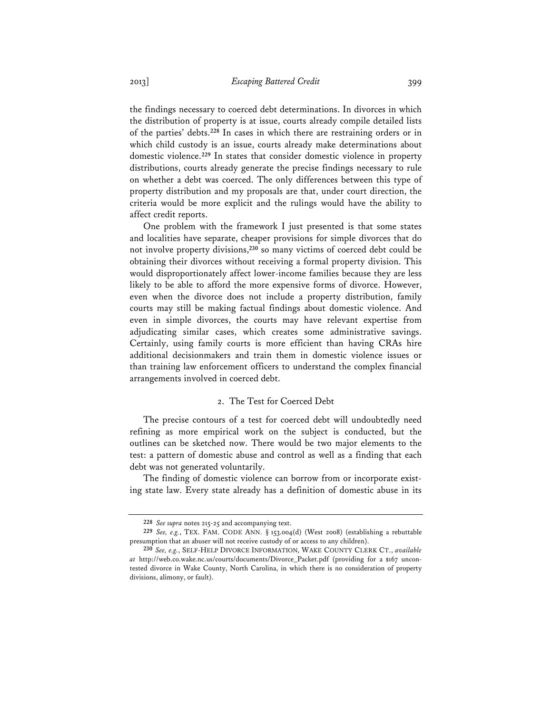the findings necessary to coerced debt determinations. In divorces in which

the distribution of property is at issue, courts already compile detailed lists of the parties' debts.**<sup>228</sup>** In cases in which there are restraining orders or in which child custody is an issue, courts already make determinations about domestic violence.**<sup>229</sup>** In states that consider domestic violence in property distributions, courts already generate the precise findings necessary to rule on whether a debt was coerced. The only differences between this type of property distribution and my proposals are that, under court direction, the criteria would be more explicit and the rulings would have the ability to affect credit reports.

One problem with the framework I just presented is that some states and localities have separate, cheaper provisions for simple divorces that do not involve property divisions,**<sup>230</sup>** so many victims of coerced debt could be obtaining their divorces without receiving a formal property division. This would disproportionately affect lower-income families because they are less likely to be able to afford the more expensive forms of divorce. However, even when the divorce does not include a property distribution, family courts may still be making factual findings about domestic violence. And even in simple divorces, the courts may have relevant expertise from adjudicating similar cases, which creates some administrative savings. Certainly, using family courts is more efficient than having CRAs hire additional decisionmakers and train them in domestic violence issues or than training law enforcement officers to understand the complex financial arrangements involved in coerced debt.

### 2. The Test for Coerced Debt

The precise contours of a test for coerced debt will undoubtedly need refining as more empirical work on the subject is conducted, but the outlines can be sketched now. There would be two major elements to the test: a pattern of domestic abuse and control as well as a finding that each debt was not generated voluntarily.

The finding of domestic violence can borrow from or incorporate existing state law. Every state already has a definition of domestic abuse in its

**<sup>228</sup>** *See supra* notes 215-25 and accompanying text.

**<sup>229</sup>** *See, e.g.*, TEX. FAM. CODE ANN. § 153.004(d) (West 2008) (establishing a rebuttable presumption that an abuser will not receive custody of or access to any children).

**<sup>230</sup>** *See, e.g.*, SELF-HELP DIVORCE INFORMATION, WAKE COUNTY CLERK CT., *available at* http://web.co.wake.nc.us/courts/documents/Divorce\_Packet.pdf (providing for a \$167 uncontested divorce in Wake County, North Carolina, in which there is no consideration of property divisions, alimony, or fault).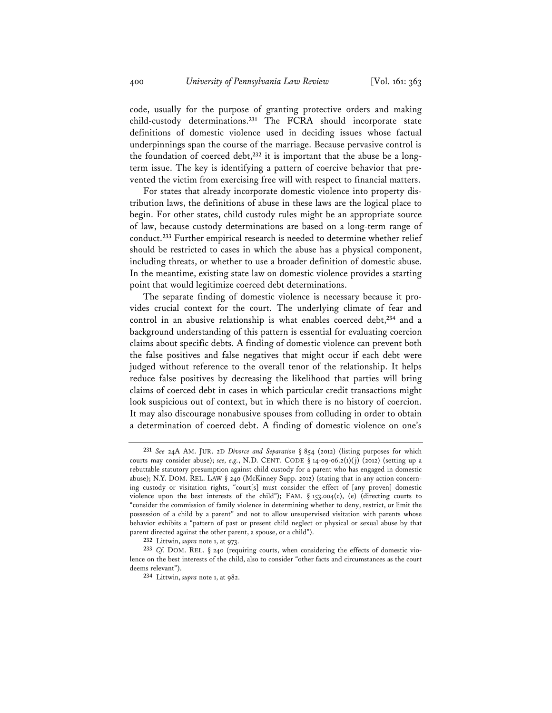code, usually for the purpose of granting protective orders and making child-custody determinations.**<sup>231</sup>** The FCRA should incorporate state definitions of domestic violence used in deciding issues whose factual underpinnings span the course of the marriage. Because pervasive control is the foundation of coerced debt,**232** it is important that the abuse be a longterm issue. The key is identifying a pattern of coercive behavior that prevented the victim from exercising free will with respect to financial matters.

For states that already incorporate domestic violence into property distribution laws, the definitions of abuse in these laws are the logical place to begin. For other states, child custody rules might be an appropriate source of law, because custody determinations are based on a long-term range of conduct.**<sup>233</sup>** Further empirical research is needed to determine whether relief should be restricted to cases in which the abuse has a physical component, including threats, or whether to use a broader definition of domestic abuse. In the meantime, existing state law on domestic violence provides a starting point that would legitimize coerced debt determinations.

The separate finding of domestic violence is necessary because it provides crucial context for the court. The underlying climate of fear and control in an abusive relationship is what enables coerced debt,**<sup>234</sup>** and a background understanding of this pattern is essential for evaluating coercion claims about specific debts. A finding of domestic violence can prevent both the false positives and false negatives that might occur if each debt were judged without reference to the overall tenor of the relationship. It helps reduce false positives by decreasing the likelihood that parties will bring claims of coerced debt in cases in which particular credit transactions might look suspicious out of context, but in which there is no history of coercion. It may also discourage nonabusive spouses from colluding in order to obtain a determination of coerced debt. A finding of domestic violence on one's

**232** Littwin, *supra* note 1, at 973.

**<sup>231</sup>** *See* 24A AM. JUR. 2D *Divorce and Separation* § 854 (2012) (listing purposes for which courts may consider abuse); see, e.g., N.D. CENT. CODE § 14-09-06.2(1)(j) (2012) (setting up a rebuttable statutory presumption against child custody for a parent who has engaged in domestic abuse); N.Y. DOM. REL. LAW § 240 (McKinney Supp. 2012) (stating that in any action concerning custody or visitation rights, "court[s] must consider the effect of [any proven] domestic violence upon the best interests of the child"); FAM. § 153.004(c), (e) (directing courts to "consider the commission of family violence in determining whether to deny, restrict, or limit the possession of a child by a parent" and not to allow unsupervised visitation with parents whose behavior exhibits a "pattern of past or present child neglect or physical or sexual abuse by that parent directed against the other parent, a spouse, or a child").

**<sup>233</sup>** *Cf.* DOM. REL. § 240 (requiring courts, when considering the effects of domestic violence on the best interests of the child, also to consider "other facts and circumstances as the court deems relevant").

**<sup>234</sup>** Littwin, *supra* note 1, at 982.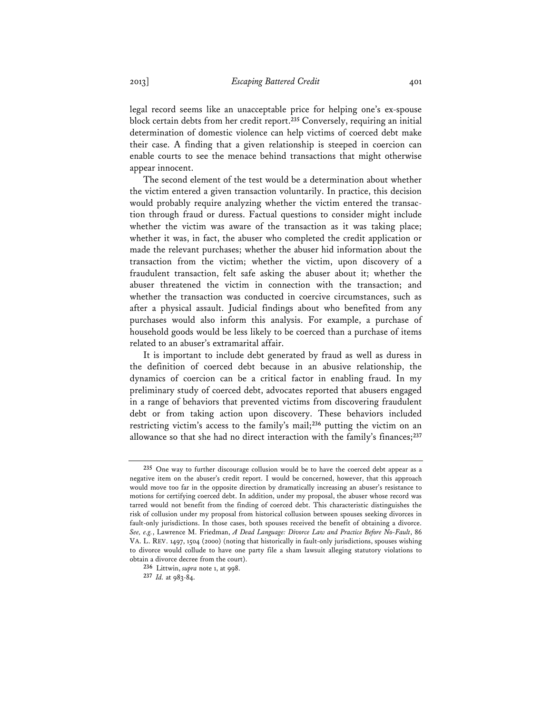legal record seems like an unacceptable price for helping one's ex-spouse block certain debts from her credit report.**<sup>235</sup>** Conversely, requiring an initial determination of domestic violence can help victims of coerced debt make their case. A finding that a given relationship is steeped in coercion can enable courts to see the menace behind transactions that might otherwise appear innocent.

The second element of the test would be a determination about whether the victim entered a given transaction voluntarily. In practice, this decision would probably require analyzing whether the victim entered the transaction through fraud or duress. Factual questions to consider might include whether the victim was aware of the transaction as it was taking place; whether it was, in fact, the abuser who completed the credit application or made the relevant purchases; whether the abuser hid information about the transaction from the victim; whether the victim, upon discovery of a fraudulent transaction, felt safe asking the abuser about it; whether the abuser threatened the victim in connection with the transaction; and whether the transaction was conducted in coercive circumstances, such as after a physical assault. Judicial findings about who benefited from any purchases would also inform this analysis. For example, a purchase of household goods would be less likely to be coerced than a purchase of items related to an abuser's extramarital affair.

It is important to include debt generated by fraud as well as duress in the definition of coerced debt because in an abusive relationship, the dynamics of coercion can be a critical factor in enabling fraud. In my preliminary study of coerced debt, advocates reported that abusers engaged in a range of behaviors that prevented victims from discovering fraudulent debt or from taking action upon discovery. These behaviors included restricting victim's access to the family's mail;**<sup>236</sup>** putting the victim on an allowance so that she had no direct interaction with the family's finances;**<sup>237</sup>**

**<sup>235</sup>** One way to further discourage collusion would be to have the coerced debt appear as a negative item on the abuser's credit report. I would be concerned, however, that this approach would move too far in the opposite direction by dramatically increasing an abuser's resistance to motions for certifying coerced debt. In addition, under my proposal, the abuser whose record was tarred would not benefit from the finding of coerced debt. This characteristic distinguishes the risk of collusion under my proposal from historical collusion between spouses seeking divorces in fault-only jurisdictions. In those cases, both spouses received the benefit of obtaining a divorce. *See, e.g.*, Lawrence M. Friedman, *A Dead Language: Divorce Law and Practice Before No-Fault*, 86 VA. L. REV. 1497, 1504 (2000) (noting that historically in fault-only jurisdictions, spouses wishing to divorce would collude to have one party file a sham lawsuit alleging statutory violations to obtain a divorce decree from the court).

**<sup>236</sup>** Littwin, *supra* note 1, at 998.

**<sup>237</sup>** *Id.* at 983-84.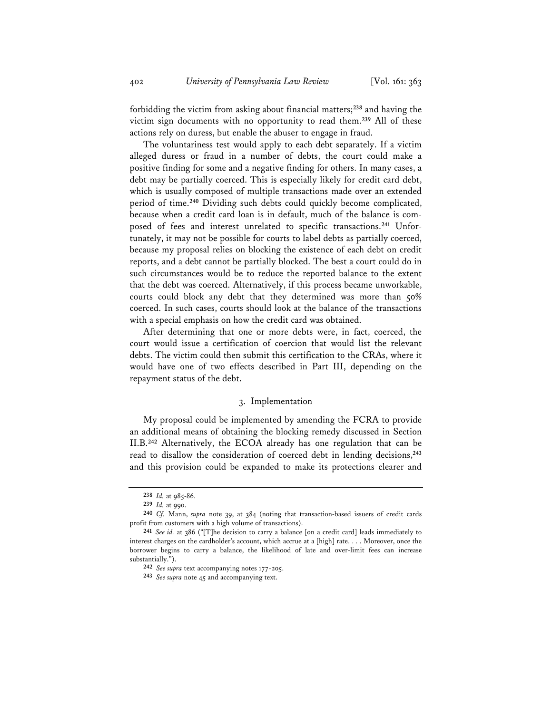forbidding the victim from asking about financial matters;**<sup>238</sup>** and having the victim sign documents with no opportunity to read them.**<sup>239</sup>** All of these actions rely on duress, but enable the abuser to engage in fraud.

The voluntariness test would apply to each debt separately. If a victim alleged duress or fraud in a number of debts, the court could make a positive finding for some and a negative finding for others. In many cases, a debt may be partially coerced. This is especially likely for credit card debt, which is usually composed of multiple transactions made over an extended period of time.**<sup>240</sup>** Dividing such debts could quickly become complicated, because when a credit card loan is in default, much of the balance is composed of fees and interest unrelated to specific transactions.**241** Unfortunately, it may not be possible for courts to label debts as partially coerced, because my proposal relies on blocking the existence of each debt on credit reports, and a debt cannot be partially blocked. The best a court could do in such circumstances would be to reduce the reported balance to the extent that the debt was coerced. Alternatively, if this process became unworkable, courts could block any debt that they determined was more than 50% coerced. In such cases, courts should look at the balance of the transactions with a special emphasis on how the credit card was obtained.

After determining that one or more debts were, in fact, coerced, the court would issue a certification of coercion that would list the relevant debts. The victim could then submit this certification to the CRAs, where it would have one of two effects described in Part III, depending on the repayment status of the debt.

#### 3. Implementation

My proposal could be implemented by amending the FCRA to provide an additional means of obtaining the blocking remedy discussed in Section II.B.**<sup>242</sup>** Alternatively, the ECOA already has one regulation that can be read to disallow the consideration of coerced debt in lending decisions,**<sup>243</sup>** and this provision could be expanded to make its protections clearer and

**<sup>238</sup>** *Id.* at 985-86.

**<sup>239</sup>** *Id.* at 990.

**<sup>240</sup>** *Cf.* Mann, *supra* note 39, at 384 (noting that transaction-based issuers of credit cards profit from customers with a high volume of transactions).

**<sup>241</sup>** *See id.* at 386 ("[T]he decision to carry a balance [on a credit card] leads immediately to interest charges on the cardholder's account, which accrue at a [high] rate. . . . Moreover, once the borrower begins to carry a balance, the likelihood of late and over-limit fees can increase substantially.").

**<sup>242</sup>** *See supra* text accompanying notes 177-205.

**<sup>243</sup>** *See supra* note 45 and accompanying text.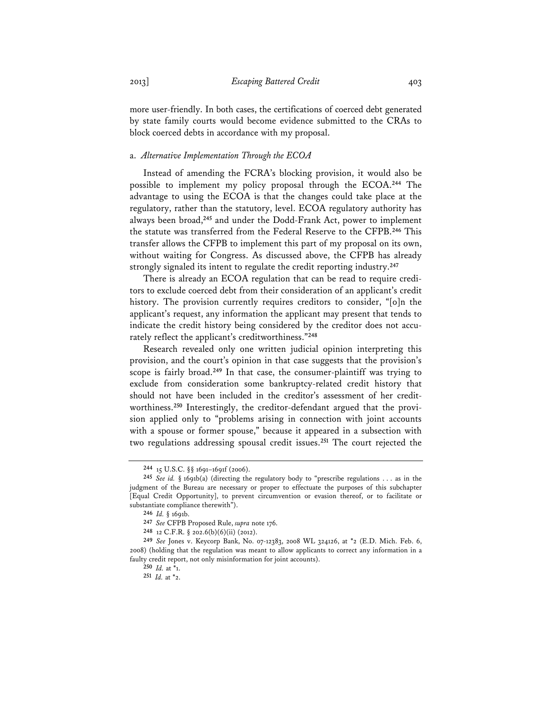more user-friendly. In both cases, the certifications of coerced debt generated by state family courts would become evidence submitted to the CRAs to block coerced debts in accordance with my proposal.

#### a. *Alternative Implementation Through the ECOA*

Instead of amending the FCRA's blocking provision, it would also be possible to implement my policy proposal through the ECOA.**<sup>244</sup>** The advantage to using the ECOA is that the changes could take place at the regulatory, rather than the statutory, level. ECOA regulatory authority has always been broad,**<sup>245</sup>** and under the Dodd-Frank Act, power to implement the statute was transferred from the Federal Reserve to the CFPB.**<sup>246</sup>** This transfer allows the CFPB to implement this part of my proposal on its own, without waiting for Congress. As discussed above, the CFPB has already strongly signaled its intent to regulate the credit reporting industry.**<sup>247</sup>**

There is already an ECOA regulation that can be read to require creditors to exclude coerced debt from their consideration of an applicant's credit history. The provision currently requires creditors to consider, "[o]n the applicant's request, any information the applicant may present that tends to indicate the credit history being considered by the creditor does not accurately reflect the applicant's creditworthiness."**<sup>248</sup>**

Research revealed only one written judicial opinion interpreting this provision, and the court's opinion in that case suggests that the provision's scope is fairly broad.**<sup>249</sup>** In that case, the consumer-plaintiff was trying to exclude from consideration some bankruptcy-related credit history that should not have been included in the creditor's assessment of her creditworthiness.**250** Interestingly, the creditor-defendant argued that the provision applied only to "problems arising in connection with joint accounts with a spouse or former spouse," because it appeared in a subsection with two regulations addressing spousal credit issues.**<sup>251</sup>** The court rejected the

**251** *Id.* at \*2.

**<sup>244</sup>** 15 U.S.C. §§ 1691–1691f (2006).

**<sup>245</sup>** *See id.* § 1691b(a) (directing the regulatory body to "prescribe regulations . . . as in the judgment of the Bureau are necessary or proper to effectuate the purposes of this subchapter [Equal Credit Opportunity], to prevent circumvention or evasion thereof, or to facilitate or substantiate compliance therewith").

**<sup>246</sup>** *Id.* § 1691b.

**<sup>247</sup>** *See* CFPB Proposed Rule, *supra* note 176.

**<sup>248</sup>** 12 C.F.R. § 202.6(b)(6)(ii) (2012).

**<sup>249</sup>** *See* Jones v. Keycorp Bank, No. 07-12383, 2008 WL 324126, at \*2 (E.D. Mich. Feb. 6, 2008) (holding that the regulation was meant to allow applicants to correct any information in a faulty credit report, not only misinformation for joint accounts).

**<sup>250</sup>** *Id.* at \*1.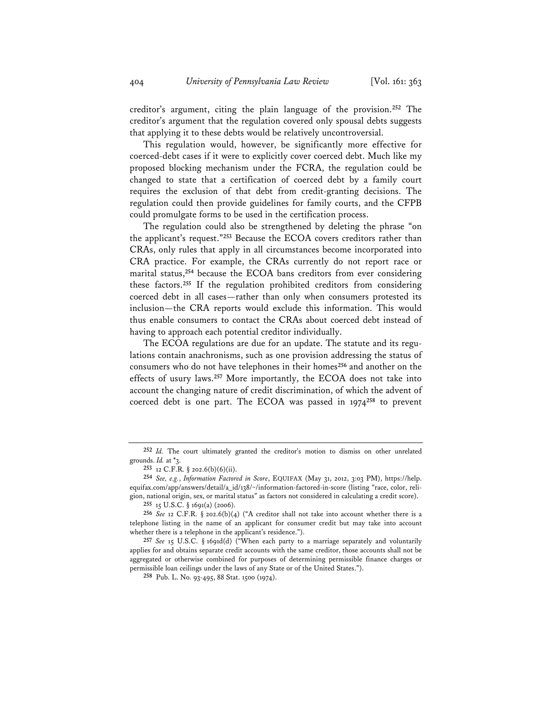creditor's argument, citing the plain language of the provision.**<sup>252</sup>** The creditor's argument that the regulation covered only spousal debts suggests that applying it to these debts would be relatively uncontroversial.

This regulation would, however, be significantly more effective for coerced-debt cases if it were to explicitly cover coerced debt. Much like my proposed blocking mechanism under the FCRA, the regulation could be changed to state that a certification of coerced debt by a family court requires the exclusion of that debt from credit-granting decisions. The regulation could then provide guidelines for family courts, and the CFPB could promulgate forms to be used in the certification process.

The regulation could also be strengthened by deleting the phrase "on the applicant's request."**<sup>253</sup>** Because the ECOA covers creditors rather than CRAs, only rules that apply in all circumstances become incorporated into CRA practice. For example, the CRAs currently do not report race or marital status,**<sup>254</sup>** because the ECOA bans creditors from ever considering these factors.**<sup>255</sup>** If the regulation prohibited creditors from considering coerced debt in all cases—rather than only when consumers protested its inclusion—the CRA reports would exclude this information. This would thus enable consumers to contact the CRAs about coerced debt instead of having to approach each potential creditor individually.

The ECOA regulations are due for an update. The statute and its regulations contain anachronisms, such as one provision addressing the status of consumers who do not have telephones in their homes**<sup>256</sup>** and another on the effects of usury laws.**<sup>257</sup>** More importantly, the ECOA does not take into account the changing nature of credit discrimination, of which the advent of coerced debt is one part. The ECOA was passed in 1974**<sup>258</sup>** to prevent

**255** 15 U.S.C. § 1691(a) (2006).

**256** *See* 12 C.F.R. § 202.6(b)(4) ("A creditor shall not take into account whether there is a telephone listing in the name of an applicant for consumer credit but may take into account whether there is a telephone in the applicant's residence.").

**257** *See* 15 U.S.C. § 1691d(d) ("When each party to a marriage separately and voluntarily applies for and obtains separate credit accounts with the same creditor, those accounts shall not be aggregated or otherwise combined for purposes of determining permissible finance charges or permissible loan ceilings under the laws of any State or of the United States.").

**258** Pub. L. No. 93-495, 88 Stat. 1500 (1974).

**<sup>252</sup>** *Id.* The court ultimately granted the creditor's motion to dismiss on other unrelated grounds. *Id.* at \*3.

**<sup>253</sup>** 12 C.F.R. § 202.6(b)(6)(ii).

**<sup>254</sup>** *See, e.g.*, *Information Factored in Score*, EQUIFAX (May 31, 2012, 3:03 PM), https://help. equifax.com/app/answers/detail/a\_id/138/~/information-factored-in-score (listing "race, color, religion, national origin, sex, or marital status" as factors not considered in calculating a credit score).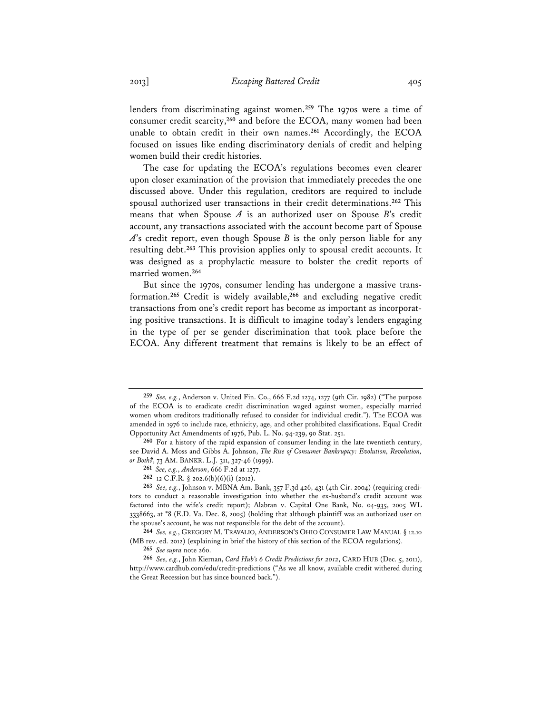lenders from discriminating against women.**<sup>259</sup>** The 1970s were a time of consumer credit scarcity,**<sup>260</sup>** and before the ECOA, many women had been unable to obtain credit in their own names.**<sup>261</sup>** Accordingly, the ECOA focused on issues like ending discriminatory denials of credit and helping women build their credit histories.

The case for updating the ECOA's regulations becomes even clearer upon closer examination of the provision that immediately precedes the one discussed above. Under this regulation, creditors are required to include spousal authorized user transactions in their credit determinations.**<sup>262</sup>** This means that when Spouse *A* is an authorized user on Spouse *B*'s credit account, any transactions associated with the account become part of Spouse *A*'s credit report, even though Spouse *B* is the only person liable for any resulting debt.**<sup>263</sup>** This provision applies only to spousal credit accounts. It was designed as a prophylactic measure to bolster the credit reports of married women.**<sup>264</sup>**

But since the 1970s, consumer lending has undergone a massive transformation.**<sup>265</sup>** Credit is widely available,**<sup>266</sup>** and excluding negative credit transactions from one's credit report has become as important as incorporating positive transactions. It is difficult to imagine today's lenders engaging in the type of per se gender discrimination that took place before the ECOA. Any different treatment that remains is likely to be an effect of

**265** *See supra* note 260.

**<sup>259</sup>** *See, e.g.*, Anderson v. United Fin. Co., 666 F.2d 1274, 1277 (9th Cir. 1982) ("The purpose of the ECOA is to eradicate credit discrimination waged against women, especially married women whom creditors traditionally refused to consider for individual credit."). The ECOA was amended in 1976 to include race, ethnicity, age, and other prohibited classifications. Equal Credit Opportunity Act Amendments of 1976, Pub. L. No. 94-239, 90 Stat. 251.

**<sup>260</sup>** For a history of the rapid expansion of consumer lending in the late twentieth century, see David A. Moss and Gibbs A. Johnson, *The Rise of Consumer Bankruptcy: Evolution, Revolution, or Both?*, 73 AM. BANKR. L.J. 311, 327-46 (1999).

**<sup>261</sup>** *See, e.g.*, *Anderson*, 666 F.2d at 1277.

**<sup>262</sup>** 12 C.F.R. § 202.6(b)(6)(i) (2012).

**<sup>263</sup>** *See, e.g.*, Johnson v. MBNA Am. Bank, 357 F.3d 426, 431 (4th Cir. 2004) (requiring creditors to conduct a reasonable investigation into whether the ex-husband's credit account was factored into the wife's credit report); Alabran v. Capital One Bank, No. 04-935, 2005 WL 3338663, at \*8 (E.D. Va. Dec. 8, 2005) (holding that although plaintiff was an authorized user on the spouse's account, he was not responsible for the debt of the account).

**<sup>264</sup>** *See, e.g.*, GREGORY M. TRAVALIO, ANDERSON'S OHIO CONSUMER LAW MANUAL § 12.10 (MB rev. ed. 2012) (explaining in brief the history of this section of the ECOA regulations).

**<sup>266</sup>** *See, e.g.*, John Kiernan, *Card Hub's 6 Credit Predictions for 2012*, CARD HUB (Dec. 5, 2011), http://www.cardhub.com/edu/credit-predictions ("As we all know, available credit withered during the Great Recession but has since bounced back.").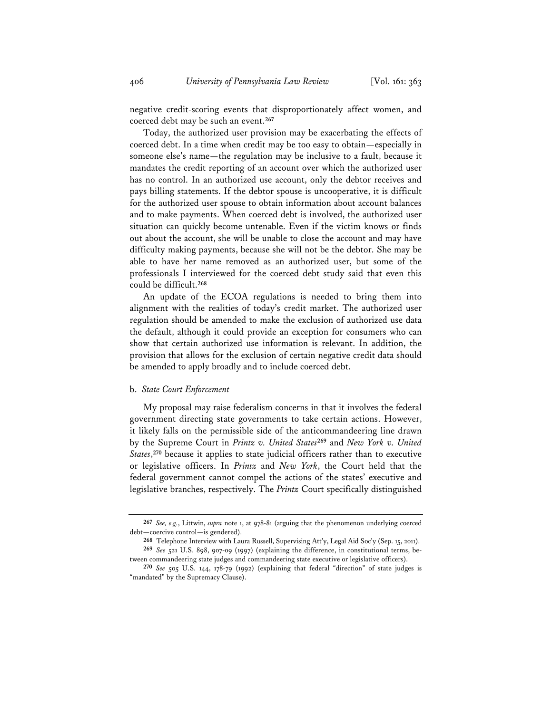negative credit-scoring events that disproportionately affect women, and coerced debt may be such an event.**<sup>267</sup>**

Today, the authorized user provision may be exacerbating the effects of coerced debt. In a time when credit may be too easy to obtain—especially in someone else's name—the regulation may be inclusive to a fault, because it mandates the credit reporting of an account over which the authorized user has no control. In an authorized use account, only the debtor receives and pays billing statements. If the debtor spouse is uncooperative, it is difficult for the authorized user spouse to obtain information about account balances and to make payments. When coerced debt is involved, the authorized user situation can quickly become untenable. Even if the victim knows or finds out about the account, she will be unable to close the account and may have difficulty making payments, because she will not be the debtor. She may be able to have her name removed as an authorized user, but some of the professionals I interviewed for the coerced debt study said that even this could be difficult.**<sup>268</sup>**

An update of the ECOA regulations is needed to bring them into alignment with the realities of today's credit market. The authorized user regulation should be amended to make the exclusion of authorized use data the default, although it could provide an exception for consumers who can show that certain authorized use information is relevant. In addition, the provision that allows for the exclusion of certain negative credit data should be amended to apply broadly and to include coerced debt.

#### b. *State Court Enforcement*

My proposal may raise federalism concerns in that it involves the federal government directing state governments to take certain actions. However, it likely falls on the permissible side of the anticommandeering line drawn by the Supreme Court in *Printz v. United States***<sup>269</sup>** and *New York v. United States*, **<sup>270</sup>** because it applies to state judicial officers rather than to executive or legislative officers. In *Printz* and *New York*, the Court held that the federal government cannot compel the actions of the states' executive and legislative branches, respectively. The *Printz* Court specifically distinguished

**<sup>267</sup>** *See, e.g.*, Littwin, *supra* note 1, at 978-81 (arguing that the phenomenon underlying coerced debt—coercive control—is gendered).

**<sup>268</sup>** Telephone Interview with Laura Russell, Supervising Att'y, Legal Aid Soc'y (Sep. 15, 2011).

**<sup>269</sup>** *See* 521 U.S. 898, 907-09 (1997) (explaining the difference, in constitutional terms, between commandeering state judges and commandeering state executive or legislative officers).

**<sup>270</sup>** *See* 505 U.S. 144, 178-79 (1992) (explaining that federal "direction" of state judges is "mandated" by the Supremacy Clause).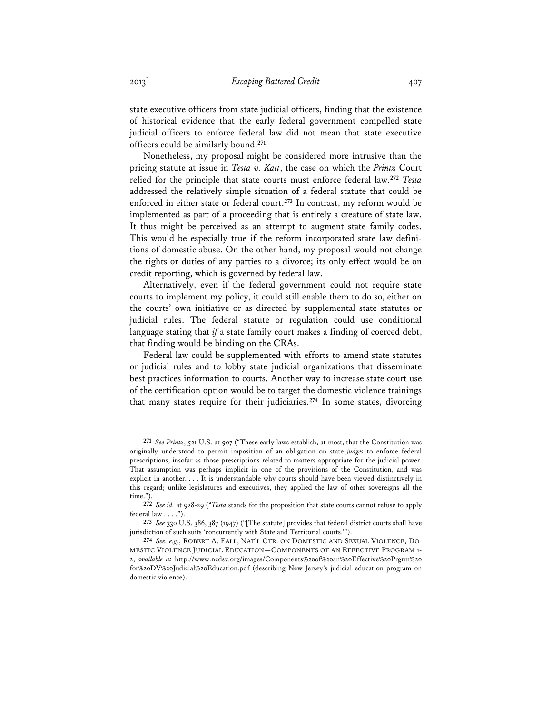state executive officers from state judicial officers, finding that the existence of historical evidence that the early federal government compelled state judicial officers to enforce federal law did not mean that state executive officers could be similarly bound.**<sup>271</sup>**

Nonetheless, my proposal might be considered more intrusive than the pricing statute at issue in *Testa v. Katt*, the case on which the *Printz* Court relied for the principle that state courts must enforce federal law.**<sup>272</sup>** *Testa* addressed the relatively simple situation of a federal statute that could be enforced in either state or federal court.**<sup>273</sup>** In contrast, my reform would be implemented as part of a proceeding that is entirely a creature of state law. It thus might be perceived as an attempt to augment state family codes. This would be especially true if the reform incorporated state law definitions of domestic abuse. On the other hand, my proposal would not change the rights or duties of any parties to a divorce; its only effect would be on credit reporting, which is governed by federal law.

Alternatively, even if the federal government could not require state courts to implement my policy, it could still enable them to do so, either on the courts' own initiative or as directed by supplemental state statutes or judicial rules. The federal statute or regulation could use conditional language stating that *if* a state family court makes a finding of coerced debt, that finding would be binding on the CRAs.

Federal law could be supplemented with efforts to amend state statutes or judicial rules and to lobby state judicial organizations that disseminate best practices information to courts. Another way to increase state court use of the certification option would be to target the domestic violence trainings that many states require for their judiciaries.**<sup>274</sup>** In some states, divorcing

**<sup>271</sup>** *See Printz*, 521 U.S. at 907 ("These early laws establish, at most, that the Constitution was originally understood to permit imposition of an obligation on state *judges* to enforce federal prescriptions, insofar as those prescriptions related to matters appropriate for the judicial power. That assumption was perhaps implicit in one of the provisions of the Constitution, and was explicit in another. . . . It is understandable why courts should have been viewed distinctively in this regard; unlike legislatures and executives, they applied the law of other sovereigns all the time.").

**<sup>272</sup>** *See id.* at 928-29 ("*Testa* stands for the proposition that state courts cannot refuse to apply federal law . . . .").

**<sup>273</sup>** *See* 330 U.S. 386, 387 (1947) ("[The statute] provides that federal district courts shall have jurisdiction of such suits 'concurrently with State and Territorial courts.'").

**<sup>274</sup>** *See, e.g.*, ROBERT A. FALL, NAT'L CTR. ON DOMESTIC AND SEXUAL VIOLENCE, DO-MESTIC VIOLENCE JUDICIAL EDUCATION—COMPONENTS OF AN EFFECTIVE PROGRAM 1- 2, *available at* http://www.ncdsv.org/images/Components%20of%20an%20Effective%20Prgrm%20 for%20DV%20Judicial%20Education.pdf (describing New Jersey's judicial education program on domestic violence).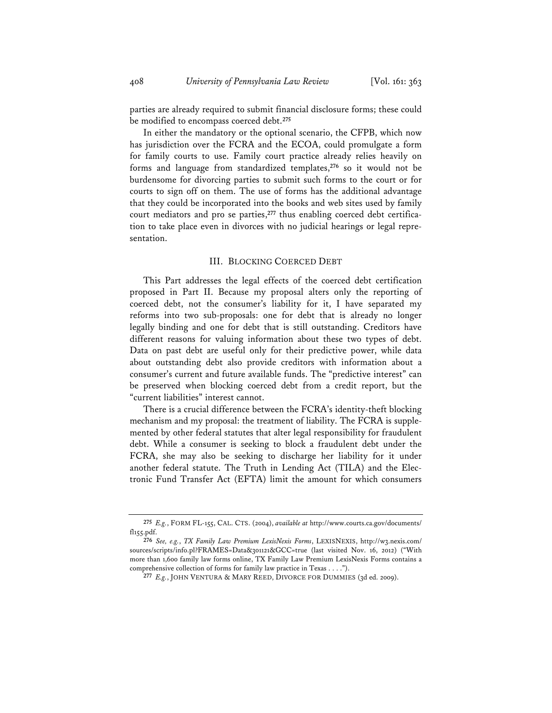parties are already required to submit financial disclosure forms; these could be modified to encompass coerced debt.**<sup>275</sup>**

In either the mandatory or the optional scenario, the CFPB, which now has jurisdiction over the FCRA and the ECOA, could promulgate a form for family courts to use. Family court practice already relies heavily on forms and language from standardized templates,**<sup>276</sup>** so it would not be burdensome for divorcing parties to submit such forms to the court or for courts to sign off on them. The use of forms has the additional advantage that they could be incorporated into the books and web sites used by family court mediators and pro se parties,**277** thus enabling coerced debt certification to take place even in divorces with no judicial hearings or legal representation.

# III. BLOCKING COERCED DEBT

This Part addresses the legal effects of the coerced debt certification proposed in Part II. Because my proposal alters only the reporting of coerced debt, not the consumer's liability for it, I have separated my reforms into two sub-proposals: one for debt that is already no longer legally binding and one for debt that is still outstanding. Creditors have different reasons for valuing information about these two types of debt. Data on past debt are useful only for their predictive power, while data about outstanding debt also provide creditors with information about a consumer's current and future available funds. The "predictive interest" can be preserved when blocking coerced debt from a credit report, but the "current liabilities" interest cannot.

There is a crucial difference between the FCRA's identity-theft blocking mechanism and my proposal: the treatment of liability. The FCRA is supplemented by other federal statutes that alter legal responsibility for fraudulent debt. While a consumer is seeking to block a fraudulent debt under the FCRA, she may also be seeking to discharge her liability for it under another federal statute. The Truth in Lending Act (TILA) and the Electronic Fund Transfer Act (EFTA) limit the amount for which consumers

**<sup>275</sup>** *E.g.*, FORM FL-155, CAL. CTS. (2004), *available at* http://www.courts.ca.gov/documents/ fl155.pdf.

**<sup>276</sup>** *See, e.g.*, *TX Family Law Premium LexisNexis Forms*, LEXISNEXIS, http://w3.nexis.com/ sources/scripts/info.pl?FRAMES=Data&301121&GCC=true (last visited Nov. 16, 2012) ("With more than 1,600 family law forms online, TX Family Law Premium LexisNexis Forms contains a comprehensive collection of forms for family law practice in Texas . . . .").

**<sup>277</sup>** *E.g.*, JOHN VENTURA & MARY REED, DIVORCE FOR DUMMIES (3d ed. 2009).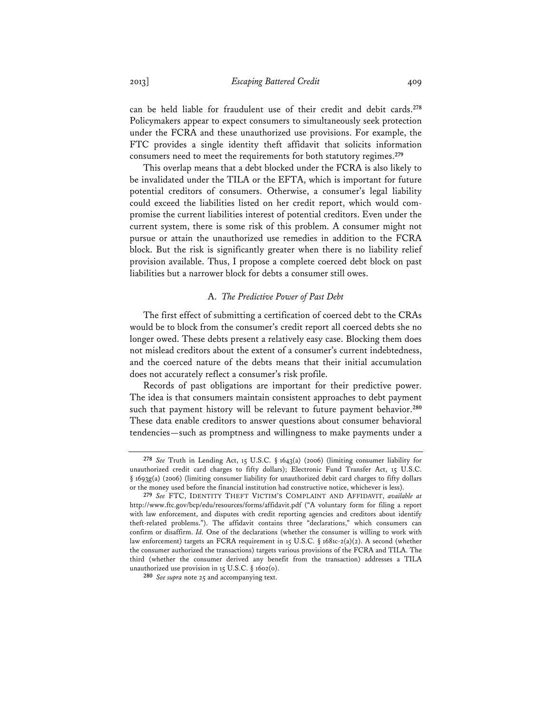can be held liable for fraudulent use of their credit and debit cards.**<sup>278</sup>** Policymakers appear to expect consumers to simultaneously seek protection under the FCRA and these unauthorized use provisions. For example, the FTC provides a single identity theft affidavit that solicits information consumers need to meet the requirements for both statutory regimes.**<sup>279</sup>**

This overlap means that a debt blocked under the FCRA is also likely to be invalidated under the TILA or the EFTA, which is important for future potential creditors of consumers. Otherwise, a consumer's legal liability could exceed the liabilities listed on her credit report, which would compromise the current liabilities interest of potential creditors. Even under the current system, there is some risk of this problem. A consumer might not pursue or attain the unauthorized use remedies in addition to the FCRA block. But the risk is significantly greater when there is no liability relief provision available. Thus, I propose a complete coerced debt block on past liabilities but a narrower block for debts a consumer still owes.

#### A. *The Predictive Power of Past Debt*

The first effect of submitting a certification of coerced debt to the CRAs would be to block from the consumer's credit report all coerced debts she no longer owed. These debts present a relatively easy case. Blocking them does not mislead creditors about the extent of a consumer's current indebtedness, and the coerced nature of the debts means that their initial accumulation does not accurately reflect a consumer's risk profile.

Records of past obligations are important for their predictive power. The idea is that consumers maintain consistent approaches to debt payment such that payment history will be relevant to future payment behavior.**<sup>280</sup>** These data enable creditors to answer questions about consumer behavioral tendencies—such as promptness and willingness to make payments under a

**<sup>278</sup>** *See* Truth in Lending Act, 15 U.S.C. § 1643(a) (2006) (limiting consumer liability for unauthorized credit card charges to fifty dollars); Electronic Fund Transfer Act, 15 U.S.C. § 1693g(a) (2006) (limiting consumer liability for unauthorized debit card charges to fifty dollars or the money used before the financial institution had constructive notice, whichever is less).

**<sup>279</sup>** *See* FTC, IDENTITY THEFT VICTIM'S COMPLAINT AND AFFIDAVIT, *available at* http://www.ftc.gov/bcp/edu/resources/forms/affidavit.pdf ("A voluntary form for filing a report with law enforcement, and disputes with credit reporting agencies and creditors about identify theft-related problems."). The affidavit contains three "declarations," which consumers can confirm or disaffirm. *Id.* One of the declarations (whether the consumer is willing to work with law enforcement) targets an FCRA requirement in 15 U.S.C. § 1681c-2(a)(2). A second (whether the consumer authorized the transactions) targets various provisions of the FCRA and TILA. The third (whether the consumer derived any benefit from the transaction) addresses a TILA unauthorized use provision in 15 U.S.C. § 1602(o).

**<sup>280</sup>** *See supra* note 25 and accompanying text.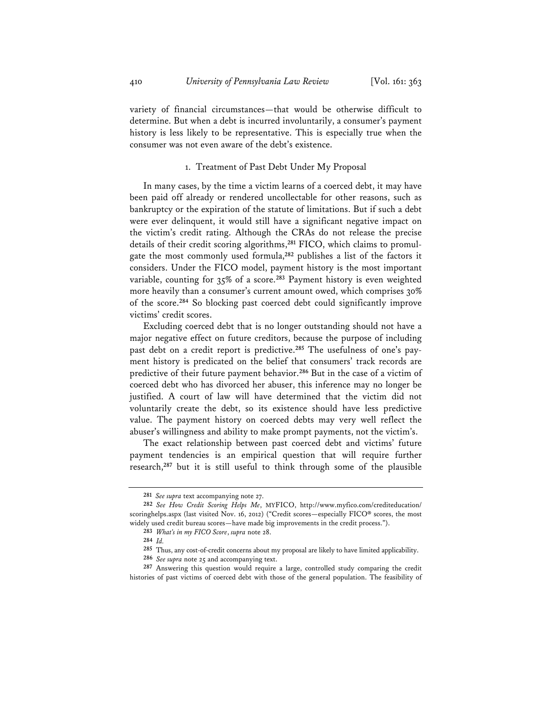variety of financial circumstances—that would be otherwise difficult to determine. But when a debt is incurred involuntarily, a consumer's payment history is less likely to be representative. This is especially true when the consumer was not even aware of the debt's existence.

# 1. Treatment of Past Debt Under My Proposal

In many cases, by the time a victim learns of a coerced debt, it may have been paid off already or rendered uncollectable for other reasons, such as bankruptcy or the expiration of the statute of limitations. But if such a debt were ever delinquent, it would still have a significant negative impact on the victim's credit rating. Although the CRAs do not release the precise details of their credit scoring algorithms,**281** FICO, which claims to promulgate the most commonly used formula,**<sup>282</sup>** publishes a list of the factors it considers. Under the FICO model, payment history is the most important variable, counting for 35% of a score.**<sup>283</sup>** Payment history is even weighted more heavily than a consumer's current amount owed, which comprises 30% of the score.**<sup>284</sup>** So blocking past coerced debt could significantly improve victims' credit scores.

Excluding coerced debt that is no longer outstanding should not have a major negative effect on future creditors, because the purpose of including past debt on a credit report is predictive.**285** The usefulness of one's payment history is predicated on the belief that consumers' track records are predictive of their future payment behavior.**<sup>286</sup>** But in the case of a victim of coerced debt who has divorced her abuser, this inference may no longer be justified. A court of law will have determined that the victim did not voluntarily create the debt, so its existence should have less predictive value. The payment history on coerced debts may very well reflect the abuser's willingness and ability to make prompt payments, not the victim's.

The exact relationship between past coerced debt and victims' future payment tendencies is an empirical question that will require further research,**<sup>287</sup>** but it is still useful to think through some of the plausible

**<sup>281</sup>** *See supra* text accompanying note 27.

**<sup>282</sup>** *See How Credit Scoring Helps Me*, MYFICO, http://www.myfico.com/crediteducation/ scoringhelps.aspx (last visited Nov. 16, 2012) ("Credit scores—especially FICO® scores, the most widely used credit bureau scores—have made big improvements in the credit process.").

**<sup>283</sup>** *What's in my FICO Score*, *supra* note 28.

**<sup>284</sup>** *Id.*

**<sup>285</sup>** Thus, any cost-of-credit concerns about my proposal are likely to have limited applicability.

**<sup>286</sup>** *See supra* note 25 and accompanying text.

**<sup>287</sup>** Answering this question would require a large, controlled study comparing the credit histories of past victims of coerced debt with those of the general population. The feasibility of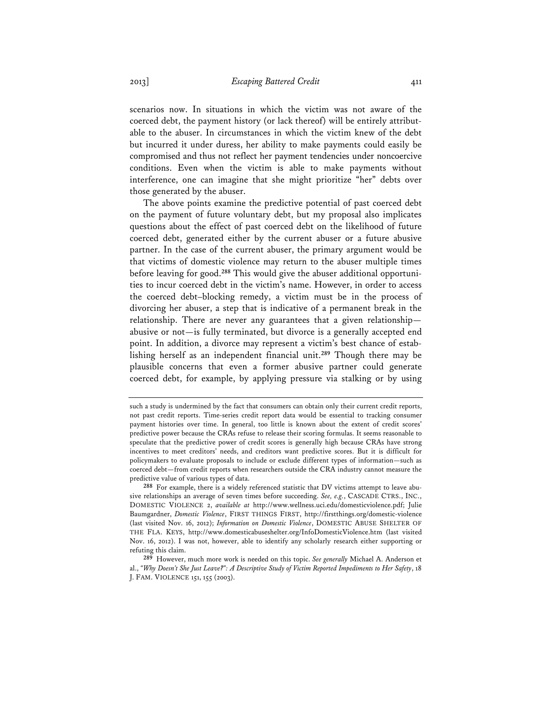scenarios now. In situations in which the victim was not aware of the coerced debt, the payment history (or lack thereof) will be entirely attributable to the abuser. In circumstances in which the victim knew of the debt but incurred it under duress, her ability to make payments could easily be compromised and thus not reflect her payment tendencies under noncoercive conditions. Even when the victim is able to make payments without interference, one can imagine that she might prioritize "her" debts over those generated by the abuser.

The above points examine the predictive potential of past coerced debt on the payment of future voluntary debt, but my proposal also implicates questions about the effect of past coerced debt on the likelihood of future coerced debt, generated either by the current abuser or a future abusive partner. In the case of the current abuser, the primary argument would be that victims of domestic violence may return to the abuser multiple times before leaving for good.**288** This would give the abuser additional opportunities to incur coerced debt in the victim's name. However, in order to access the coerced debt–blocking remedy, a victim must be in the process of divorcing her abuser, a step that is indicative of a permanent break in the relationship. There are never any guarantees that a given relationship abusive or not—is fully terminated, but divorce is a generally accepted end point. In addition, a divorce may represent a victim's best chance of establishing herself as an independent financial unit.**<sup>289</sup>** Though there may be plausible concerns that even a former abusive partner could generate coerced debt, for example, by applying pressure via stalking or by using

such a study is undermined by the fact that consumers can obtain only their current credit reports, not past credit reports. Time-series credit report data would be essential to tracking consumer payment histories over time. In general, too little is known about the extent of credit scores' predictive power because the CRAs refuse to release their scoring formulas. It seems reasonable to speculate that the predictive power of credit scores is generally high because CRAs have strong incentives to meet creditors' needs, and creditors want predictive scores. But it is difficult for policymakers to evaluate proposals to include or exclude different types of information—such as coerced debt—from credit reports when researchers outside the CRA industry cannot measure the predictive value of various types of data.

**<sup>288</sup>** For example, there is a widely referenced statistic that DV victims attempt to leave abusive relationships an average of seven times before succeeding. *See, e.g.*, CASCADE CTRS., INC., DOMESTIC VIOLENCE 2, *available at* http://www.wellness.uci.edu/domesticviolence.pdf; Julie Baumgardner, *Domestic Violence*, FIRST THINGS FIRST, http://firstthings.org/domestic-violence (last visited Nov. 16, 2012); *Information on Domestic Violence*, DOMESTIC ABUSE SHELTER OF THE FLA. KEYS, http://www.domesticabuseshelter.org/InfoDomesticViolence.htm (last visited Nov. 16, 2012). I was not, however, able to identify any scholarly research either supporting or refuting this claim.

**<sup>289</sup>** However, much more work is needed on this topic. *See generally* Michael A. Anderson et al., *"Why Doesn't She Just Leave?": A Descriptive Study of Victim Reported Impediments to Her Safety*, 18 J. FAM. VIOLENCE 151, 155 (2003).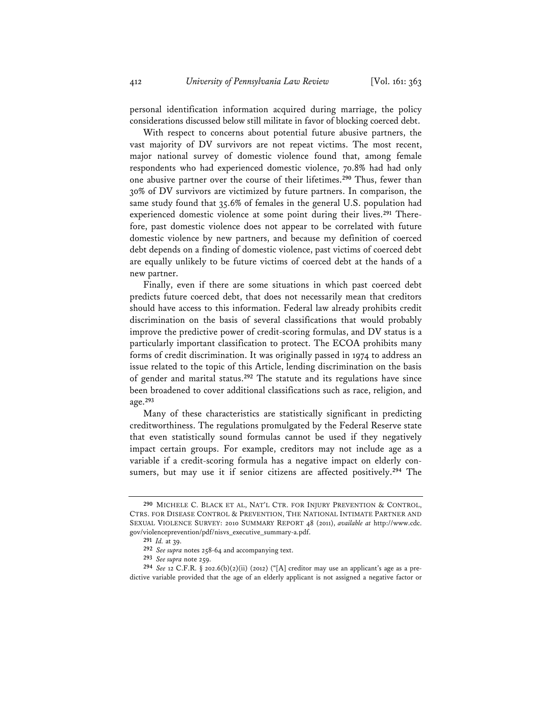personal identification information acquired during marriage, the policy considerations discussed below still militate in favor of blocking coerced debt.

With respect to concerns about potential future abusive partners, the vast majority of DV survivors are not repeat victims. The most recent, major national survey of domestic violence found that, among female respondents who had experienced domestic violence, 70.8% had had only one abusive partner over the course of their lifetimes.**<sup>290</sup>** Thus, fewer than 30% of DV survivors are victimized by future partners. In comparison, the same study found that 35.6% of females in the general U.S. population had experienced domestic violence at some point during their lives.**291** Therefore, past domestic violence does not appear to be correlated with future domestic violence by new partners, and because my definition of coerced debt depends on a finding of domestic violence, past victims of coerced debt are equally unlikely to be future victims of coerced debt at the hands of a new partner.

Finally, even if there are some situations in which past coerced debt predicts future coerced debt, that does not necessarily mean that creditors should have access to this information. Federal law already prohibits credit discrimination on the basis of several classifications that would probably improve the predictive power of credit-scoring formulas, and DV status is a particularly important classification to protect. The ECOA prohibits many forms of credit discrimination. It was originally passed in 1974 to address an issue related to the topic of this Article, lending discrimination on the basis of gender and marital status.**<sup>292</sup>** The statute and its regulations have since been broadened to cover additional classifications such as race, religion, and age.**<sup>293</sup>**

Many of these characteristics are statistically significant in predicting creditworthiness. The regulations promulgated by the Federal Reserve state that even statistically sound formulas cannot be used if they negatively impact certain groups. For example, creditors may not include age as a variable if a credit-scoring formula has a negative impact on elderly consumers, but may use it if senior citizens are affected positively.**<sup>294</sup>** The

**<sup>290</sup>** MICHELE C. BLACK ET AL, NAT'L CTR. FOR INJURY PREVENTION & CONTROL, CTRS. FOR DISEASE CONTROL & PREVENTION, THE NATIONAL INTIMATE PARTNER AND SEXUAL VIOLENCE SURVEY: 2010 SUMMARY REPORT 48 (2011), *available at* http://www.cdc. gov/violenceprevention/pdf/nisvs\_executive\_summary-a.pdf.

**<sup>291</sup>** *Id.* at 39.

**<sup>292</sup>** *See supra* notes 258-64 and accompanying text.

**<sup>293</sup>** *See supra* note 259.

**<sup>294</sup>** *See* 12 C.F.R. § 202.6(b)(2)(ii) (2012) ("[A] creditor may use an applicant's age as a predictive variable provided that the age of an elderly applicant is not assigned a negative factor or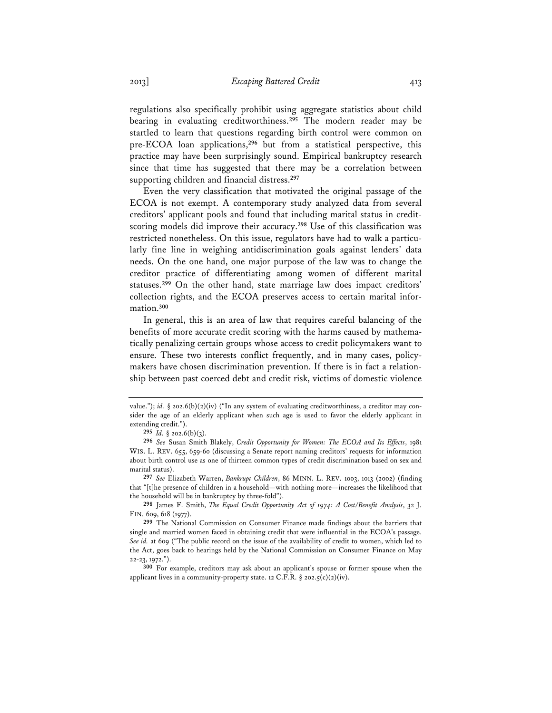regulations also specifically prohibit using aggregate statistics about child bearing in evaluating creditworthiness.**<sup>295</sup>** The modern reader may be startled to learn that questions regarding birth control were common on pre-ECOA loan applications,**<sup>296</sup>** but from a statistical perspective, this practice may have been surprisingly sound. Empirical bankruptcy research since that time has suggested that there may be a correlation between supporting children and financial distress.**<sup>297</sup>**

Even the very classification that motivated the original passage of the ECOA is not exempt. A contemporary study analyzed data from several creditors' applicant pools and found that including marital status in creditscoring models did improve their accuracy.**<sup>298</sup>** Use of this classification was restricted nonetheless. On this issue, regulators have had to walk a particularly fine line in weighing antidiscrimination goals against lenders' data needs. On the one hand, one major purpose of the law was to change the creditor practice of differentiating among women of different marital statuses.**<sup>299</sup>** On the other hand, state marriage law does impact creditors' collection rights, and the ECOA preserves access to certain marital information.**<sup>300</sup>**

In general, this is an area of law that requires careful balancing of the benefits of more accurate credit scoring with the harms caused by mathematically penalizing certain groups whose access to credit policymakers want to ensure. These two interests conflict frequently, and in many cases, policymakers have chosen discrimination prevention. If there is in fact a relationship between past coerced debt and credit risk, victims of domestic violence

**298** James F. Smith, *The Equal Credit Opportunity Act of 1974: A Cost/Benefit Analysis*, 32 J. FIN. 609, 618 (1977).

value."); *id.* § 202.6(b)(2)(iv) ("In any system of evaluating creditworthiness, a creditor may consider the age of an elderly applicant when such age is used to favor the elderly applicant in extending credit.").

**<sup>295</sup>** *Id.* § 202.6(b)(3).

**<sup>296</sup>** *See* Susan Smith Blakely, *Credit Opportunity for Women: The ECOA and Its Effects*, 1981 WIS. L. REV. 655, 659-60 (discussing a Senate report naming creditors' requests for information about birth control use as one of thirteen common types of credit discrimination based on sex and marital status).

**<sup>297</sup>** *See* Elizabeth Warren, *Bankrupt Children*, 86 MINN. L. REV. 1003, 1013 (2002) (finding that "[t]he presence of children in a household—with nothing more—increases the likelihood that the household will be in bankruptcy by three-fold").

**<sup>299</sup>** The National Commission on Consumer Finance made findings about the barriers that single and married women faced in obtaining credit that were influential in the ECOA's passage. *See id.* at 609 ("The public record on the issue of the availability of credit to women, which led to the Act, goes back to hearings held by the National Commission on Consumer Finance on May 22-23, 1972.").

**<sup>300</sup>** For example, creditors may ask about an applicant's spouse or former spouse when the applicant lives in a community-property state. 12 C.F.R.  $\S$  202.5(c)(2)(iv).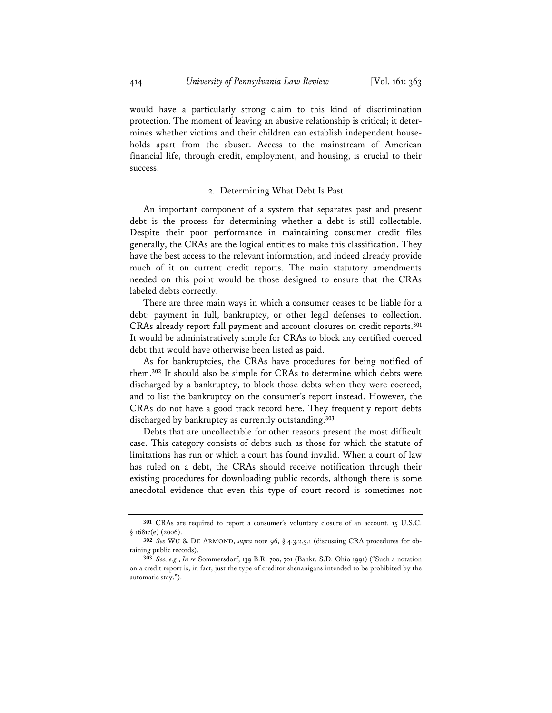would have a particularly strong claim to this kind of discrimination protection. The moment of leaving an abusive relationship is critical; it determines whether victims and their children can establish independent households apart from the abuser. Access to the mainstream of American financial life, through credit, employment, and housing, is crucial to their success.

#### 2. Determining What Debt Is Past

An important component of a system that separates past and present debt is the process for determining whether a debt is still collectable. Despite their poor performance in maintaining consumer credit files generally, the CRAs are the logical entities to make this classification. They have the best access to the relevant information, and indeed already provide much of it on current credit reports. The main statutory amendments needed on this point would be those designed to ensure that the CRAs labeled debts correctly.

There are three main ways in which a consumer ceases to be liable for a debt: payment in full, bankruptcy, or other legal defenses to collection. CRAs already report full payment and account closures on credit reports.**<sup>301</sup>** It would be administratively simple for CRAs to block any certified coerced debt that would have otherwise been listed as paid.

As for bankruptcies, the CRAs have procedures for being notified of them.**<sup>302</sup>** It should also be simple for CRAs to determine which debts were discharged by a bankruptcy, to block those debts when they were coerced, and to list the bankruptcy on the consumer's report instead. However, the CRAs do not have a good track record here. They frequently report debts discharged by bankruptcy as currently outstanding.**<sup>303</sup>**

Debts that are uncollectable for other reasons present the most difficult case. This category consists of debts such as those for which the statute of limitations has run or which a court has found invalid. When a court of law has ruled on a debt, the CRAs should receive notification through their existing procedures for downloading public records, although there is some anecdotal evidence that even this type of court record is sometimes not

**<sup>301</sup>** CRAs are required to report a consumer's voluntary closure of an account. 15 U.S.C. § 1681c(e) (2006).

**<sup>302</sup>** *See* WU & DE ARMOND, *supra* note 96, § 4.3.2.5.1 (discussing CRA procedures for obtaining public records).

**<sup>303</sup>** *See, e.g.*, *In re* Sommersdorf, 139 B.R. 700, 701 (Bankr. S.D. Ohio 1991) ("Such a notation on a credit report is, in fact, just the type of creditor shenanigans intended to be prohibited by the automatic stay.").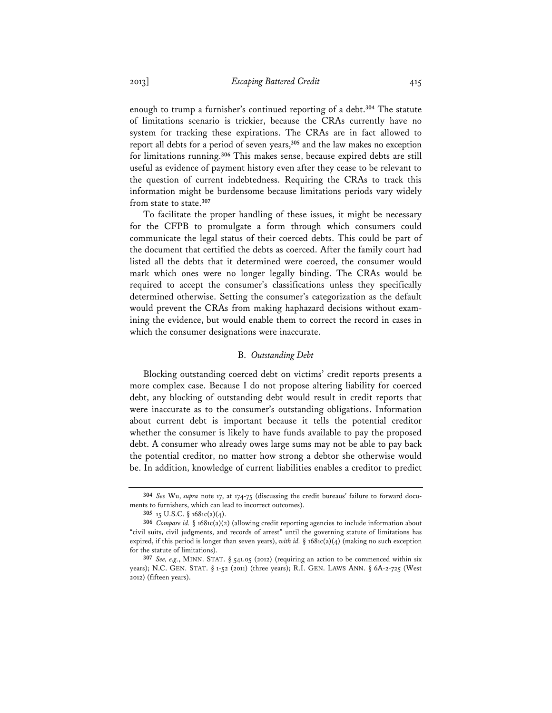enough to trump a furnisher's continued reporting of a debt.**<sup>304</sup>** The statute of limitations scenario is trickier, because the CRAs currently have no system for tracking these expirations. The CRAs are in fact allowed to report all debts for a period of seven years,**<sup>305</sup>** and the law makes no exception for limitations running.**<sup>306</sup>** This makes sense, because expired debts are still useful as evidence of payment history even after they cease to be relevant to the question of current indebtedness. Requiring the CRAs to track this information might be burdensome because limitations periods vary widely from state to state.**<sup>307</sup>**

To facilitate the proper handling of these issues, it might be necessary for the CFPB to promulgate a form through which consumers could communicate the legal status of their coerced debts. This could be part of the document that certified the debts as coerced. After the family court had listed all the debts that it determined were coerced, the consumer would mark which ones were no longer legally binding. The CRAs would be required to accept the consumer's classifications unless they specifically determined otherwise. Setting the consumer's categorization as the default would prevent the CRAs from making haphazard decisions without examining the evidence, but would enable them to correct the record in cases in which the consumer designations were inaccurate.

#### B. *Outstanding Debt*

Blocking outstanding coerced debt on victims' credit reports presents a more complex case. Because I do not propose altering liability for coerced debt, any blocking of outstanding debt would result in credit reports that were inaccurate as to the consumer's outstanding obligations. Information about current debt is important because it tells the potential creditor whether the consumer is likely to have funds available to pay the proposed debt. A consumer who already owes large sums may not be able to pay back the potential creditor, no matter how strong a debtor she otherwise would be. In addition, knowledge of current liabilities enables a creditor to predict

**<sup>304</sup>** *See* Wu, *supra* note 17, at 174-75 (discussing the credit bureaus' failure to forward documents to furnishers, which can lead to incorrect outcomes).

**<sup>305</sup>** 15 U.S.C. § 1681c(a)(4).

**<sup>306</sup>** *Compare id.* § 1681c(a)(2) (allowing credit reporting agencies to include information about "civil suits, civil judgments, and records of arrest" until the governing statute of limitations has expired, if this period is longer than seven years), *with id.* § 1681c(a)(4) (making no such exception for the statute of limitations).

**<sup>307</sup>** *See, e.g.*, MINN. STAT. § 541.05 (2012) (requiring an action to be commenced within six years); N.C. GEN. STAT. § 1-52 (2011) (three years); R.I. GEN. LAWS ANN. § 6A-2-725 (West 2012) (fifteen years).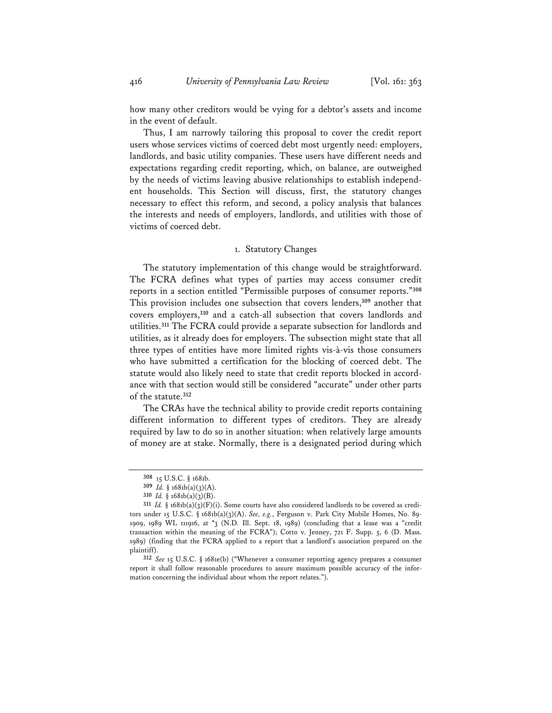how many other creditors would be vying for a debtor's assets and income in the event of default.

Thus, I am narrowly tailoring this proposal to cover the credit report users whose services victims of coerced debt most urgently need: employers, landlords, and basic utility companies. These users have different needs and expectations regarding credit reporting, which, on balance, are outweighed by the needs of victims leaving abusive relationships to establish independent households. This Section will discuss, first, the statutory changes necessary to effect this reform, and second, a policy analysis that balances the interests and needs of employers, landlords, and utilities with those of victims of coerced debt.

# 1. Statutory Changes

The statutory implementation of this change would be straightforward. The FCRA defines what types of parties may access consumer credit reports in a section entitled "Permissible purposes of consumer reports."**<sup>308</sup>** This provision includes one subsection that covers lenders,**<sup>309</sup>** another that covers employers,**<sup>310</sup>** and a catch-all subsection that covers landlords and utilities.**<sup>311</sup>** The FCRA could provide a separate subsection for landlords and utilities, as it already does for employers. The subsection might state that all three types of entities have more limited rights vis-à-vis those consumers who have submitted a certification for the blocking of coerced debt. The statute would also likely need to state that credit reports blocked in accordance with that section would still be considered "accurate" under other parts of the statute.**<sup>312</sup>**

The CRAs have the technical ability to provide credit reports containing different information to different types of creditors. They are already required by law to do so in another situation: when relatively large amounts of money are at stake. Normally, there is a designated period during which

**312** *See* 15 U.S.C. § 1681e(b) ("Whenever a consumer reporting agency prepares a consumer report it shall follow reasonable procedures to assure maximum possible accuracy of the information concerning the individual about whom the report relates.").

**<sup>308</sup>** 15 U.S.C. § 1681b.

**<sup>309</sup>** *Id.* § 1681b(a)(3)(A).

**<sup>310</sup>** *Id.* § 1681b(a)(3)(B).

**<sup>311</sup>** *Id.* § 1681b(a)(3)(F)(i). Some courts have also considered landlords to be covered as creditors under 15 U.S.C. § 1681b(a)(3)(A). *See, e.g.*, Ferguson v. Park City Mobile Homes, No. 89- 1909, 1989 WL 111916, at \*3 (N.D. Ill. Sept. 18, 1989) (concluding that a lease was a "credit transaction within the meaning of the FCRA"); Cotto v. Jenney, 721 F. Supp. 5, 6 (D. Mass. 1989) (finding that the FCRA applied to a report that a landlord's association prepared on the plaintiff).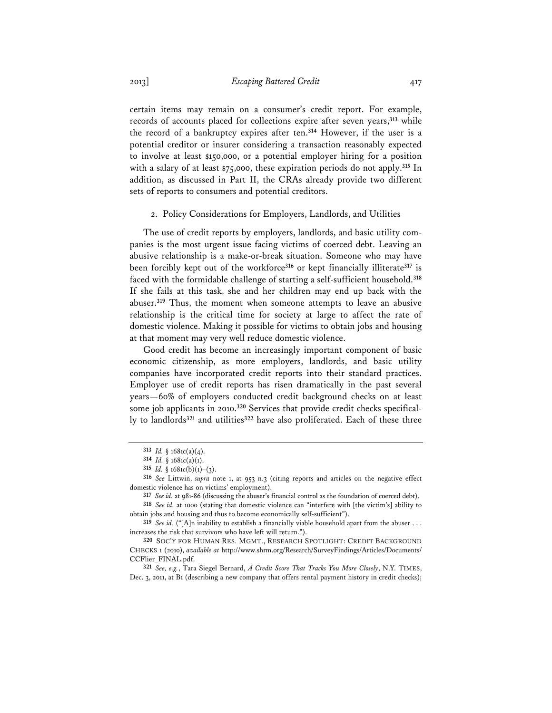certain items may remain on a consumer's credit report. For example, records of accounts placed for collections expire after seven years,**<sup>313</sup>** while the record of a bankruptcy expires after ten.**<sup>314</sup>** However, if the user is a potential creditor or insurer considering a transaction reasonably expected to involve at least \$150,000, or a potential employer hiring for a position with a salary of at least \$75,000, these expiration periods do not apply.**<sup>315</sup>** In addition, as discussed in Part II, the CRAs already provide two different sets of reports to consumers and potential creditors.

2. Policy Considerations for Employers, Landlords, and Utilities

The use of credit reports by employers, landlords, and basic utility companies is the most urgent issue facing victims of coerced debt. Leaving an abusive relationship is a make-or-break situation. Someone who may have been forcibly kept out of the workforce**<sup>316</sup>** or kept financially illiterate**<sup>317</sup>** is faced with the formidable challenge of starting a self-sufficient household.**<sup>318</sup>** If she fails at this task, she and her children may end up back with the abuser.**<sup>319</sup>** Thus, the moment when someone attempts to leave an abusive relationship is the critical time for society at large to affect the rate of domestic violence. Making it possible for victims to obtain jobs and housing at that moment may very well reduce domestic violence.

Good credit has become an increasingly important component of basic economic citizenship, as more employers, landlords, and basic utility companies have incorporated credit reports into their standard practices. Employer use of credit reports has risen dramatically in the past several years—60% of employers conducted credit background checks on at least some job applicants in 2010.**320** Services that provide credit checks specifically to landlords**<sup>321</sup>** and utilities**<sup>322</sup>** have also proliferated. Each of these three

**321** *See, e.g.*, Tara Siegel Bernard, *A Credit Score That Tracks You More Closely*, N.Y. TIMES, Dec. 3, 2011, at B1 (describing a new company that offers rental payment history in credit checks);

**<sup>313</sup>** *Id.* § 1681c(a)(4).

**<sup>314</sup>** *Id.* § 1681c(a)(1).

<sup>315</sup> *Id.*  $§ 1681c(b)(1)-(3)$ .

**<sup>316</sup>** *See* Littwin, *supra* note 1, at 953 n.3 (citing reports and articles on the negative effect domestic violence has on victims' employment).

**<sup>317</sup>** *See id.* at 981-86 (discussing the abuser's financial control as the foundation of coerced debt).

**<sup>318</sup>** *See id.* at 1000 (stating that domestic violence can "interfere with [the victim's] ability to obtain jobs and housing and thus to become economically self-sufficient").

**<sup>319</sup>** *See id.* ("[A]n inability to establish a financially viable household apart from the abuser . . . increases the risk that survivors who have left will return.").

**<sup>320</sup>** SOC'Y FOR HUMAN RES. MGMT., RESEARCH SPOTLIGHT: CREDIT BACKGROUND CHECKS 1 (2010), *available at* http://www.shrm.org/Research/SurveyFindings/Articles/Documents/ CCFlier\_FINAL.pdf.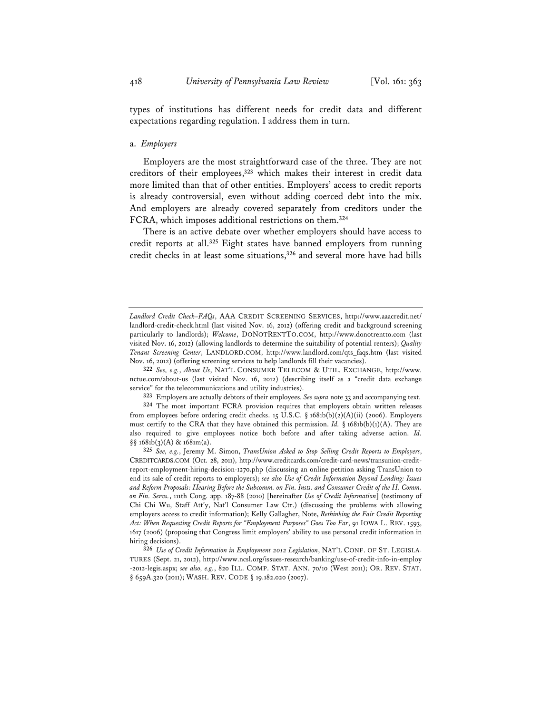types of institutions has different needs for credit data and different expectations regarding regulation. I address them in turn.

#### a. *Employers*

Employers are the most straightforward case of the three. They are not creditors of their employees,**<sup>323</sup>** which makes their interest in credit data more limited than that of other entities. Employers' access to credit reports is already controversial, even without adding coerced debt into the mix. And employers are already covered separately from creditors under the FCRA, which imposes additional restrictions on them.**<sup>324</sup>**

There is an active debate over whether employers should have access to credit reports at all.**<sup>325</sup>** Eight states have banned employers from running credit checks in at least some situations,**<sup>326</sup>** and several more have had bills

**323** Employers are actually debtors of their employees. *See supra* note 33 and accompanying text.

**324** The most important FCRA provision requires that employers obtain written releases from employees before ordering credit checks. 15 U.S.C.  $\S$  1681b(b)(2)(A)(ii) (2006). Employers must certify to the CRA that they have obtained this permission. *Id.*  $\S$  1681b(b)(1)(A). They are also required to give employees notice both before and after taking adverse action. *Id.*   $\S$ § 1681b(3)(A) & 1681m(a).

**325** *See, e.g.*, Jeremy M. Simon, *TransUnion Asked to Stop Selling Credit Reports to Employers*, CREDITCARDS.COM (Oct. 28, 2011), http://www.creditcards.com/credit-card-news/transunion-creditreport-employment-hiring-decision-1270.php (discussing an online petition asking TransUnion to end its sale of credit reports to employers); *see also Use of Credit Information Beyond Lending: Issues and Reform Proposals: Hearing Before the Subcomm. on Fin. Insts. and Consumer Credit of the H. Comm. on Fin. Servs.*, 111th Cong. app. 187-88 (2010) [hereinafter *Use of Credit Information*] (testimony of Chi Chi Wu, Staff Att'y, Nat'l Consumer Law Ctr.) (discussing the problems with allowing employers access to credit information); Kelly Gallagher, Note, *Rethinking the Fair Credit Reporting Act: When Requesting Credit Reports for "Employment Purposes" Goes Too Far*, 91 IOWA L. REV. 1593, 1617 (2006) (proposing that Congress limit employers' ability to use personal credit information in hiring decisions).

**326** *Use of Credit Information in Employment 2012 Legislation*, NAT'L CONF. OF ST. LEGISLA-TURES (Sept. 21, 2012), http://www.ncsl.org/issues-research/banking/use-of-credit-info-in-employ -2012-legis.aspx; *see also, e.g.*, 820 ILL. COMP. STAT. ANN. 70/10 (West 2011); OR. REV. STAT. § 659A.320 (2011); WASH. REV. CODE § 19.182.020 (2007).

*Landlord Credit Check–FAQs*, AAA CREDIT SCREENING SERVICES, http://www.aaacredit.net/ landlord-credit-check.html (last visited Nov. 16, 2012) (offering credit and background screening particularly to landlords); *Welcome*, DONOTRENTTO.COM, http://www.donotrentto.com (last visited Nov. 16, 2012) (allowing landlords to determine the suitability of potential renters); *Quality Tenant Screening Center*, LANDLORD.COM, http://www.landlord.com/qts\_faqs.htm (last visited Nov. 16, 2012) (offering screening services to help landlords fill their vacancies).

**<sup>322</sup>** *See, e.g.*, *About Us*, NAT'L CONSUMER TELECOM & UTIL. EXCHANGE, http://www. nctue.com/about-us (last visited Nov. 16, 2012) (describing itself as a "credit data exchange service" for the telecommunications and utility industries).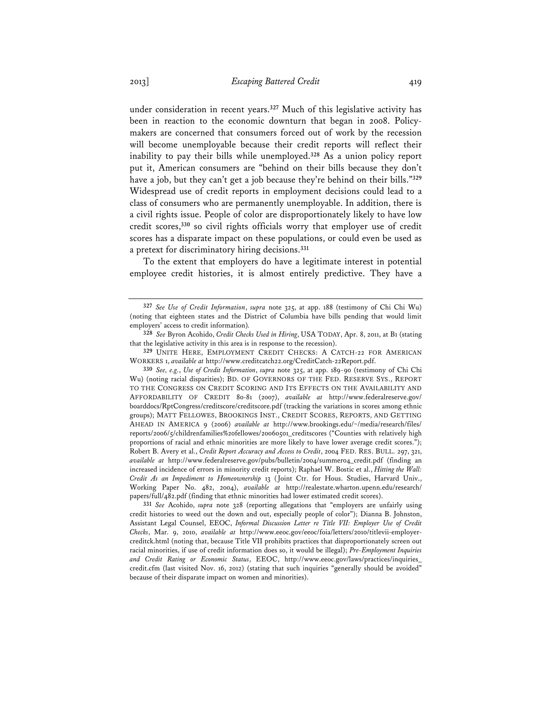under consideration in recent years.**<sup>327</sup>** Much of this legislative activity has been in reaction to the economic downturn that began in 2008. Policymakers are concerned that consumers forced out of work by the recession will become unemployable because their credit reports will reflect their inability to pay their bills while unemployed.**<sup>328</sup>** As a union policy report put it, American consumers are "behind on their bills because they don't have a job, but they can't get a job because they're behind on their bills."**<sup>329</sup>** Widespread use of credit reports in employment decisions could lead to a class of consumers who are permanently unemployable. In addition, there is a civil rights issue. People of color are disproportionately likely to have low credit scores,**<sup>330</sup>** so civil rights officials worry that employer use of credit scores has a disparate impact on these populations, or could even be used as a pretext for discriminatory hiring decisions.**<sup>331</sup>**

To the extent that employers do have a legitimate interest in potential employee credit histories, it is almost entirely predictive. They have a

**331** *See* Acohido, *supra* note 328 (reporting allegations that "employers are unfairly using credit histories to weed out the down and out, especially people of color"); Dianna B. Johnston, Assistant Legal Counsel, EEOC, *Informal Discussion Letter re Title VII: Employer Use of Credit Checks*, Mar. 9, 2010, *available at* http://www.eeoc.gov/eeoc/foia/letters/2010/titlevii-employercreditck.html (noting that, because Title VII prohibits practices that disproportionately screen out racial minorities, if use of credit information does so, it would be illegal); *Pre-Employment Inquiries and Credit Rating or Economic Status*, EEOC, http://www.eeoc.gov/laws/practices/inquiries\_ credit.cfm (last visited Nov. 16, 2012) (stating that such inquiries "generally should be avoided" because of their disparate impact on women and minorities).

**<sup>327</sup>** *See Use of Credit Information*, *supra* note 325, at app. 188 (testimony of Chi Chi Wu) (noting that eighteen states and the District of Columbia have bills pending that would limit employers' access to credit information)*.*

**<sup>328</sup>** *See* Byron Acohido, *Credit Checks Used in Hiring*, USA TODAY, Apr. 8, 2011, at B1 (stating that the legislative activity in this area is in response to the recession).

**<sup>329</sup>** UNITE HERE, EMPLOYMENT CREDIT CHECKS: A CATCH-22 FOR AMERICAN WORKERS 1, *available at* http://www.creditcatch22.org/CreditCatch-22Report.pdf.

**<sup>330</sup>** *See, e.g.*, *Use of Credit Information*, *supra* note 325, at app. 189-90 (testimony of Chi Chi Wu) (noting racial disparities); BD. OF GOVERNORS OF THE FED. RESERVE SYS., REPORT TO THE CONGRESS ON CREDIT SCORING AND ITS EFFECTS ON THE AVAILABILITY AND AFFORDABILITY OF CREDIT 80-81 (2007), *available at* http://www.federalreserve.gov/ boarddocs/RptCongress/creditscore/creditscore.pdf (tracking the variations in scores among ethnic groups); MATT FELLOWES, BROOKINGS INST., CREDIT SCORES, REPORTS, AND GETTING AHEAD IN AMERICA 9 (2006) *available at* http://www.brookings.edu/~/media/research/files/ reports/2006/5/childrenfamilies%20fellowes/20060501\_creditscores ("Counties with relatively high proportions of racial and ethnic minorities are more likely to have lower average credit scores."); Robert B. Avery et al., *Credit Report Accuracy and Access to Credit*, 2004 FED. RES. BULL. 297, 321, *available at* http://www.federalreserve.gov/pubs/bulletin/2004/summer04\_credit.pdf (finding an increased incidence of errors in minority credit reports); Raphael W. Bostic et al., *Hitting the Wall: Credit As an Impediment to Homeownership* 13 (Joint Ctr. for Hous. Studies, Harvard Univ., Working Paper No. 482, 2004), *available at* http://realestate.wharton.upenn.edu/research/ papers/full/482.pdf (finding that ethnic minorities had lower estimated credit scores).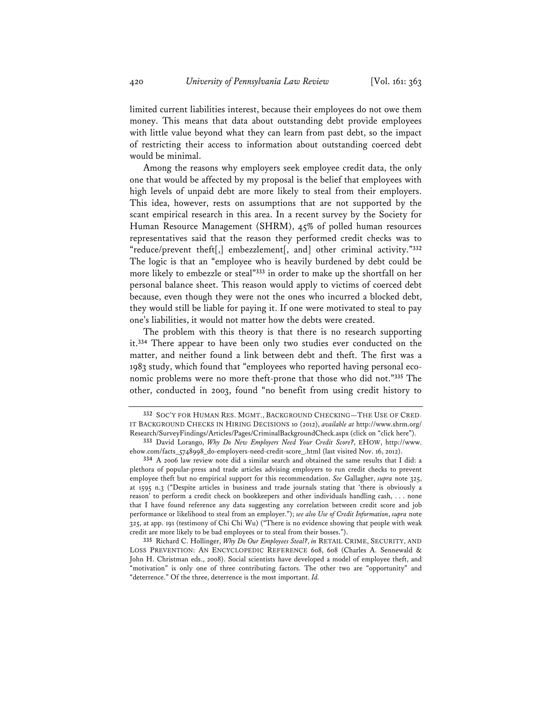limited current liabilities interest, because their employees do not owe them money. This means that data about outstanding debt provide employees with little value beyond what they can learn from past debt, so the impact of restricting their access to information about outstanding coerced debt would be minimal.

Among the reasons why employers seek employee credit data, the only one that would be affected by my proposal is the belief that employees with high levels of unpaid debt are more likely to steal from their employers. This idea, however, rests on assumptions that are not supported by the scant empirical research in this area. In a recent survey by the Society for Human Resource Management (SHRM), 45% of polled human resources representatives said that the reason they performed credit checks was to "reduce/prevent theft[,] embezzlement[, and] other criminal activity."**<sup>332</sup>** The logic is that an "employee who is heavily burdened by debt could be more likely to embezzle or steal"**<sup>333</sup>** in order to make up the shortfall on her personal balance sheet. This reason would apply to victims of coerced debt because, even though they were not the ones who incurred a blocked debt, they would still be liable for paying it. If one were motivated to steal to pay one's liabilities, it would not matter how the debts were created.

The problem with this theory is that there is no research supporting it.**<sup>334</sup>** There appear to have been only two studies ever conducted on the matter, and neither found a link between debt and theft. The first was a 1983 study, which found that "employees who reported having personal economic problems were no more theft-prone that those who did not."**<sup>335</sup>** The other, conducted in 2003, found "no benefit from using credit history to

**<sup>332</sup>** SOC'Y FOR HUMAN RES. MGMT., BACKGROUND CHECKING—THE USE OF CRED-IT BACKGROUND CHECKS IN HIRING DECISIONS 10 (2012), *available at* http://www.shrm.org/ Research/SurveyFindings/Articles/Pages/CriminalBackgroundCheck.aspx (click on "click here").

**<sup>333</sup>** David Lorango, *Why Do New Employers Need Your Credit Score?*, EHOW, http://www. ehow.com/facts\_5748998\_do-employers-need-credit-score\_.html (last visited Nov. 16, 2012).

**<sup>334</sup>** A 2006 law review note did a similar search and obtained the same results that I did: a plethora of popular-press and trade articles advising employers to run credit checks to prevent employee theft but no empirical support for this recommendation. *See* Gallagher, *supra* note 325, at 1595 n.3 ("Despite articles in business and trade journals stating that 'there is obviously a reason' to perform a credit check on bookkeepers and other individuals handling cash, . . . none that I have found reference any data suggesting any correlation between credit score and job performance or likelihood to steal from an employer."); *see also Use of Credit Information*, *supra* note 325, at app. 191 (testimony of Chi Chi Wu) ("There is no evidence showing that people with weak credit are more likely to be bad employees or to steal from their bosses.").

**<sup>335</sup>** Richard C. Hollinger, *Why Do Our Employees Steal?*, *in* RETAIL CRIME, SECURITY, AND LOSS PREVENTION: AN ENCYCLOPEDIC REFERENCE 608, 608 (Charles A. Sennewald & John H. Christman eds., 2008). Social scientists have developed a model of employee theft, and "motivation" is only one of three contributing factors. The other two are "opportunity" and "deterrence." Of the three, deterrence is the most important. *Id.*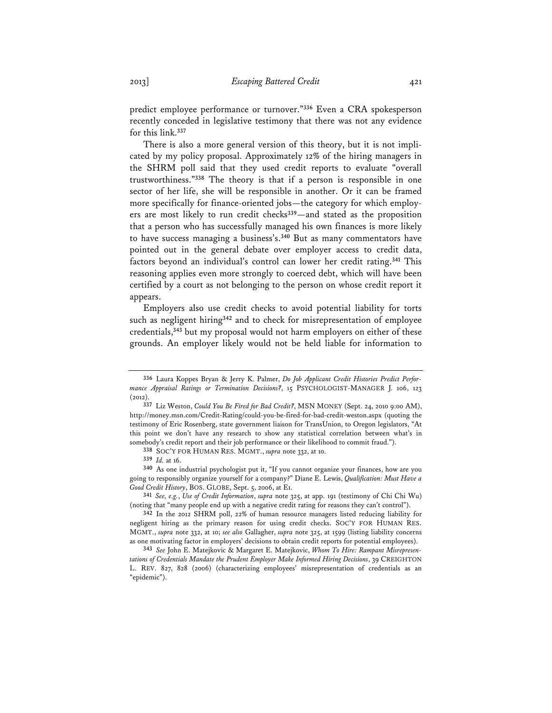predict employee performance or turnover."**<sup>336</sup>** Even a CRA spokesperson recently conceded in legislative testimony that there was not any evidence for this link.**<sup>337</sup>**

There is also a more general version of this theory, but it is not implicated by my policy proposal. Approximately 12% of the hiring managers in the SHRM poll said that they used credit reports to evaluate "overall trustworthiness."**<sup>338</sup>** The theory is that if a person is responsible in one sector of her life, she will be responsible in another. Or it can be framed more specifically for finance-oriented jobs—the category for which employers are most likely to run credit checks**<sup>339</sup>**—and stated as the proposition that a person who has successfully managed his own finances is more likely to have success managing a business's.**<sup>340</sup>** But as many commentators have pointed out in the general debate over employer access to credit data, factors beyond an individual's control can lower her credit rating.**<sup>341</sup>** This reasoning applies even more strongly to coerced debt, which will have been certified by a court as not belonging to the person on whose credit report it appears.

Employers also use credit checks to avoid potential liability for torts such as negligent hiring**<sup>342</sup>** and to check for misrepresentation of employee credentials,**<sup>343</sup>** but my proposal would not harm employers on either of these grounds. An employer likely would not be held liable for information to

**<sup>336</sup>** Laura Koppes Bryan & Jerry K. Palmer, *Do Job Applicant Credit Histories Predict Performance Appraisal Ratings or Termination Decisions?*, 15 PSYCHOLOGIST-MANAGER J. 106, 123 (2012).

**<sup>337</sup>** Liz Weston, *Could You Be Fired for Bad Credit?*, MSN MONEY (Sept. 24, 2010 9:00 AM), http://money.msn.com/Credit-Rating/could-you-be-fired-for-bad-credit-weston.aspx (quoting the testimony of Eric Rosenberg, state government liaison for TransUnion, to Oregon legislators, "At this point we don't have any research to show any statistical correlation between what's in somebody's credit report and their job performance or their likelihood to commit fraud.").

**<sup>338</sup>** SOC'Y FOR HUMAN RES. MGMT., *supra* note 332, at 10.

**<sup>339</sup>** *Id.* at 16.

**<sup>340</sup>** As one industrial psychologist put it, "If you cannot organize your finances, how are you going to responsibly organize yourself for a company?" Diane E. Lewis, *Qualification: Must Have a Good Credit History*, BOS. GLOBE, Sept. 5, 2006, at E1.

**<sup>341</sup>** *See, e.g.*, *Use of Credit Information*, *supra* note 325, at app. 191 (testimony of Chi Chi Wu) (noting that "many people end up with a negative credit rating for reasons they can't control").

**<sup>342</sup>** In the 2012 SHRM poll, 22% of human resource managers listed reducing liability for negligent hiring as the primary reason for using credit checks. SOC'Y FOR HUMAN RES. MGMT., *supra* note 332, at 10; *see also* Gallagher, *supra* note 325, at 1599 (listing liability concerns as one motivating factor in employers' decisions to obtain credit reports for potential employees).

**<sup>343</sup>** *See* John E. Matejkovic & Margaret E. Matejkovic, *Whom To Hire: Rampant Misrepresentations of Credentials Mandate the Prudent Employer Make Informed Hiring Decisions*, 39 CREIGHTON L. REV. 827, 828 (2006) (characterizing employees' misrepresentation of credentials as an "epidemic").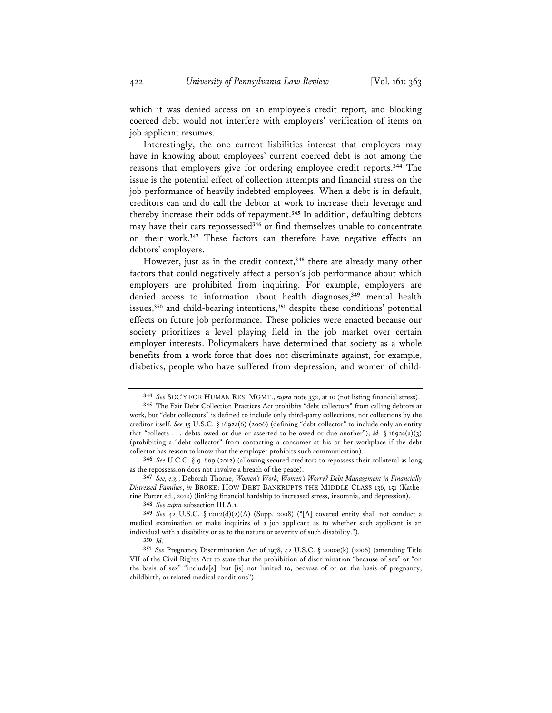which it was denied access on an employee's credit report, and blocking coerced debt would not interfere with employers' verification of items on job applicant resumes.

Interestingly, the one current liabilities interest that employers may have in knowing about employees' current coerced debt is not among the reasons that employers give for ordering employee credit reports.**<sup>344</sup>** The issue is the potential effect of collection attempts and financial stress on the job performance of heavily indebted employees. When a debt is in default, creditors can and do call the debtor at work to increase their leverage and thereby increase their odds of repayment.**<sup>345</sup>** In addition, defaulting debtors may have their cars repossessed**<sup>346</sup>** or find themselves unable to concentrate on their work.**<sup>347</sup>** These factors can therefore have negative effects on debtors' employers.

However, just as in the credit context,**<sup>348</sup>** there are already many other factors that could negatively affect a person's job performance about which employers are prohibited from inquiring. For example, employers are denied access to information about health diagnoses,**<sup>349</sup>** mental health issues,**<sup>350</sup>** and child-bearing intentions,**<sup>351</sup>** despite these conditions' potential effects on future job performance. These policies were enacted because our society prioritizes a level playing field in the job market over certain employer interests. Policymakers have determined that society as a whole benefits from a work force that does not discriminate against, for example, diabetics, people who have suffered from depression, and women of child-

**348** *See supra* subsection III.A.1.

**350** *Id.*

**<sup>344</sup>** *See* SOC'Y FOR HUMAN RES. MGMT., *supra* note 332, at 10 (not listing financial stress).

**<sup>345</sup>** The Fair Debt Collection Practices Act prohibits "debt collectors" from calling debtors at work, but "debt collectors" is defined to include only third-party collections, not collections by the creditor itself. *See* 15 U.S.C. § 1692a(6) (2006) (defining "debt collector" to include only an entity that "collects ... debts owed or due or asserted to be owed or due another"); *id.* § 1692c(a)(3) (prohibiting a "debt collector" from contacting a consumer at his or her workplace if the debt collector has reason to know that the employer prohibits such communication).

**<sup>346</sup>** *See* U.C.C. § 9-609 (2012) (allowing secured creditors to repossess their collateral as long as the repossession does not involve a breach of the peace).

**<sup>347</sup>** *See, e.g.*, Deborah Thorne, *Women's Work, Women's Worry? Debt Management in Financially Distressed Families*, *in* BROKE: HOW DEBT BANKRUPTS THE MIDDLE CLASS 136, 151 (Katherine Porter ed., 2012) (linking financial hardship to increased stress, insomnia, and depression).

**<sup>349</sup>** *See* 42 U.S.C. § 12112(d)(2)(A) (Supp. 2008) ("[A] covered entity shall not conduct a medical examination or make inquiries of a job applicant as to whether such applicant is an individual with a disability or as to the nature or severity of such disability.").

**<sup>351</sup>** *See* Pregnancy Discrimination Act of 1978, 42 U.S.C. § 2000e(k) (2006) (amending Title VII of the Civil Rights Act to state that the prohibition of discrimination "because of sex" or "on the basis of sex" "include[s], but [is] not limited to, because of or on the basis of pregnancy, childbirth, or related medical conditions").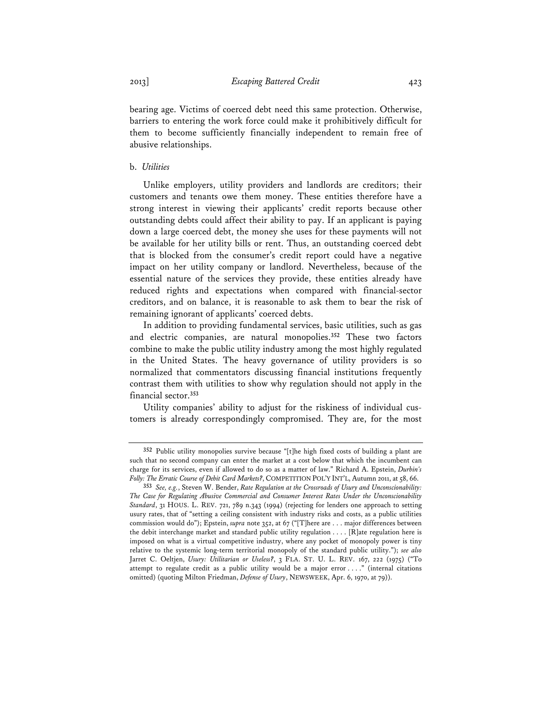bearing age. Victims of coerced debt need this same protection. Otherwise, barriers to entering the work force could make it prohibitively difficult for them to become sufficiently financially independent to remain free of abusive relationships.

## b. *Utilities*

Unlike employers, utility providers and landlords are creditors; their customers and tenants owe them money. These entities therefore have a strong interest in viewing their applicants' credit reports because other outstanding debts could affect their ability to pay. If an applicant is paying down a large coerced debt, the money she uses for these payments will not be available for her utility bills or rent. Thus, an outstanding coerced debt that is blocked from the consumer's credit report could have a negative impact on her utility company or landlord. Nevertheless, because of the essential nature of the services they provide, these entities already have reduced rights and expectations when compared with financial-sector creditors, and on balance, it is reasonable to ask them to bear the risk of remaining ignorant of applicants' coerced debts.

In addition to providing fundamental services, basic utilities, such as gas and electric companies, are natural monopolies.**<sup>352</sup>** These two factors combine to make the public utility industry among the most highly regulated in the United States. The heavy governance of utility providers is so normalized that commentators discussing financial institutions frequently contrast them with utilities to show why regulation should not apply in the financial sector.**<sup>353</sup>**

Utility companies' ability to adjust for the riskiness of individual customers is already correspondingly compromised. They are, for the most

**<sup>352</sup>** Public utility monopolies survive because "[t]he high fixed costs of building a plant are such that no second company can enter the market at a cost below that which the incumbent can charge for its services, even if allowed to do so as a matter of law." Richard A. Epstein, *Durbin's Folly: The Erratic Course of Debit Card Markets?*, COMPETITION POL'Y INT'L, Autumn 2011, at 58, 66.

**<sup>353</sup>** *See, e.g.*, Steven W. Bender, *Rate Regulation at the Crossroads of Usury and Unconscionability: The Case for Regulating Abusive Commercial and Consumer Interest Rates Under the Unconscionability Standard*, 31 HOUS. L. REV. 721, 789 n.343 (1994) (rejecting for lenders one approach to setting usury rates, that of "setting a ceiling consistent with industry risks and costs, as a public utilities commission would do"); Epstein, *supra* note 352, at 67 ("[T]here are . . . major differences between the debit interchange market and standard public utility regulation . . . . [R]ate regulation here is imposed on what is a virtual competitive industry, where any pocket of monopoly power is tiny relative to the systemic long-term territorial monopoly of the standard public utility."); *see also* Jarret C. Oeltjen, *Usury: Utilitarian or Useless?*, 3 FLA. ST. U. L. REV. 167, 222 (1975) ("To attempt to regulate credit as a public utility would be a major error . . . ." (internal citations omitted) (quoting Milton Friedman, *Defense of Usury*, NEWSWEEK, Apr. 6, 1970, at 79)).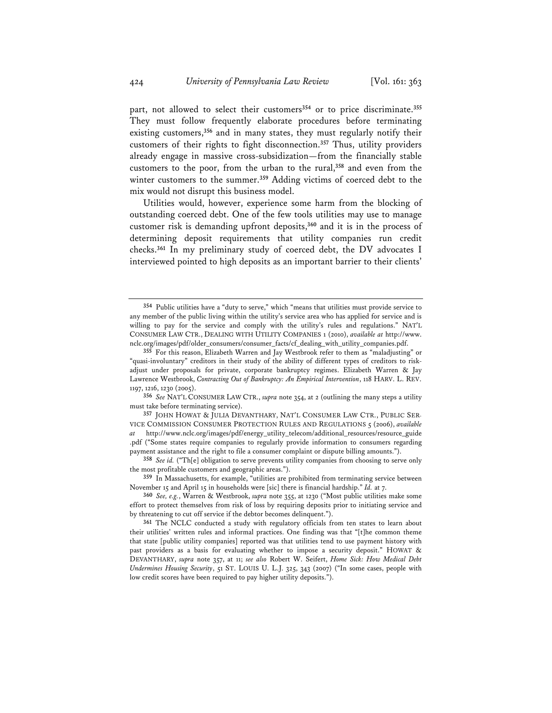part, not allowed to select their customers**<sup>354</sup>** or to price discriminate.**<sup>355</sup>** They must follow frequently elaborate procedures before terminating existing customers,**<sup>356</sup>** and in many states, they must regularly notify their customers of their rights to fight disconnection.**<sup>357</sup>** Thus, utility providers already engage in massive cross-subsidization—from the financially stable customers to the poor, from the urban to the rural,**<sup>358</sup>** and even from the winter customers to the summer.**<sup>359</sup>** Adding victims of coerced debt to the mix would not disrupt this business model.

Utilities would, however, experience some harm from the blocking of outstanding coerced debt. One of the few tools utilities may use to manage customer risk is demanding upfront deposits,**<sup>360</sup>** and it is in the process of determining deposit requirements that utility companies run credit checks.**<sup>361</sup>** In my preliminary study of coerced debt, the DV advocates I interviewed pointed to high deposits as an important barrier to their clients'

**<sup>354</sup>** Public utilities have a "duty to serve," which "means that utilities must provide service to any member of the public living within the utility's service area who has applied for service and is willing to pay for the service and comply with the utility's rules and regulations." NAT'L CONSUMER LAW CTR., DEALING WITH UTILITY COMPANIES 1 (2010), *available at* http://www. nclc.org/images/pdf/older\_consumers/consumer\_facts/cf\_dealing\_with\_utility\_companies.pdf.

**<sup>355</sup>** For this reason, Elizabeth Warren and Jay Westbrook refer to them as "maladjusting" or "quasi-involuntary" creditors in their study of the ability of different types of creditors to riskadjust under proposals for private, corporate bankruptcy regimes. Elizabeth Warren & Jay Lawrence Westbrook, *Contracting Out of Bankruptcy: An Empirical Intervention*, 118 HARV. L. REV. 1197, 1216, 1230 (2005).

**<sup>356</sup>** *See* NAT'L CONSUMER LAW CTR., *supra* note 354, at 2 (outlining the many steps a utility must take before terminating service).

**<sup>357</sup>** JOHN HOWAT & JULIA DEVANTHARY, NAT'L CONSUMER LAW CTR., PUBLIC SER-VICE COMMISSION CONSUMER PROTECTION RULES AND REGULATIONS 5 (2006), *available at* http://www.nclc.org/images/pdf/energy\_utility\_telecom/additional\_resources/resource\_guide .pdf ("Some states require companies to regularly provide information to consumers regarding payment assistance and the right to file a consumer complaint or dispute billing amounts.").

**<sup>358</sup>** *See id.* ("Th[e] obligation to serve prevents utility companies from choosing to serve only the most profitable customers and geographic areas.").

**<sup>359</sup>** In Massachusetts, for example, "utilities are prohibited from terminating service between November 15 and April 15 in households were [sic] there is financial hardship." *Id.* at 7.

**<sup>360</sup>** *See, e.g.*, Warren & Westbrook, *supra* note 355, at 1230 ("Most public utilities make some effort to protect themselves from risk of loss by requiring deposits prior to initiating service and by threatening to cut off service if the debtor becomes delinquent.").

**<sup>361</sup>** The NCLC conducted a study with regulatory officials from ten states to learn about their utilities' written rules and informal practices. One finding was that "[t]he common theme that state [public utility companies] reported was that utilities tend to use payment history with past providers as a basis for evaluating whether to impose a security deposit." HOWAT & DEVANTHARY, *supra* note 357, at 11; *see also* Robert W. Seifert, *Home Sick: How Medical Debt Undermines Housing Security*, 51 ST. LOUIS U. L.J. 325, 343 (2007) ("In some cases, people with low credit scores have been required to pay higher utility deposits.").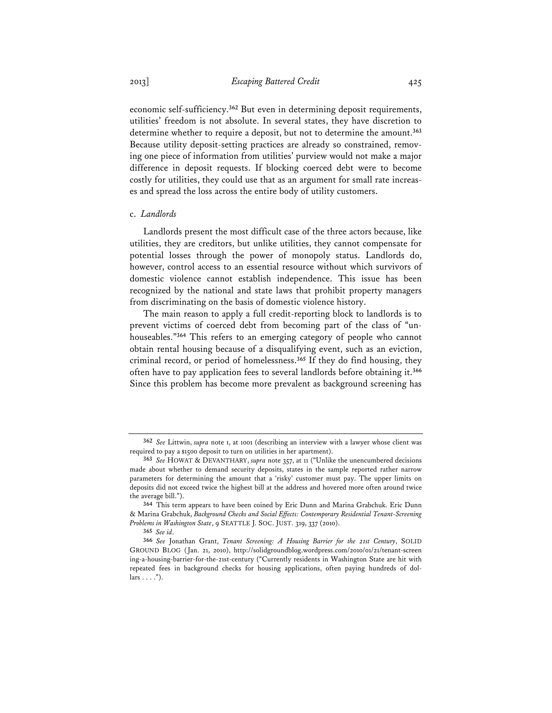2013] *Escaping Battered Credit* 425

economic self-sufficiency.**<sup>362</sup>** But even in determining deposit requirements, utilities' freedom is not absolute. In several states, they have discretion to determine whether to require a deposit, but not to determine the amount.**<sup>363</sup>** Because utility deposit-setting practices are already so constrained, removing one piece of information from utilities' purview would not make a major difference in deposit requests. If blocking coerced debt were to become costly for utilities, they could use that as an argument for small rate increases and spread the loss across the entire body of utility customers.

### c. *Landlords*

Landlords present the most difficult case of the three actors because, like utilities, they are creditors, but unlike utilities, they cannot compensate for potential losses through the power of monopoly status. Landlords do, however, control access to an essential resource without which survivors of domestic violence cannot establish independence. This issue has been recognized by the national and state laws that prohibit property managers from discriminating on the basis of domestic violence history.

The main reason to apply a full credit-reporting block to landlords is to prevent victims of coerced debt from becoming part of the class of "unhouseables."**<sup>364</sup>** This refers to an emerging category of people who cannot obtain rental housing because of a disqualifying event, such as an eviction, criminal record, or period of homelessness.**<sup>365</sup>** If they do find housing, they often have to pay application fees to several landlords before obtaining it.**<sup>366</sup>** Since this problem has become more prevalent as background screening has

**<sup>362</sup>** *See* Littwin, *supra* note 1, at 1001 (describing an interview with a lawyer whose client was required to pay a \$1500 deposit to turn on utilities in her apartment).

**<sup>363</sup>** *See* HOWAT & DEVANTHARY, *supra* note 357, at 11 ("Unlike the unencumbered decisions made about whether to demand security deposits, states in the sample reported rather narrow parameters for determining the amount that a 'risky' customer must pay. The upper limits on deposits did not exceed twice the highest bill at the address and hovered more often around twice the average bill.").

**<sup>364</sup>** This term appears to have been coined by Eric Dunn and Marina Grabchuk. Eric Dunn & Marina Grabchuk, *Background Checks and Social Effects: Contemporary Residential Tenant-Screening Problems in Washington State*, 9 SEATTLE J. SOC. JUST. 319, 337 (2010).

**<sup>365</sup>** *See id*.

**<sup>366</sup>** *See* Jonathan Grant, *Tenant Screening: A Housing Barrier for the 21st Century*, SOLID GROUND BLOG (Jan. 21, 2010), http://solidgroundblog.wordpress.com/2010/01/21/tenant-screen ing-a-housing-barrier-for-the-21st-century ("Currently residents in Washington State are hit with repeated fees in background checks for housing applications, often paying hundreds of dol $lars \ldots$ ").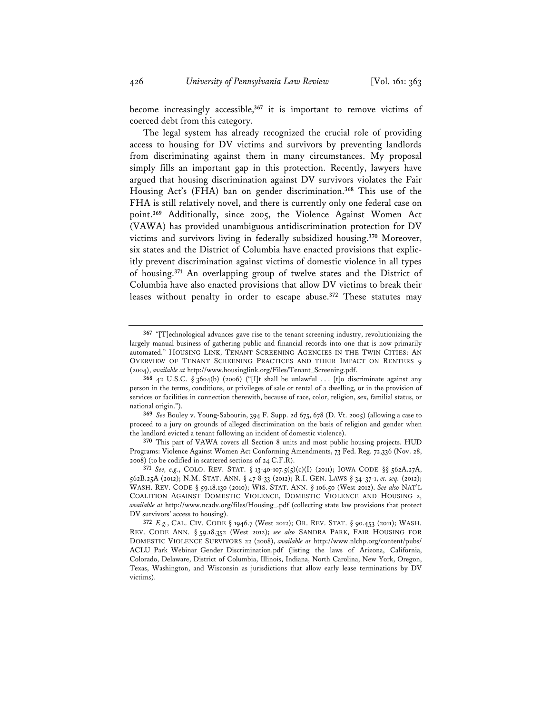become increasingly accessible,**<sup>367</sup>** it is important to remove victims of coerced debt from this category.

The legal system has already recognized the crucial role of providing access to housing for DV victims and survivors by preventing landlords from discriminating against them in many circumstances. My proposal simply fills an important gap in this protection. Recently, lawyers have argued that housing discrimination against DV survivors violates the Fair Housing Act's (FHA) ban on gender discrimination.**<sup>368</sup>** This use of the FHA is still relatively novel, and there is currently only one federal case on point.**<sup>369</sup>** Additionally, since 2005, the Violence Against Women Act (VAWA) has provided unambiguous antidiscrimination protection for DV victims and survivors living in federally subsidized housing.**<sup>370</sup>** Moreover, six states and the District of Columbia have enacted provisions that explicitly prevent discrimination against victims of domestic violence in all types of housing.**<sup>371</sup>** An overlapping group of twelve states and the District of Columbia have also enacted provisions that allow DV victims to break their leases without penalty in order to escape abuse.**<sup>372</sup>** These statutes may

**369** *See* Bouley v. Young-Sabourin, 394 F. Supp. 2d 675, 678 (D. Vt. 2005) (allowing a case to proceed to a jury on grounds of alleged discrimination on the basis of religion and gender when the landlord evicted a tenant following an incident of domestic violence).

**370** This part of VAWA covers all Section 8 units and most public housing projects. HUD Programs: Violence Against Women Act Conforming Amendments, 73 Fed. Reg. 72,336 (Nov. 28, 2008) (to be codified in scattered sections of 24 C.F.R).

**371** *See, e.g.*, COLO. REV. STAT. § 13-40-107.5(5)(c)(I) (2011); IOWA CODE §§ 562A.27A, 562B.25A (2012); N.M. STAT. ANN. § 47-8-33 (2012); R.I. GEN. LAWS § 34-37-1, *et. seq.* (2012); WASH. REV. CODE § 59.18.130 (2010); WIS. STAT. ANN. § 106.50 (West 2012). *See also* NAT'L COALITION AGAINST DOMESTIC VIOLENCE, DOMESTIC VIOLENCE AND HOUSING 2, *available at* http://www.ncadv.org/files/Housing\_.pdf (collecting state law provisions that protect DV survivors' access to housing).

**372** *E.g.*, CAL. CIV. CODE § 1946.7 (West 2012); OR. REV. STAT. § 90.453 (2011); WASH. REV. CODE ANN. § 59.18.352 (West 2012); *see also* SANDRA PARK, FAIR HOUSING FOR DOMESTIC VIOLENCE SURVIVORS 22 (2008), *available at* http://www.nlchp.org/content/pubs/ ACLU\_Park\_Webinar\_Gender\_Discrimination.pdf (listing the laws of Arizona, California, Colorado, Delaware, District of Columbia, Illinois, Indiana, North Carolina, New York, Oregon, Texas, Washington, and Wisconsin as jurisdictions that allow early lease terminations by DV victims).

**<sup>367</sup>** "[T]echnological advances gave rise to the tenant screening industry, revolutionizing the largely manual business of gathering public and financial records into one that is now primarily automated." HOUSING LINK, TENANT SCREENING AGENCIES IN THE TWIN CITIES: AN OVERVIEW OF TENANT SCREENING PRACTICES AND THEIR IMPACT ON RENTERS 9 (2004), *available at* http://www.housinglink.org/Files/Tenant\_Screening.pdf.

**<sup>368</sup>** 42 U.S.C. § 3604(b) (2006) ("[I]t shall be unlawful . . . [t]o discriminate against any person in the terms, conditions, or privileges of sale or rental of a dwelling, or in the provision of services or facilities in connection therewith, because of race, color, religion, sex, familial status, or national origin.").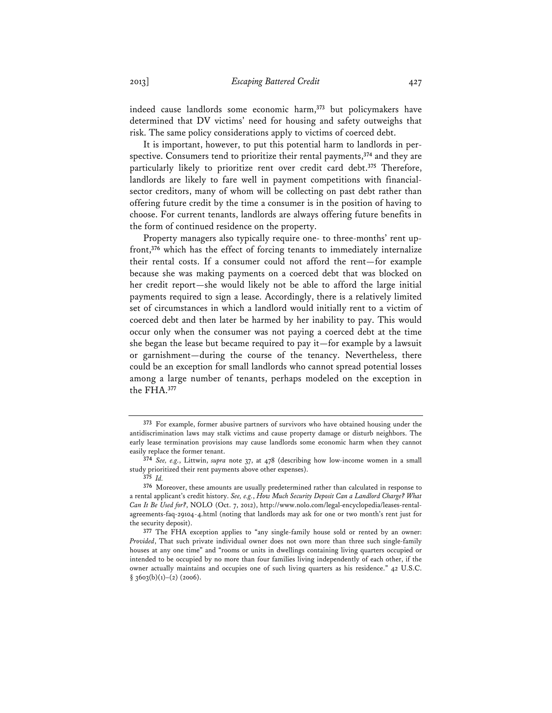indeed cause landlords some economic harm,**<sup>373</sup>** but policymakers have determined that DV victims' need for housing and safety outweighs that risk. The same policy considerations apply to victims of coerced debt.

It is important, however, to put this potential harm to landlords in perspective. Consumers tend to prioritize their rental payments,**<sup>374</sup>** and they are particularly likely to prioritize rent over credit card debt.**<sup>375</sup>** Therefore, landlords are likely to fare well in payment competitions with financialsector creditors, many of whom will be collecting on past debt rather than offering future credit by the time a consumer is in the position of having to choose. For current tenants, landlords are always offering future benefits in the form of continued residence on the property.

Property managers also typically require one- to three-months' rent upfront,**<sup>376</sup>** which has the effect of forcing tenants to immediately internalize their rental costs. If a consumer could not afford the rent—for example because she was making payments on a coerced debt that was blocked on her credit report—she would likely not be able to afford the large initial payments required to sign a lease. Accordingly, there is a relatively limited set of circumstances in which a landlord would initially rent to a victim of coerced debt and then later be harmed by her inability to pay. This would occur only when the consumer was not paying a coerced debt at the time she began the lease but became required to pay it—for example by a lawsuit or garnishment—during the course of the tenancy. Nevertheless, there could be an exception for small landlords who cannot spread potential losses among a large number of tenants, perhaps modeled on the exception in the FHA.**<sup>377</sup>**

**<sup>373</sup>** For example, former abusive partners of survivors who have obtained housing under the antidiscrimination laws may stalk victims and cause property damage or disturb neighbors. The early lease termination provisions may cause landlords some economic harm when they cannot easily replace the former tenant.

**<sup>374</sup>** *See, e.g.*, Littwin, *supra* note 37, at 478 (describing how low-income women in a small study prioritized their rent payments above other expenses).

**<sup>375</sup>** *Id.* 

**<sup>376</sup>** Moreover, these amounts are usually predetermined rather than calculated in response to a rental applicant's credit history. *See, e.g.*, *How Much Security Deposit Can a Landlord Charge? What Can It Be Used for?*, NOLO (Oct. 7, 2012), http://www.nolo.com/legal-encyclopedia/leases-rentalagreements-faq-29104-4.html (noting that landlords may ask for one or two month's rent just for the security deposit).

**<sup>377</sup>** The FHA exception applies to "any single-family house sold or rented by an owner: *Provided*, That such private individual owner does not own more than three such single-family houses at any one time" and "rooms or units in dwellings containing living quarters occupied or intended to be occupied by no more than four families living independently of each other, if the owner actually maintains and occupies one of such living quarters as his residence." 42 U.S.C.  $§$  3603(b)(1)–(2) (2006).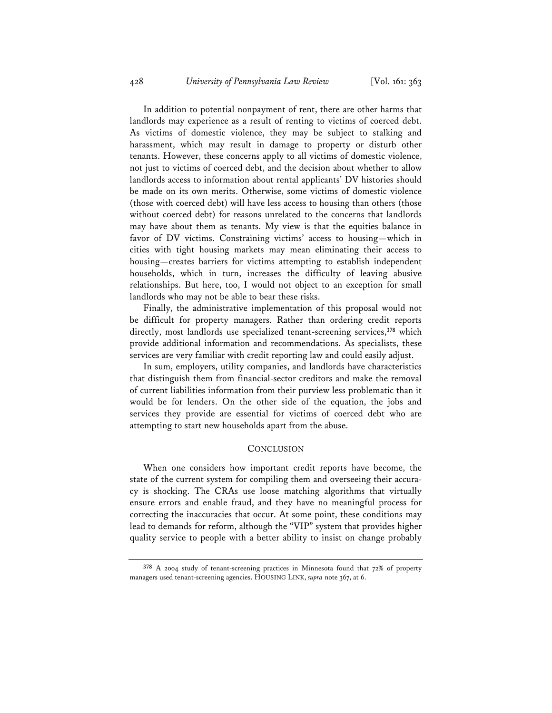In addition to potential nonpayment of rent, there are other harms that landlords may experience as a result of renting to victims of coerced debt. As victims of domestic violence, they may be subject to stalking and harassment, which may result in damage to property or disturb other tenants. However, these concerns apply to all victims of domestic violence, not just to victims of coerced debt, and the decision about whether to allow landlords access to information about rental applicants' DV histories should be made on its own merits. Otherwise, some victims of domestic violence (those with coerced debt) will have less access to housing than others (those without coerced debt) for reasons unrelated to the concerns that landlords may have about them as tenants. My view is that the equities balance in favor of DV victims. Constraining victims' access to housing—which in cities with tight housing markets may mean eliminating their access to housing—creates barriers for victims attempting to establish independent households, which in turn, increases the difficulty of leaving abusive relationships. But here, too, I would not object to an exception for small landlords who may not be able to bear these risks.

Finally, the administrative implementation of this proposal would not be difficult for property managers. Rather than ordering credit reports directly, most landlords use specialized tenant-screening services,**<sup>378</sup>** which provide additional information and recommendations. As specialists, these services are very familiar with credit reporting law and could easily adjust.

In sum, employers, utility companies, and landlords have characteristics that distinguish them from financial-sector creditors and make the removal of current liabilities information from their purview less problematic than it would be for lenders. On the other side of the equation, the jobs and services they provide are essential for victims of coerced debt who are attempting to start new households apart from the abuse.

#### **CONCLUSION**

When one considers how important credit reports have become, the state of the current system for compiling them and overseeing their accuracy is shocking. The CRAs use loose matching algorithms that virtually ensure errors and enable fraud, and they have no meaningful process for correcting the inaccuracies that occur. At some point, these conditions may lead to demands for reform, although the "VIP" system that provides higher quality service to people with a better ability to insist on change probably

**<sup>378</sup>** A 2004 study of tenant-screening practices in Minnesota found that 72% of property managers used tenant-screening agencies. HOUSING LINK, *supra* note 367, at 6.